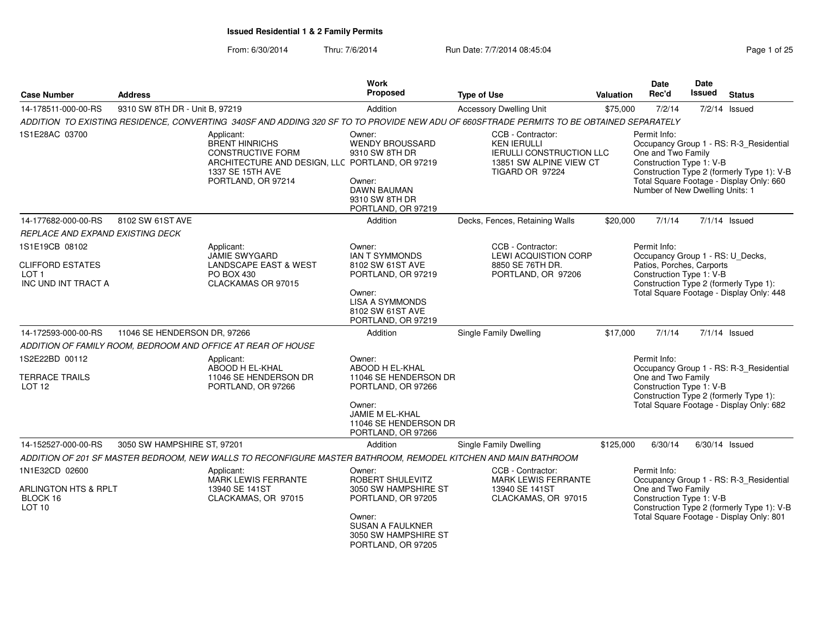From: 6/30/2014Thru: 7/6/2014 **Run Date: 7/7/2014 08:45:04** Page 1 of 25

| <b>Case Number</b>                                                                   | <b>Address</b>                 |                                                                                                                                                              | Work<br>Proposed                                                                                                                                            | <b>Type of Use</b>                                                                                                       | <b>Valuation</b> | <b>Date</b><br>Rec'd                                                                                      | <b>Date</b><br><b>Issued</b>                                                      | <b>Status</b>                                                                                                                     |
|--------------------------------------------------------------------------------------|--------------------------------|--------------------------------------------------------------------------------------------------------------------------------------------------------------|-------------------------------------------------------------------------------------------------------------------------------------------------------------|--------------------------------------------------------------------------------------------------------------------------|------------------|-----------------------------------------------------------------------------------------------------------|-----------------------------------------------------------------------------------|-----------------------------------------------------------------------------------------------------------------------------------|
| 14-178511-000-00-RS                                                                  | 9310 SW 8TH DR - Unit B, 97219 |                                                                                                                                                              | Addition                                                                                                                                                    | <b>Accessory Dwelling Unit</b>                                                                                           | \$75,000         | 7/2/14                                                                                                    |                                                                                   | $7/2/14$ Issued                                                                                                                   |
|                                                                                      |                                | ADDITION TO EXISTING RESIDENCE, CONVERTING 340SF AND ADDING 320 SF TO TO PROVIDE NEW ADU OF 660SFTRADE PERMITS TO BE OBTAINED SEPARATELY                     |                                                                                                                                                             |                                                                                                                          |                  |                                                                                                           |                                                                                   |                                                                                                                                   |
| 1S1E28AC 03700                                                                       |                                | Applicant:<br><b>BRENT HINRICHS</b><br><b>CONSTRUCTIVE FORM</b><br>ARCHITECTURE AND DESIGN, LLC PORTLAND, OR 97219<br>1337 SE 15TH AVE<br>PORTLAND, OR 97214 | Owner:<br>WENDY BROUSSARD<br>9310 SW 8TH DR<br>Owner:<br><b>DAWN BAUMAN</b><br>9310 SW 8TH DR<br>PORTLAND, OR 97219                                         | CCB - Contractor:<br><b>KEN IERULLI</b><br><b>IERULLI CONSTRUCTION LLC</b><br>13851 SW ALPINE VIEW CT<br>TIGARD OR 97224 |                  | Permit Info:<br>One and Two Family<br>Construction Type 1: V-B<br>Number of New Dwelling Units: 1         |                                                                                   | Occupancy Group 1 - RS: R-3_Residential<br>Construction Type 2 (formerly Type 1): V-B<br>Total Square Footage - Display Only: 660 |
| 14-177682-000-00-RS                                                                  | 8102 SW 61ST AVE               |                                                                                                                                                              | Addition                                                                                                                                                    | Decks, Fences, Retaining Walls                                                                                           | \$20,000         | 7/1/14                                                                                                    |                                                                                   | $7/1/14$ Issued                                                                                                                   |
| REPLACE AND EXPAND EXISTING DECK                                                     |                                |                                                                                                                                                              |                                                                                                                                                             |                                                                                                                          |                  |                                                                                                           |                                                                                   |                                                                                                                                   |
| 1S1E19CB 08102<br><b>CLIFFORD ESTATES</b><br>LOT <sub>1</sub><br>INC UND INT TRACT A |                                | Applicant:<br><b>JAMIE SWYGARD</b><br><b>LANDSCAPE EAST &amp; WEST</b><br>PO BOX 430<br>CLACKAMAS OR 97015                                                   | Owner:<br><b>IAN T SYMMONDS</b><br>8102 SW 61ST AVE<br>PORTLAND, OR 97219<br>Owner:<br><b>LISA A SYMMONDS</b><br>8102 SW 61ST AVE<br>PORTLAND, OR 97219     | CCB - Contractor:<br>LEWI ACQUISTION CORP<br>8850 SE 76TH DR.<br>PORTLAND, OR 97206                                      |                  | Permit Info:<br>Occupancy Group 1 - RS: U_Decks,<br>Patios, Porches, Carports<br>Construction Type 1: V-B |                                                                                   | Construction Type 2 (formerly Type 1):<br>Total Square Footage - Display Only: 448                                                |
| 14-172593-000-00-RS                                                                  | 11046 SE HENDERSON DR, 97266   |                                                                                                                                                              | Addition                                                                                                                                                    | <b>Single Family Dwelling</b>                                                                                            | \$17,000         | 7/1/14                                                                                                    |                                                                                   | $7/1/14$ Issued                                                                                                                   |
|                                                                                      |                                | ADDITION OF FAMILY ROOM, BEDROOM AND OFFICE AT REAR OF HOUSE                                                                                                 |                                                                                                                                                             |                                                                                                                          |                  |                                                                                                           |                                                                                   |                                                                                                                                   |
| 1S2E22BD 00112<br><b>TERRACE TRAILS</b><br>LOT <sub>12</sub>                         |                                | Applicant:<br>ABOOD H EL-KHAL<br>11046 SE HENDERSON DR<br>PORTLAND, OR 97266                                                                                 | Owner:<br>ABOOD H EL-KHAL<br>11046 SE HENDERSON DR<br>PORTLAND, OR 97266                                                                                    |                                                                                                                          |                  | Permit Info:<br>One and Two Family<br>Construction Type 1: V-B                                            | Occupancy Group 1 - RS: R-3_Residential<br>Construction Type 2 (formerly Type 1): |                                                                                                                                   |
|                                                                                      |                                |                                                                                                                                                              | Owner:<br><b>JAMIE M EL-KHAL</b><br>11046 SE HENDERSON DR<br>PORTLAND, OR 97266                                                                             |                                                                                                                          |                  |                                                                                                           |                                                                                   | Total Square Footage - Display Only: 682                                                                                          |
| 14-152527-000-00-RS                                                                  | 3050 SW HAMPSHIRE ST, 97201    |                                                                                                                                                              | Addition                                                                                                                                                    | <b>Single Family Dwelling</b>                                                                                            | \$125,000        | 6/30/14                                                                                                   |                                                                                   | $6/30/14$ Issued                                                                                                                  |
|                                                                                      |                                | ADDITION OF 201 SF MASTER BEDROOM, NEW WALLS TO RECONFIGURE MASTER BATHROOM, REMODEL KITCHEN AND MAIN BATHROOM                                               |                                                                                                                                                             |                                                                                                                          |                  |                                                                                                           |                                                                                   |                                                                                                                                   |
| 1N1E32CD 02600<br><b>ARLINGTON HTS &amp; RPLT</b><br>BLOCK 16<br>LOT <sub>10</sub>   |                                | Applicant:<br><b>MARK LEWIS FERRANTE</b><br>13940 SE 141ST<br>CLACKAMAS, OR 97015                                                                            | Owner:<br>ROBERT SHULEVITZ<br>3050 SW HAMPSHIRE ST<br>PORTLAND, OR 97205<br>Owner:<br><b>SUSAN A FAULKNER</b><br>3050 SW HAMPSHIRE ST<br>PORTLAND, OR 97205 | CCB - Contractor:<br>MARK LEWIS FERRANTE<br>13940 SE 141ST<br>CLACKAMAS, OR 97015                                        |                  | Permit Info:<br>One and Two Family<br>Construction Type 1: V-B                                            |                                                                                   | Occupancy Group 1 - RS: R-3_Residential<br>Construction Type 2 (formerly Type 1): V-B<br>Total Square Footage - Display Only: 801 |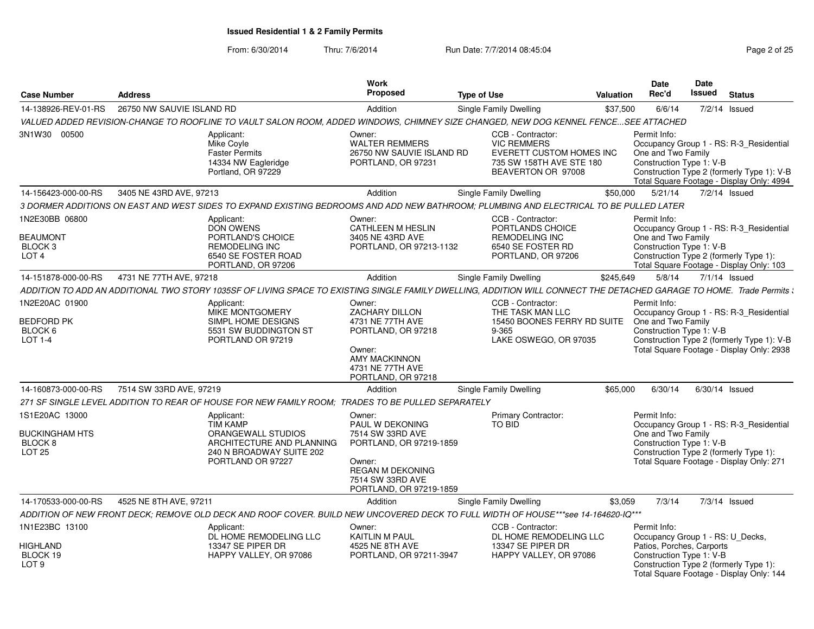From: 6/30/2014

| <b>Case Number</b>                                                      | <b>Address</b>            |                                                                                                                                                                       | <b>Work</b><br>Proposed                                                                                                                                      | <b>Type of Use</b>            |                                                                                                           | <b>Valuation</b> | <b>Date</b><br>Rec'd                                                                                      | <b>Date</b><br><b>Issued</b> | <b>Status</b>                                                                                                                      |
|-------------------------------------------------------------------------|---------------------------|-----------------------------------------------------------------------------------------------------------------------------------------------------------------------|--------------------------------------------------------------------------------------------------------------------------------------------------------------|-------------------------------|-----------------------------------------------------------------------------------------------------------|------------------|-----------------------------------------------------------------------------------------------------------|------------------------------|------------------------------------------------------------------------------------------------------------------------------------|
| 14-138926-REV-01-RS                                                     | 26750 NW SAUVIE ISLAND RD |                                                                                                                                                                       | Addition                                                                                                                                                     | <b>Single Family Dwelling</b> |                                                                                                           | \$37,500         | 6/6/14                                                                                                    |                              | $7/2/14$ Issued                                                                                                                    |
|                                                                         |                           | VALUED ADDED REVISION-CHANGE TO ROOFLINE TO VAULT SALON ROOM, ADDED WINDOWS, CHIMNEY SIZE CHANGED, NEW DOG KENNEL FENCESEE ATTACHED                                   |                                                                                                                                                              |                               |                                                                                                           |                  |                                                                                                           |                              |                                                                                                                                    |
| 3N1W30 00500                                                            |                           | Applicant:<br>Mike Coyle<br><b>Faster Permits</b><br>14334 NW Eagleridge<br>Portland, OR 97229                                                                        | Owner:<br><b>WALTER REMMERS</b><br>26750 NW SAUVIE ISLAND RD<br>PORTLAND, OR 97231                                                                           | <b>VIC REMMERS</b>            | CCB - Contractor:<br>EVERETT CUSTOM HOMES INC<br>735 SW 158TH AVE STE 180<br>BEAVERTON OR 97008           |                  | Permit Info:<br>One and Two Family<br>Construction Type 1: V-B                                            |                              | Occupancy Group 1 - RS: R-3_Residential<br>Construction Type 2 (formerly Type 1): V-B<br>Total Square Footage - Display Only: 4994 |
| 14-156423-000-00-RS                                                     | 3405 NE 43RD AVE, 97213   |                                                                                                                                                                       | Addition                                                                                                                                                     | Single Family Dwelling        |                                                                                                           | \$50,000         | 5/21/14                                                                                                   |                              | $7/2/14$ Issued                                                                                                                    |
|                                                                         |                           | 3 DORMER ADDITIONS ON EAST AND WEST SIDES TO EXPAND EXISTING BEDROOMS AND ADD NEW BATHROOM; PLUMBING AND ELECTRICAL TO BE PULLED LATER                                |                                                                                                                                                              |                               |                                                                                                           |                  |                                                                                                           |                              |                                                                                                                                    |
| 1N2E30BB 06800<br><b>BEAUMONT</b><br><b>BLOCK3</b><br>LOT <sub>4</sub>  |                           | Applicant:<br><b>DON OWENS</b><br>PORTLAND'S CHOICE<br><b>REMODELING INC</b><br>6540 SE FOSTER ROAD<br>PORTLAND, OR 97206                                             | Owner:<br><b>CATHLEEN M HESLIN</b><br>3405 NE 43RD AVE<br>PORTLAND, OR 97213-1132                                                                            |                               | CCB - Contractor:<br>PORTLANDS CHOICE<br><b>REMODELING INC</b><br>6540 SE FOSTER RD<br>PORTLAND, OR 97206 |                  | Permit Info:<br>One and Two Family<br>Construction Type 1: V-B                                            |                              | Occupancy Group 1 - RS: R-3_Residential<br>Construction Type 2 (formerly Type 1):<br>Total Square Footage - Display Only: 103      |
| 14-151878-000-00-RS                                                     | 4731 NE 77TH AVE, 97218   |                                                                                                                                                                       | Addition                                                                                                                                                     | Single Family Dwelling        |                                                                                                           | \$245,649        | 5/8/14                                                                                                    |                              | 7/1/14 Issued                                                                                                                      |
|                                                                         |                           | ADDITION TO ADD AN ADDITIONAL TWO STORY 1035SF OF LIVING SPACE TO EXISTING SINGLE FAMILY DWELLING. ADDITION WILL CONNECT THE DETACHED GARAGE TO HOME. Trade Permits : |                                                                                                                                                              |                               |                                                                                                           |                  |                                                                                                           |                              |                                                                                                                                    |
| 1N2E20AC 01900<br><b>BEDFORD PK</b><br>BLOCK 6<br>$LOT 1-4$             |                           | Applicant:<br>MIKE MONTGOMERY<br>SIMPL HOME DESIGNS<br>5531 SW BUDDINGTON ST<br>PORTLAND OR 97219                                                                     | Owner:<br>ZACHARY DILLON<br>4731 NE 77TH AVE<br>PORTLAND, OR 97218<br>Owner:<br><b>AMY MACKINNON</b><br>4731 NE 77TH AVE<br>PORTLAND, OR 97218               | $9 - 365$                     | CCB - Contractor:<br>THE TASK MAN LLC<br>15450 BOONES FERRY RD SUITE<br>LAKE OSWEGO, OR 97035             |                  | Permit Info:<br>One and Two Family<br>Construction Type 1: V-B                                            |                              | Occupancy Group 1 - RS: R-3 Residential<br>Construction Type 2 (formerly Type 1): V-B<br>Total Square Footage - Display Only: 2938 |
| 14-160873-000-00-RS                                                     | 7514 SW 33RD AVE, 97219   |                                                                                                                                                                       | Addition                                                                                                                                                     | Single Family Dwelling        |                                                                                                           | \$65,000         | 6/30/14                                                                                                   |                              | $6/30/14$ Issued                                                                                                                   |
|                                                                         |                           | 271 SF SINGLE LEVEL ADDITION TO REAR OF HOUSE FOR NEW FAMILY ROOM: TRADES TO BE PULLED SEPARATELY                                                                     |                                                                                                                                                              |                               |                                                                                                           |                  |                                                                                                           |                              |                                                                                                                                    |
| 1S1E20AC 13000<br><b>BUCKINGHAM HTS</b><br>BLOCK 8<br>LOT <sub>25</sub> |                           | Applicant:<br><b>TIM KAMP</b><br>ORANGEWALL STUDIOS<br>ARCHITECTURE AND PLANNING<br>240 N BROADWAY SUITE 202<br>PORTLAND OR 97227                                     | Owner:<br>PAUL W DEKONING<br>7514 SW 33RD AVE<br>PORTLAND, OR 97219-1859<br>Owner:<br><b>REGAN M DEKONING</b><br>7514 SW 33RD AVE<br>PORTLAND, OR 97219-1859 | <b>TO BID</b>                 | <b>Primary Contractor:</b>                                                                                |                  | Permit Info:<br>One and Two Family<br>Construction Type 1: V-B                                            |                              | Occupancy Group 1 - RS: R-3_Residential<br>Construction Type 2 (formerly Type 1):<br>Total Square Footage - Display Only: 271      |
| 14-170533-000-00-RS                                                     | 4525 NE 8TH AVE, 97211    |                                                                                                                                                                       | Addition                                                                                                                                                     | Single Family Dwelling        |                                                                                                           | \$3,059          | 7/3/14                                                                                                    |                              | $7/3/14$ Issued                                                                                                                    |
|                                                                         |                           | ADDITION OF NEW FRONT DECK; REMOVE OLD DECK AND ROOF COVER. BUILD NEW UNCOVERED DECK TO FULL WIDTH OF HOUSE***see 14-164620-IQ***                                     |                                                                                                                                                              |                               |                                                                                                           |                  |                                                                                                           |                              |                                                                                                                                    |
| 1N1E23BC 13100<br><b>HIGHLAND</b><br>BLOCK 19<br>LOT <sub>9</sub>       |                           | Applicant:<br>DL HOME REMODELING LLC<br>13347 SE PIPER DR<br>HAPPY VALLEY, OR 97086                                                                                   | Owner:<br><b>KAITLIN M PAUL</b><br>4525 NE 8TH AVE<br>PORTLAND, OR 97211-3947                                                                                |                               | CCB - Contractor:<br>DL HOME REMODELING LLC<br>13347 SE PIPER DR<br>HAPPY VALLEY, OR 97086                |                  | Permit Info:<br>Occupancy Group 1 - RS: U_Decks,<br>Patios, Porches, Carports<br>Construction Type 1: V-B |                              | Construction Type 2 (formerly Type 1):<br>Total Square Footage - Display Only: 144                                                 |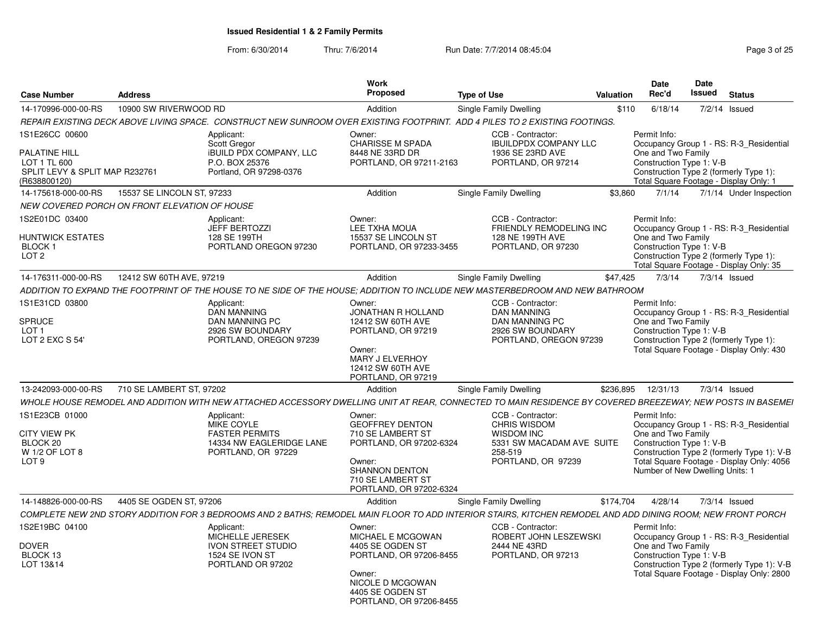From: 6/30/2014

Thru: 7/6/2014 **Run Date: 7/7/2014 08:45:04** Page 3 of 25

|                                |                                                    |                                                                                                                                                             | Work                                        |                                                                                               | Date                                | Date                                                                             |
|--------------------------------|----------------------------------------------------|-------------------------------------------------------------------------------------------------------------------------------------------------------------|---------------------------------------------|-----------------------------------------------------------------------------------------------|-------------------------------------|----------------------------------------------------------------------------------|
| <b>Case Number</b>             | Address                                            |                                                                                                                                                             | <b>Proposed</b>                             | <b>Type of Use</b>                                                                            | Valuation Rec'd                     | <b>Issued Status</b>                                                             |
|                                | 14-170996-000-00-RS     10900 SW RIVERWOOD RD      |                                                                                                                                                             | Addition                                    | Single Family Dwelling                                                                        |                                     | \$110 6/18/14 7/2/14 Issued                                                      |
|                                |                                                    | REPAIR EXISTING DECK ABOVE LIVING SPACE. CONSTRUCT NEW SUNROOM OVER EXISTING FOOTPRINT. ADD 4 PILES TO 2 EXISTING FOOTINGS.                                 |                                             |                                                                                               |                                     |                                                                                  |
| 1S1E26CC 00600                 |                                                    | Applicant:<br><b>Scott Gregor</b>                                                                                                                           | Owner:<br><b>CHARISSE M SPADA</b>           | CCB - Contractor:<br><b>IBUILDPDX COMPANY LLC</b>                                             | Permit Info:                        | Occupancy Group 1 - RS: R-3_Residential                                          |
| PALATINE HILL                  |                                                    | <b>IBUILD PDX COMPANY, LLC</b>                                                                                                                              | 8448 NE 33RD DR                             | 1936 SE 23RD AVE                                                                              | One and Two Family                  |                                                                                  |
| LOT 1 TL 600                   |                                                    | P.O. BOX 25376                                                                                                                                              | PORTLAND, OR 97211-2163                     | PORTLAND, OR 97214                                                                            |                                     | Construction Type 1: V-B                                                         |
| SPLIT LEVY & SPLIT MAP R232761 |                                                    | Portland, OR 97298-0376                                                                                                                                     |                                             |                                                                                               |                                     | Construction Type 2 (formerly Type 1):                                           |
| (R638800120)                   | 14-175618-000-00-RS     15537 SE LINCOLN ST, 97233 |                                                                                                                                                             | Addition                                    | <b>Single Family Dwelling</b>                                                                 |                                     | Total Square Footage - Display Only: 1<br>\$3,860 7/1/14 7/1/14 Under Inspection |
|                                | NEW COVERED PORCH ON FRONT ELEVATION OF HOUSE      |                                                                                                                                                             |                                             |                                                                                               |                                     |                                                                                  |
| 1S2E01DC 03400                 |                                                    | Applicant:                                                                                                                                                  | Owner:                                      | CCB - Contractor:                                                                             | Permit Info:                        |                                                                                  |
|                                |                                                    | <b>JEFF BERTOZZI</b>                                                                                                                                        | LEE TXHA MOUA                               | FRIENDLY REMODELING INC                                                                       |                                     | Occupancy Group 1 - RS: R-3_Residential                                          |
| <b>HUNTWICK ESTATES</b>        |                                                    | 128 SE 199TH                                                                                                                                                | 15537 SE LINCOLN ST                         | 128 NE 199TH AVE                                                                              | One and Two Family                  |                                                                                  |
| BLOCK 1<br>LOT 2               |                                                    | PORTLAND OREGON 97230                                                                                                                                       | PORTLAND, OR 97233-3455                     | PORTLAND, OR 97230                                                                            |                                     | Construction Type 1: V-B<br>Construction Type 2 (formerly Type 1):               |
|                                |                                                    |                                                                                                                                                             |                                             |                                                                                               |                                     | Total Square Footage - Display Only: 35                                          |
|                                | 14-176311-000-00-RS   12412 SW 60TH AVE, 97219     |                                                                                                                                                             | Addition                                    | Single Family Dwelling                                                                        | \$47,425 7/3/14 7/3/14 Issued       |                                                                                  |
|                                |                                                    | ADDITION TO EXPAND THE FOOTPRINT OF THE HOUSE TO NE SIDE OF THE HOUSE; ADDITION TO INCLUDE NEW MASTERBEDROOM AND NEW BATHROOM                               |                                             |                                                                                               |                                     |                                                                                  |
| 1S1E31CD 03800                 |                                                    | Applicant:                                                                                                                                                  | Owner:                                      | CCB - Contractor:                                                                             | Permit Info:                        |                                                                                  |
| <b>SPRUCE</b>                  |                                                    | DAN MANNING                                                                                                                                                 | JONATHAN R HOLLAND                          | <b>DAN MANNING</b><br><b>DAN MANNING PC</b>                                                   |                                     | Occupancy Group 1 - RS: R-3_Residential                                          |
| LOT <sub>1</sub>               |                                                    | DAN MANNING PC<br>2926 SW BOUNDARY                                                                                                                          | 12412 SW 60TH AVE<br>PORTLAND, OR 97219     | 2926 SW BOUNDARY                                                                              | One and Two Family                  | Construction Type 1: V-B                                                         |
| LOT 2 EXC S 54'                |                                                    | PORTLAND, OREGON 97239                                                                                                                                      |                                             | PORTLAND, OREGON 97239                                                                        |                                     | Construction Type 2 (formerly Type 1):                                           |
|                                |                                                    |                                                                                                                                                             | Owner:<br>MARY J ELVERHOY                   |                                                                                               |                                     | Total Square Footage - Display Only: 430                                         |
|                                |                                                    |                                                                                                                                                             | 12412 SW 60TH AVE                           |                                                                                               |                                     |                                                                                  |
|                                |                                                    |                                                                                                                                                             | PORTLAND, OR 97219                          |                                                                                               |                                     |                                                                                  |
|                                | 13-242093-000-00-RS 710 SE LAMBERT ST, 97202       |                                                                                                                                                             | Addition                                    | Single Family Dwelling                                                                        | \$236,895  12/31/13  7/3/14  Issued |                                                                                  |
|                                |                                                    | WHOLE HOUSE REMODEL AND ADDITION WITH NEW ATTACHED ACCESSORY                                                                                                |                                             | DWELLING UNIT AT REAR, CONNECTED TO MAIN RESIDENCE BY COVERED BREEZEWAY; NEW POSTS IN BASEMEI |                                     |                                                                                  |
| 1S1E23CB 01000                 |                                                    | Applicant:                                                                                                                                                  | Owner:                                      | CCB - Contractor:                                                                             | Permit Info:                        |                                                                                  |
| <b>CITY VIEW PK</b>            |                                                    | MIKE COYLE<br><b>FASTER PERMITS</b>                                                                                                                         | <b>GEOFFREY DENTON</b><br>710 SE LAMBERT ST | <b>CHRIS WISDOM</b><br><b>WISDOM INC</b>                                                      |                                     | Occupancy Group 1 - RS: R-3_Residential                                          |
| BLOCK 20                       |                                                    | 14334 NW EAGLERIDGE LANE                                                                                                                                    | PORTLAND, OR 97202-6324                     | 5331 SW MACADAM AVE SUITE                                                                     | One and Two Family                  | Construction Type 1: V-B                                                         |
| W 1/2 OF LOT 8                 |                                                    | PORTLAND, OR 97229                                                                                                                                          |                                             | 258-519                                                                                       |                                     | Construction Type 2 (formerly Type 1): V-B                                       |
| LOT 9                          |                                                    |                                                                                                                                                             | Owner:<br><b>SHANNON DENTON</b>             | PORTLAND, OR 97239                                                                            |                                     | Total Square Footage - Display Only: 4056                                        |
|                                |                                                    |                                                                                                                                                             | 710 SE LAMBERT ST                           |                                                                                               |                                     | Number of New Dwelling Units: 1                                                  |
|                                |                                                    |                                                                                                                                                             | PORTLAND, OR 97202-632                      |                                                                                               |                                     |                                                                                  |
|                                | 14-148826-000-00-RS 4405 SE OGDEN ST, 97206        |                                                                                                                                                             | Addition                                    | Single Family Dwelling                                                                        | \$174,704  4/28/14  7/3/14  Issued  |                                                                                  |
|                                |                                                    | COMPLETE NEW 2ND STORY ADDITION FOR 3 BEDROOMS AND 2 BATHS; REMODEL MAIN FLOOR TO ADD INTERIOR STAIRS, KITCHEN REMODEL AND ADD DINING ROOM; NEW FRONT PORCH |                                             |                                                                                               |                                     |                                                                                  |
| 1S2E19BC 04100                 |                                                    | Applicant:                                                                                                                                                  | Owner:                                      | CCB - Contractor:                                                                             | Permit Info:                        |                                                                                  |
| <b>DOVER</b>                   |                                                    | MICHELLE JERESEK                                                                                                                                            | MICHAEL E MCGOWAN<br>4405 SE OGDEN ST       | ROBERT JOHN LESZEWSKI<br>2444 NE 43RD                                                         |                                     | Occupancy Group 1 - RS: R-3_Residential                                          |
| BLOCK 13                       |                                                    | IVON STREET STUDIO<br>1524 SE IVON ST                                                                                                                       | PORTLAND, OR 97206-8455                     | PORTLAND, OR 97213                                                                            | One and Two Family                  | Construction Type 1: V-B                                                         |
| LOT 13&14                      |                                                    | PORTLAND OR 97202                                                                                                                                           |                                             |                                                                                               |                                     | Construction Type 2 (formerly Type 1): V-B                                       |
|                                |                                                    |                                                                                                                                                             | Owner:<br>NICOLE D MCGOWAN                  |                                                                                               |                                     | Total Square Footage - Display Only: 2800                                        |
|                                |                                                    |                                                                                                                                                             | 4405 SE OGDEN ST                            |                                                                                               |                                     |                                                                                  |
|                                |                                                    |                                                                                                                                                             | PORTLAND, OR 97206-8455                     |                                                                                               |                                     |                                                                                  |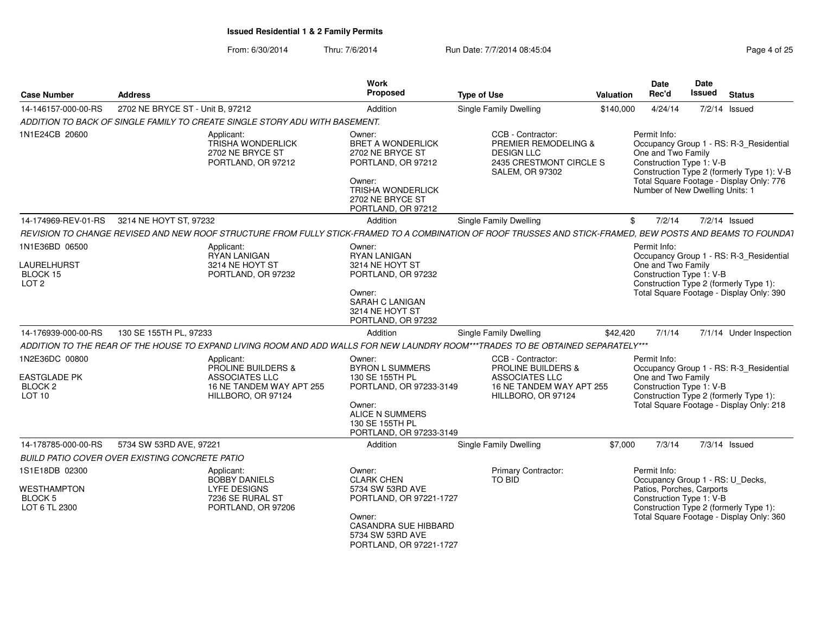| <b>Case Number</b>                                                               | <b>Address</b>                                                                                                                                              | Work<br>Proposed                                                                                                                                                   | <b>Type of Use</b>                                                                                                            | Valuation | <b>Date</b><br>Rec'd                                                                              | Date<br>Issued | <b>Status</b>                                                                                                                     |
|----------------------------------------------------------------------------------|-------------------------------------------------------------------------------------------------------------------------------------------------------------|--------------------------------------------------------------------------------------------------------------------------------------------------------------------|-------------------------------------------------------------------------------------------------------------------------------|-----------|---------------------------------------------------------------------------------------------------|----------------|-----------------------------------------------------------------------------------------------------------------------------------|
| 14-146157-000-00-RS                                                              | 2702 NE BRYCE ST - Unit B. 97212                                                                                                                            | Addition                                                                                                                                                           | Single Family Dwelling                                                                                                        | \$140,000 | 4/24/14                                                                                           |                | $7/2/14$ Issued                                                                                                                   |
|                                                                                  | ADDITION TO BACK OF SINGLE FAMILY TO CREATE SINGLE STORY ADU WITH BASEMENT.                                                                                 |                                                                                                                                                                    |                                                                                                                               |           |                                                                                                   |                |                                                                                                                                   |
| 1N1E24CB 20600                                                                   | Applicant:<br><b>TRISHA WONDERLICK</b><br>2702 NE BRYCE ST<br>PORTLAND, OR 97212                                                                            | Owner:<br><b>BRET A WONDERLICK</b><br>2702 NE BRYCE ST<br>PORTLAND, OR 97212<br>Owner:<br>TRISHA WONDERLICK<br>2702 NE BRYCE ST<br>PORTLAND, OR 97212              | CCB - Contractor:<br>PREMIER REMODELING &<br><b>DESIGN LLC</b><br>2435 CRESTMONT CIRCLE S<br><b>SALEM, OR 97302</b>           |           | Permit Info:<br>One and Two Family<br>Construction Type 1: V-B<br>Number of New Dwelling Units: 1 |                | Occupancy Group 1 - RS: R-3_Residential<br>Construction Type 2 (formerly Type 1): V-B<br>Total Square Footage - Display Only: 776 |
| 14-174969-REV-01-RS                                                              | 3214 NE HOYT ST, 97232                                                                                                                                      | Addition                                                                                                                                                           | Single Family Dwelling                                                                                                        | \$        | 7/2/14                                                                                            |                | 7/2/14 Issued                                                                                                                     |
|                                                                                  | REVISION TO CHANGE REVISED AND NEW ROOF STRUCTURE FROM FULLY STICK-FRAMED TO A COMBINATION OF ROOF TRUSSES AND STICK-FRAMED, BEW POSTS AND BEAMS TO FOUNDA1 |                                                                                                                                                                    |                                                                                                                               |           |                                                                                                   |                |                                                                                                                                   |
| 1N1E36BD 06500<br>LAURELHURST<br>BLOCK 15<br>LOT <sub>2</sub>                    | Applicant:<br><b>RYAN LANIGAN</b><br>3214 NE HOYT ST<br>PORTLAND, OR 97232                                                                                  | Owner:<br>RYAN LANIGAN<br>3214 NE HOYT ST<br>PORTLAND, OR 97232<br>Owner:<br><b>SARAH C LANIGAN</b><br>3214 NE HOYT ST<br>PORTLAND, OR 97232                       |                                                                                                                               |           | Permit Info:<br>One and Two Family<br>Construction Type 1: V-B                                    |                | Occupancy Group 1 - RS: R-3 Residential<br>Construction Type 2 (formerly Type 1):<br>Total Square Footage - Display Only: 390     |
| 14-176939-000-00-RS                                                              | 130 SE 155TH PL, 97233                                                                                                                                      | Addition                                                                                                                                                           | <b>Single Family Dwelling</b>                                                                                                 | \$42,420  | 7/1/14                                                                                            |                | 7/1/14 Under Inspection                                                                                                           |
|                                                                                  | ADDITION TO THE REAR OF THE HOUSE TO EXPAND LIVING ROOM AND ADD WALLS FOR NEW LAUNDRY ROOM***TRADES TO BE OBTAINED SEPARATELY***                            |                                                                                                                                                                    |                                                                                                                               |           |                                                                                                   |                |                                                                                                                                   |
| 1N2E36DC 00800<br><b>EASTGLADE PK</b><br>BLOCK <sub>2</sub><br>LOT <sub>10</sub> | Applicant:<br><b>PROLINE BUILDERS &amp;</b><br>ASSOCIATES LLC<br>16 NE TANDEM WAY APT 255<br>HILLBORO, OR 97124                                             | Owner:<br><b>BYRON L SUMMERS</b><br>130 SE 155TH PL<br>PORTLAND, OR 97233-3149<br>Owner:<br>ALICE N SUMMERS<br>130 SE 155TH PL<br>PORTLAND, OR 97233-3149          | CCB - Contractor:<br><b>PROLINE BUILDERS &amp;</b><br><b>ASSOCIATES LLC</b><br>16 NE TANDEM WAY APT 255<br>HILLBORO, OR 97124 |           | Permit Info:<br>One and Two Family<br>Construction Type 1: V-B                                    |                | Occupancy Group 1 - RS: R-3 Residential<br>Construction Type 2 (formerly Type 1):<br>Total Square Footage - Display Only: 218     |
| 14-178785-000-00-RS                                                              | 5734 SW 53RD AVE, 97221                                                                                                                                     | Addition                                                                                                                                                           | Single Family Dwelling                                                                                                        | \$7,000   | 7/3/14                                                                                            |                | 7/3/14 Issued                                                                                                                     |
|                                                                                  | BUILD PATIO COVER OVER EXISTING CONCRETE PATIO                                                                                                              |                                                                                                                                                                    |                                                                                                                               |           |                                                                                                   |                |                                                                                                                                   |
| 1S1E18DB 02300<br>WESTHAMPTON<br>BLOCK 5<br>LOT 6 TL 2300                        | Applicant:<br><b>BOBBY DANIELS</b><br><b>LYFE DESIGNS</b><br>7236 SE RURAL ST<br>PORTLAND, OR 97206                                                         | Owner:<br><b>CLARK CHEN</b><br>5734 SW 53RD AVE<br>PORTLAND, OR 97221-1727<br>Owner:<br><b>CASANDRA SUE HIBBARD</b><br>5734 SW 53RD AVE<br>PORTLAND, OR 97221-1727 | <b>Primary Contractor:</b><br><b>TO BID</b>                                                                                   |           | Permit Info:<br>Patios, Porches, Carports<br>Construction Type 1: V-B                             |                | Occupancy Group 1 - RS: U_Decks,<br>Construction Type 2 (formerly Type 1):<br>Total Square Footage - Display Only: 360            |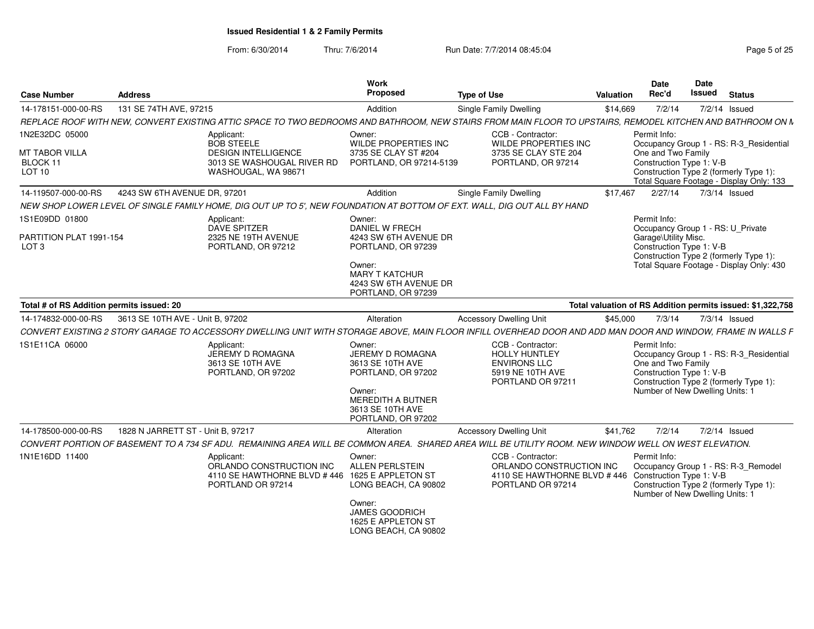From: 6/30/2014

Thru: 7/6/2014 **Run Date: 7/7/2014 08:45:04** Page 5 of 25

| <b>Case Number</b>                          | <b>Address</b>                    |                                                                                                                          | Work<br>Proposed                                                               | <b>Type of Use</b>                                                                                                                                           | Valuation | <b>Date</b><br>Rec'd                                           | <b>Date</b><br>Issued | <b>Status</b>                                                                      |
|---------------------------------------------|-----------------------------------|--------------------------------------------------------------------------------------------------------------------------|--------------------------------------------------------------------------------|--------------------------------------------------------------------------------------------------------------------------------------------------------------|-----------|----------------------------------------------------------------|-----------------------|------------------------------------------------------------------------------------|
| 14-178151-000-00-RS                         | 131 SE 74TH AVE, 97215            |                                                                                                                          | Addition                                                                       | Single Family Dwelling                                                                                                                                       | \$14,669  | 7/2/14                                                         |                       | 7/2/14 Issued                                                                      |
|                                             |                                   |                                                                                                                          |                                                                                | REPLACE ROOF WITH NEW, CONVERT EXISTING ATTIC SPACE TO TWO BEDROOMS AND BATHROOM, NEW STAIRS FROM MAIN FLOOR TO UPSTAIRS, REMODEL KITCHEN AND BATHROOM ON N  |           |                                                                |                       |                                                                                    |
| 1N2E32DC 05000<br>MT TABOR VILLA            |                                   | Applicant:<br><b>BOB STEELE</b><br><b>DESIGN INTELLIGENCE</b>                                                            | Owner:<br><b>WILDE PROPERTIES INC</b><br>3735 SE CLAY ST #204                  | CCB - Contractor:<br>WILDE PROPERTIES INC<br>3735 SE CLAY STE 204                                                                                            |           | Permit Info:<br>One and Two Family                             |                       | Occupancy Group 1 - RS: R-3 Residential                                            |
| BLOCK 11<br><b>LOT 10</b>                   |                                   | 3013 SE WASHOUGAL RIVER RD<br>WASHOUGAL, WA 98671                                                                        | PORTLAND, OR 97214-5139                                                        | PORTLAND, OR 97214                                                                                                                                           |           | Construction Type 1: V-B                                       |                       | Construction Type 2 (formerly Type 1):<br>Total Square Footage - Display Only: 133 |
| 14-119507-000-00-RS                         | 4243 SW 6TH AVENUE DR, 97201      |                                                                                                                          | Addition                                                                       | Single Family Dwelling                                                                                                                                       | \$17.467  | 2/27/14                                                        |                       | $7/3/14$ Issued                                                                    |
|                                             |                                   | NEW SHOP LOWER LEVEL OF SINGLE FAMILY HOME, DIG OUT UP TO 5', NEW FOUNDATION AT BOTTOM OF EXT. WALL, DIG OUT ALL BY HAND |                                                                                |                                                                                                                                                              |           |                                                                |                       |                                                                                    |
| 1S1E09DD 01800                              |                                   | Applicant:<br>DAVE SPITZER<br>2325 NE 19TH AVENUE                                                                        | Owner:<br><b>DANIEL W FRECH</b><br>4243 SW 6TH AVENUE DR                       |                                                                                                                                                              |           | Permit Info:<br>Occupancy Group 1 - RS: U Private              |                       |                                                                                    |
| PARTITION PLAT 1991-154<br>LOT <sub>3</sub> |                                   | PORTLAND, OR 97212                                                                                                       | PORTLAND, OR 97239                                                             |                                                                                                                                                              |           | Garage\Utility Misc.<br>Construction Type 1: V-B               |                       | Construction Type 2 (formerly Type 1):                                             |
|                                             |                                   |                                                                                                                          | Owner:<br><b>MARY T KATCHUR</b><br>4243 SW 6TH AVENUE DR<br>PORTLAND, OR 97239 |                                                                                                                                                              |           |                                                                |                       | Total Square Footage - Display Only: 430                                           |
| Total # of RS Addition permits issued: 20   |                                   |                                                                                                                          |                                                                                |                                                                                                                                                              |           |                                                                |                       | Total valuation of RS Addition permits issued: \$1,322,758                         |
| 14-174832-000-00-RS                         | 3613 SE 10TH AVE - Unit B. 97202  |                                                                                                                          | Alteration                                                                     | <b>Accessory Dwelling Unit</b>                                                                                                                               | \$45,000  | 7/3/14                                                         |                       | $7/3/14$ Issued                                                                    |
|                                             |                                   |                                                                                                                          |                                                                                | CONVERT EXISTING 2 STORY GARAGE TO ACCESSORY DWELLING UNIT WITH STORAGE ABOVE. MAIN FLOOR INFILL OVERHEAD DOOR AND ADD MAN DOOR AND WINDOW. FRAME IN WALLS F |           |                                                                |                       |                                                                                    |
| 1S1E11CA 06000                              |                                   | Applicant:<br>JEREMY D ROMAGNA<br>3613 SE 10TH AVE<br>PORTLAND, OR 97202                                                 | Owner:<br>JEREMY D ROMAGNA<br>3613 SE 10TH AVE<br>PORTLAND, OR 97202           | CCB - Contractor:<br><b>HOLLY HUNTLEY</b><br><b>ENVIRONS LLC</b><br>5919 NE 10TH AVE<br>PORTLAND OR 97211                                                    |           | Permit Info:<br>One and Two Family<br>Construction Type 1: V-B |                       | Occupancy Group 1 - RS: R-3_Residential<br>Construction Type 2 (formerly Type 1):  |
|                                             |                                   |                                                                                                                          | Owner:<br>MEREDITH A BUTNER<br>3613 SE 10TH AVE<br>PORTLAND, OR 97202          |                                                                                                                                                              |           | Number of New Dwelling Units: 1                                |                       |                                                                                    |
| 14-178500-000-00-RS                         | 1828 N JARRETT ST - Unit B. 97217 |                                                                                                                          | Alteration                                                                     | <b>Accessory Dwelling Unit</b>                                                                                                                               | \$41.762  | 7/2/14                                                         |                       | $7/2/14$ Issued                                                                    |
|                                             |                                   |                                                                                                                          |                                                                                | CONVERT PORTION OF BASEMENT TO A 734 SF ADU. REMAINING AREA WILL BE COMMON AREA. SHARED AREA WILL BE UTILITY ROOM. NEW WINDOW WELL ON WEST ELEVATION.        |           |                                                                |                       |                                                                                    |
| 1N1E16DD 11400                              |                                   | Applicant:<br>ORLANDO CONSTRUCTION INC<br>4110 SE HAWTHORNE BLVD #446 1625 E APPLETON ST<br>PORTLAND OR 97214            | Owner:<br><b>ALLEN PERLSTEIN</b><br>LONG BEACH, CA 90802                       | CCB - Contractor:<br>ORLANDO CONSTRUCTION INC<br>4110 SE HAWTHORNE BLVD #446 Construction Type 1: V-B<br>PORTLAND OR 97214                                   |           | Permit Info:<br>Number of New Dwelling Units: 1                |                       | Occupancy Group 1 - RS: R-3 Remodel<br>Construction Type 2 (formerly Type 1):      |
|                                             |                                   |                                                                                                                          | Owner:<br>JAMES GOODRICH<br>1625 E APPLETON ST<br>LONG BEACH, CA 90802         |                                                                                                                                                              |           |                                                                |                       |                                                                                    |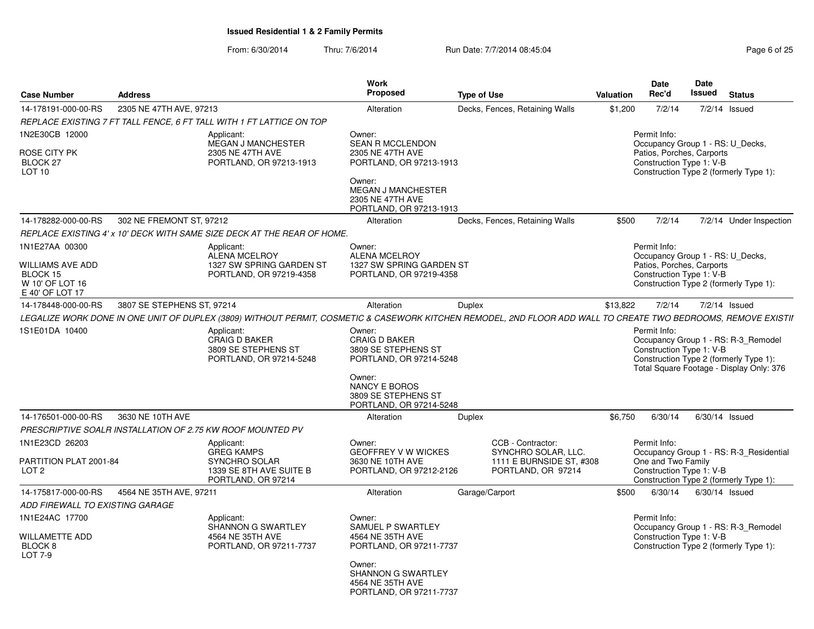From: 6/30/2014Thru: 7/6/2014 **Run Date: 7/7/2014 08:45:04** Page 6 of 25

| <b>Case Number</b>                                                                          | <b>Address</b>             |                                                                                                                                                                | Work<br>Proposed                                                                                                                                              | <b>Type of Use</b>                                                                         | <b>Valuation</b> | Date<br>Rec'd                                                                                                                                                         | Date<br>Issued | <b>Status</b>           |  |
|---------------------------------------------------------------------------------------------|----------------------------|----------------------------------------------------------------------------------------------------------------------------------------------------------------|---------------------------------------------------------------------------------------------------------------------------------------------------------------|--------------------------------------------------------------------------------------------|------------------|-----------------------------------------------------------------------------------------------------------------------------------------------------------------------|----------------|-------------------------|--|
| 14-178191-000-00-RS                                                                         | 2305 NE 47TH AVE, 97213    |                                                                                                                                                                | Alteration                                                                                                                                                    | Decks, Fences, Retaining Walls                                                             | \$1,200          | 7/2/14                                                                                                                                                                |                | 7/2/14 Issued           |  |
|                                                                                             |                            | REPLACE EXISTING 7 FT TALL FENCE, 6 FT TALL WITH 1 FT LATTICE ON TOP                                                                                           |                                                                                                                                                               |                                                                                            |                  |                                                                                                                                                                       |                |                         |  |
| 1N2E30CB 12000<br><b>ROSE CITY PK</b><br>BLOCK <sub>27</sub><br>LOT 10                      |                            | Applicant:<br><b>MEGAN J MANCHESTER</b><br>2305 NE 47TH AVE<br>PORTLAND, OR 97213-1913                                                                         | Owner:<br><b>SEAN R MCCLENDON</b><br>2305 NE 47TH AVE<br>PORTLAND, OR 97213-1913<br>Owner:<br><b>MEGAN J MANCHESTER</b>                                       |                                                                                            |                  | Permit Info:<br>Occupancy Group 1 - RS: U Decks,<br>Patios, Porches, Carports<br>Construction Type 1: V-B<br>Construction Type 2 (formerly Type 1):                   |                |                         |  |
|                                                                                             |                            |                                                                                                                                                                | 2305 NE 47TH AVE<br>PORTLAND, OR 97213-1913                                                                                                                   |                                                                                            |                  |                                                                                                                                                                       |                |                         |  |
| 14-178282-000-00-RS                                                                         | 302 NE FREMONT ST. 97212   |                                                                                                                                                                | Alteration                                                                                                                                                    | Decks, Fences, Retaining Walls                                                             | \$500            | 7/2/14                                                                                                                                                                |                | 7/2/14 Under Inspection |  |
|                                                                                             |                            | REPLACE EXISTING 4' x 10' DECK WITH SAME SIZE DECK AT THE REAR OF HOME.                                                                                        |                                                                                                                                                               |                                                                                            |                  |                                                                                                                                                                       |                |                         |  |
| 1N1E27AA 00300<br><b>WILLIAMS AVE ADD</b><br>BLOCK 15<br>W 10' OF LOT 16<br>E 40' OF LOT 17 |                            | Applicant:<br><b>ALENA MCELROY</b><br>1327 SW SPRING GARDEN ST<br>PORTLAND, OR 97219-4358                                                                      | Owner:<br><b>ALENA MCELROY</b><br>1327 SW SPRING GARDEN ST<br>PORTLAND, OR 97219-4358                                                                         |                                                                                            |                  | Permit Info:<br>Occupancy Group 1 - RS: U_Decks,<br>Patios, Porches, Carports<br>Construction Type 1: V-B<br>Construction Type 2 (formerly Type 1):                   |                |                         |  |
| 14-178448-000-00-RS                                                                         | 3807 SE STEPHENS ST, 97214 |                                                                                                                                                                | Alteration                                                                                                                                                    | Duplex                                                                                     | \$13,822         | 7/2/14                                                                                                                                                                |                | 7/2/14 Issued           |  |
|                                                                                             |                            | LEGALIZE WORK DONE IN ONE UNIT OF DUPLEX (3809) WITHOUT PERMIT, COSMETIC & CASEWORK KITCHEN REMODEL, 2ND FLOOR ADD WALL TO CREATE TWO BEDROOMS, REMOVE EXISTII |                                                                                                                                                               |                                                                                            |                  |                                                                                                                                                                       |                |                         |  |
| 1S1E01DA 10400                                                                              |                            | Applicant:<br><b>CRAIG D BAKER</b><br>3809 SE STEPHENS ST<br>PORTLAND, OR 97214-5248                                                                           | Owner:<br><b>CRAIG D BAKER</b><br>3809 SE STEPHENS ST<br>PORTLAND, OR 97214-5248<br>Owner:<br>NANCY E BOROS<br>3809 SE STEPHENS ST<br>PORTLAND, OR 97214-5248 |                                                                                            |                  | Permit Info:<br>Occupancy Group 1 - RS: R-3 Remodel<br>Construction Type 1: V-B<br>Construction Type 2 (formerly Type 1):<br>Total Square Footage - Display Only: 376 |                |                         |  |
| 14-176501-000-00-RS                                                                         | 3630 NE 10TH AVE           |                                                                                                                                                                | Alteration                                                                                                                                                    | Duplex                                                                                     | \$6,750          | 6/30/14                                                                                                                                                               |                | 6/30/14 Issued          |  |
|                                                                                             |                            | PRESCRIPTIVE SOALR INSTALLATION OF 2.75 KW ROOF MOUNTED PV                                                                                                     |                                                                                                                                                               |                                                                                            |                  |                                                                                                                                                                       |                |                         |  |
| 1N1E23CD 26203<br>PARTITION PLAT 2001-84<br>LOT <sub>2</sub>                                |                            | Applicant:<br><b>GREG KAMPS</b><br>SYNCHRO SOLAR<br>1339 SE 8TH AVE SUITE B<br>PORTLAND, OR 97214                                                              | Owner:<br><b>GEOFFREY V W WICKES</b><br>3630 NE 10TH AVE<br>PORTLAND, OR 97212-2126                                                                           | CCB - Contractor:<br>SYNCHRO SOLAR, LLC.<br>1111 E BURNSIDE ST, #308<br>PORTLAND, OR 97214 |                  | Permit Info:<br>Occupancy Group 1 - RS: R-3 Residential<br>One and Two Family<br>Construction Type 1: V-B<br>Construction Type 2 (formerly Type 1):                   |                |                         |  |
| 14-175817-000-00-RS                                                                         | 4564 NE 35TH AVE, 97211    |                                                                                                                                                                | Alteration                                                                                                                                                    | Garage/Carport                                                                             | \$500            | 6/30/14                                                                                                                                                               |                | 6/30/14 Issued          |  |
| ADD FIREWALL TO EXISTING GARAGE                                                             |                            |                                                                                                                                                                |                                                                                                                                                               |                                                                                            |                  |                                                                                                                                                                       |                |                         |  |
| 1N1E24AC 17700                                                                              |                            | Applicant:<br>SHANNON G SWARTLEY                                                                                                                               | Owner:<br>SAMUEL P SWARTLEY                                                                                                                                   |                                                                                            |                  | Permit Info:<br>Occupancy Group 1 - RS: R-3 Remodel                                                                                                                   |                |                         |  |
| WILLAMETTE ADD<br>BLOCK 8<br>LOT 7-9                                                        |                            | 4564 NE 35TH AVE<br>PORTLAND, OR 97211-7737                                                                                                                    | 4564 NE 35TH AVE<br>PORTLAND, OR 97211-7737                                                                                                                   |                                                                                            |                  | Construction Type 1: V-B<br>Construction Type 2 (formerly Type 1):                                                                                                    |                |                         |  |
|                                                                                             |                            |                                                                                                                                                                | Owner:<br>SHANNON G SWARTLEY<br>4564 NE 35TH AVE<br>PORTLAND, OR 97211-7737                                                                                   |                                                                                            |                  |                                                                                                                                                                       |                |                         |  |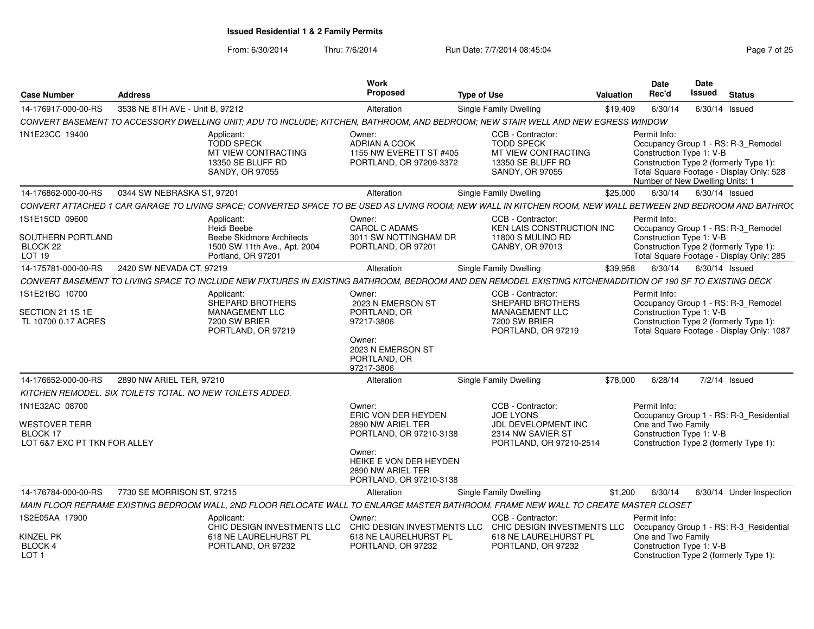From: 6/30/2014

Thru: 7/6/2014 **Run Date: 7/7/2014 08:45:04** Page 7 of 25

| <b>Case Number</b>                                                                 | <b>Address</b>                  |                                                                                                                                                              | Work<br>Proposed                                                                                                                                                  | <b>Type of Use</b> |                                                                                                              | <b>Valuation</b> | Date<br>Rec'd                                                                                                         | Date<br>Issued   | <b>Status</b>                                                                    |
|------------------------------------------------------------------------------------|---------------------------------|--------------------------------------------------------------------------------------------------------------------------------------------------------------|-------------------------------------------------------------------------------------------------------------------------------------------------------------------|--------------------|--------------------------------------------------------------------------------------------------------------|------------------|-----------------------------------------------------------------------------------------------------------------------|------------------|----------------------------------------------------------------------------------|
| 14-176917-000-00-RS                                                                | 3538 NE 8TH AVE - Unit B, 97212 |                                                                                                                                                              | Alteration                                                                                                                                                        |                    | Single Family Dwelling                                                                                       | \$19,409         | 6/30/14                                                                                                               | 6/30/14          | Issued                                                                           |
|                                                                                    |                                 | CONVERT BASEMENT TO ACCESSORY DWELLING UNIT; ADU TO INCLUDE; KITCHEN, BATHROOM, AND BEDROOM; NEW STAIR WELL AND NEW EGRESS WINDOW                            |                                                                                                                                                                   |                    |                                                                                                              |                  |                                                                                                                       |                  |                                                                                  |
| 1N1E23CC 19400                                                                     |                                 | Applicant:<br><b>TODD SPECK</b><br>MT VIEW CONTRACTING<br>13350 SE BLUFF RD<br><b>SANDY, OR 97055</b>                                                        | Owner:<br>ADRIAN A COOK<br>1155 NW EVERETT ST #405<br>PORTLAND, OR 97209-3372                                                                                     |                    | CCB - Contractor:<br><b>TODD SPECK</b><br>MT VIEW CONTRACTING<br>13350 SE BLUFF RD<br>SANDY, OR 97055        |                  | Permit Info:<br>Construction Type 1: V-B<br>Construction Type 2 (formerly Type 1):<br>Number of New Dwelling Units: 1 |                  | Occupancy Group 1 - RS: R-3_Remodel<br>Total Square Footage - Display Only: 528  |
| 14-176862-000-00-RS                                                                | 0344 SW NEBRASKA ST, 97201      |                                                                                                                                                              | Alteration                                                                                                                                                        |                    | <b>Single Family Dwelling</b>                                                                                | \$25,000         | 6/30/14                                                                                                               | $6/30/14$ Issued |                                                                                  |
|                                                                                    |                                 | CONVERT ATTACHED 1 CAR GARAGE TO LIVING SPACE; CONVERTED SPACE TO BE USED AS LIVING ROOM; NEW WALL IN KITCHEN ROOM, NEW WALL BETWEEN 2ND BEDROOM AND BATHRO( |                                                                                                                                                                   |                    |                                                                                                              |                  |                                                                                                                       |                  |                                                                                  |
| 1S1E15CD 09600<br>SOUTHERN PORTLAND<br>BLOCK 22                                    |                                 | Applicant:<br>Heidi Beebe<br>Beebe Skidmore Architects<br>1500 SW 11th Ave., Apt. 2004                                                                       | Owner:<br><b>CAROL C ADAMS</b><br>3011 SW NOTTINGHAM DR<br>PORTLAND, OR 97201                                                                                     |                    | CCB - Contractor:<br><b>KEN LAIS CONSTRUCTION INC</b><br>11800 S MULINO RD<br>CANBY, OR 97013                |                  | Permit Info:<br>Construction Type 1: V-B<br>Construction Type 2 (formerly Type 1):                                    |                  | Occupancy Group 1 - RS: R-3_Remodel                                              |
| LOT <sub>19</sub>                                                                  |                                 | Portland, OR 97201                                                                                                                                           |                                                                                                                                                                   |                    |                                                                                                              |                  |                                                                                                                       |                  | Total Square Footage - Display Only: 285                                         |
| 14-175781-000-00-RS                                                                | 2420 SW NEVADA CT, 97219        |                                                                                                                                                              | Alteration                                                                                                                                                        |                    | Single Family Dwelling                                                                                       | \$39,958         | 6/30/14                                                                                                               | $6/30/14$ Issued |                                                                                  |
|                                                                                    |                                 | CONVERT BASEMENT TO LIVING SPACE TO INCLUDE NEW FIXTURES IN EXISTING BATHROOM, BEDROOM AND DEN REMODEL EXISTING KITCHENADDITION OF 190 SF TO EXISTING DECK   |                                                                                                                                                                   |                    |                                                                                                              |                  |                                                                                                                       |                  |                                                                                  |
| 1S1E21BC 10700<br>SECTION 21 1S 1E<br>TL 10700 0.17 ACRES                          |                                 | Applicant:<br>SHEPARD BROTHERS<br><b>MANAGEMENT LLC</b><br>7200 SW BRIER<br>PORTLAND, OR 97219                                                               | Owner:<br>2023 N EMERSON ST<br>PORTLAND, OR<br>97217-3806<br>Owner:<br>2023 N EMERSON ST<br>PORTLAND, OR<br>97217-3806                                            |                    | CCB - Contractor:<br>SHEPARD BROTHERS<br><b>MANAGEMENT LLC</b><br>7200 SW BRIER<br>PORTLAND, OR 97219        |                  | Permit Info:<br>Construction Type 1: V-B<br>Construction Type 2 (formerly Type 1):                                    |                  | Occupancy Group 1 - RS: R-3_Remodel<br>Total Square Footage - Display Only: 1087 |
| 14-176652-000-00-RS                                                                | 2890 NW ARIEL TER, 97210        |                                                                                                                                                              | Alteration                                                                                                                                                        |                    | Single Family Dwelling                                                                                       | \$78,000         | 6/28/14                                                                                                               |                  | $7/2/14$ Issued                                                                  |
| KITCHEN REMODEL. SIX TOILETS TOTAL. NO NEW TOILETS ADDED.                          |                                 |                                                                                                                                                              |                                                                                                                                                                   |                    |                                                                                                              |                  |                                                                                                                       |                  |                                                                                  |
| 1N1E32AC 08700<br><b>WESTOVER TERR</b><br>BLOCK 17<br>LOT 6&7 EXC PT TKN FOR ALLEY |                                 |                                                                                                                                                              | Owner:<br>ERIC VON DER HEYDEN<br>2890 NW ARIEL TER<br>PORTLAND, OR 97210-3138<br>Owner:<br>HEIKE E VON DER HEYDEN<br>2890 NW ARIEL TER<br>PORTLAND, OR 97210-3138 |                    | CCB - Contractor:<br><b>JOE LYONS</b><br>JDL DEVELOPMENT INC<br>2314 NW SAVIER ST<br>PORTLAND, OR 97210-2514 |                  | Permit Info:<br>One and Two Family<br>Construction Type 1: V-B<br>Construction Type 2 (formerly Type 1):              |                  | Occupancy Group 1 - RS: R-3_Residential                                          |
| 14-176784-000-00-RS                                                                | 7730 SE MORRISON ST, 97215      |                                                                                                                                                              | Alteration                                                                                                                                                        |                    | Single Family Dwelling                                                                                       | \$1,200          | 6/30/14                                                                                                               |                  | 6/30/14 Under Inspection                                                         |
|                                                                                    |                                 | MAIN FLOOR REFRAME EXISTING BEDROOM WALL, 2ND FLOOR RELOCATE WALL TO ENLARGE MASTER BATHROOM, FRAME NEW WALL TO CREATE MASTER CLOSET                         |                                                                                                                                                                   |                    |                                                                                                              |                  |                                                                                                                       |                  |                                                                                  |
| 1S2E05AA 17900                                                                     |                                 | Applicant:<br>CHIC DESIGN INVESTMENTS LLC                                                                                                                    | Owner:                                                                                                                                                            |                    | CCB - Contractor:<br>CHIC DESIGN INVESTMENTS LLC CHIC DESIGN INVESTMENTS LLC                                 |                  | Permit Info:                                                                                                          |                  | Occupancy Group 1 - RS: R-3 Residential                                          |
| <b>KINZEL PK</b><br>BLOCK 4<br>LOT <sub>1</sub>                                    |                                 | 618 NE LAURELHURST PL<br>PORTLAND, OR 97232                                                                                                                  | 618 NE LAURELHURST PL<br>PORTLAND, OR 97232                                                                                                                       |                    | 618 NE LAURELHURST PL<br>PORTLAND, OR 97232                                                                  |                  | One and Two Family<br>Construction Type 1: V-B<br>Construction Type 2 (formerly Type 1):                              |                  |                                                                                  |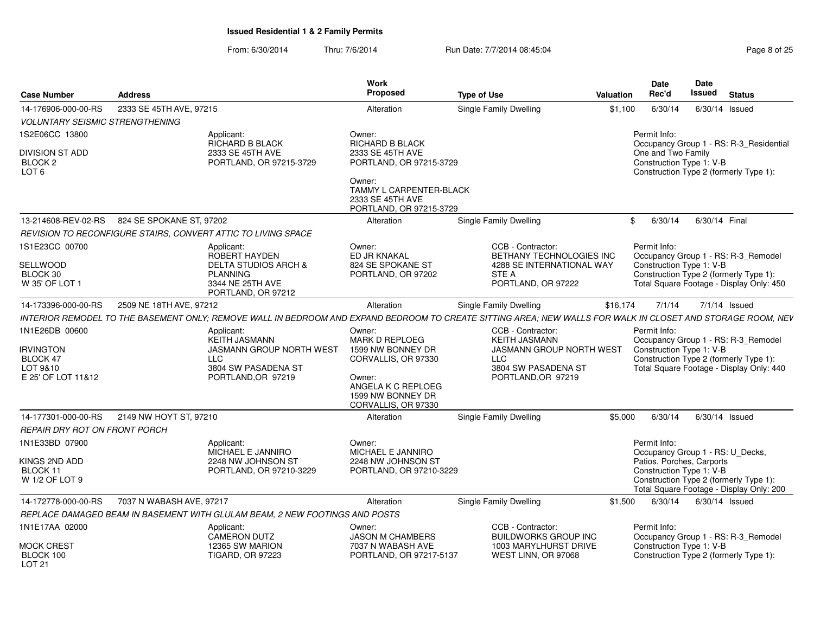From: 6/30/2014Thru: 7/6/2014 **Run Date: 7/7/2014 08:45:04** Page 8 of 25

| <b>Case Number</b>                                                               | <b>Address</b>           |                                                                                                                                                             | Work<br>Proposed                                                                                                                                        | <b>Type of Use</b> |                                                                                                                                         | Valuation | <b>Date</b><br>Rec'd                             | Date<br><b>Issued</b> | <b>Status</b>                                                                                                             |
|----------------------------------------------------------------------------------|--------------------------|-------------------------------------------------------------------------------------------------------------------------------------------------------------|---------------------------------------------------------------------------------------------------------------------------------------------------------|--------------------|-----------------------------------------------------------------------------------------------------------------------------------------|-----------|--------------------------------------------------|-----------------------|---------------------------------------------------------------------------------------------------------------------------|
| 14-176906-000-00-RS                                                              | 2333 SE 45TH AVE, 97215  |                                                                                                                                                             | Alteration                                                                                                                                              |                    | Single Family Dwelling                                                                                                                  | \$1,100   | 6/30/14                                          |                       | 6/30/14 Issued                                                                                                            |
| <b>VOLUNTARY SEISMIC STRENGTHENING</b>                                           |                          |                                                                                                                                                             |                                                                                                                                                         |                    |                                                                                                                                         |           |                                                  |                       |                                                                                                                           |
| 1S2E06CC 13800                                                                   |                          | Applicant:<br>RICHARD B BLACK                                                                                                                               | Owner:<br>RICHARD B BLACK                                                                                                                               |                    |                                                                                                                                         |           | Permit Info:                                     |                       | Occupancy Group 1 - RS: R-3_Residential                                                                                   |
| <b>DIVISION ST ADD</b><br>BLOCK 2<br>LOT <sub>6</sub>                            |                          | 2333 SE 45TH AVE<br>PORTLAND, OR 97215-3729                                                                                                                 | 2333 SE 45TH AVE<br>PORTLAND, OR 97215-3729<br>Owner:<br>TAMMY L CARPENTER-BLACK<br>2333 SE 45TH AVE                                                    |                    |                                                                                                                                         |           | One and Two Family<br>Construction Type 1: V-B   |                       | Construction Type 2 (formerly Type 1):                                                                                    |
| 13-214608-REV-02-RS                                                              | 824 SE SPOKANE ST, 97202 |                                                                                                                                                             | PORTLAND, OR 97215-3729                                                                                                                                 |                    | Single Family Dwelling                                                                                                                  |           | 6/30/14<br>\$                                    |                       | 6/30/14 Final                                                                                                             |
|                                                                                  |                          |                                                                                                                                                             | Alteration                                                                                                                                              |                    |                                                                                                                                         |           |                                                  |                       |                                                                                                                           |
| 1S1E23CC 00700                                                                   |                          | REVISION TO RECONFIGURE STAIRS, CONVERT ATTIC TO LIVING SPACE                                                                                               | Owner:                                                                                                                                                  |                    | CCB - Contractor:                                                                                                                       |           | Permit Info:                                     |                       |                                                                                                                           |
|                                                                                  |                          | Applicant:<br><b>ROBERT HAYDEN</b>                                                                                                                          | ED JR KNAKAL                                                                                                                                            |                    | BETHANY TECHNOLOGIES INC                                                                                                                |           |                                                  |                       | Occupancy Group 1 - RS: R-3_Remodel                                                                                       |
| SELLWOOD                                                                         |                          | <b>DELTA STUDIOS ARCH &amp;</b>                                                                                                                             | 824 SE SPOKANE ST                                                                                                                                       |                    | 4288 SE INTERNATIONAL WAY                                                                                                               |           | Construction Type 1: V-B                         |                       |                                                                                                                           |
| BLOCK 30<br>W 35' OF LOT 1                                                       |                          | <b>PLANNING</b><br>3344 NE 25TH AVE                                                                                                                         | PORTLAND, OR 97202                                                                                                                                      |                    | <b>STE A</b><br>PORTLAND, OR 97222                                                                                                      |           |                                                  |                       | Construction Type 2 (formerly Type 1):<br>Total Square Footage - Display Only: 450                                        |
|                                                                                  |                          | PORTLAND, OR 97212                                                                                                                                          |                                                                                                                                                         |                    |                                                                                                                                         |           |                                                  |                       |                                                                                                                           |
| 14-173396-000-00-RS                                                              | 2509 NE 18TH AVE, 97212  |                                                                                                                                                             | Alteration                                                                                                                                              |                    | <b>Single Family Dwelling</b>                                                                                                           | \$16,174  | 7/1/14                                           |                       | $7/1/14$ Issued                                                                                                           |
|                                                                                  |                          | INTERIOR REMODEL TO THE BASEMENT ONLY; REMOVE WALL IN BEDROOM AND EXPAND BEDROOM TO CREATE SITTING AREA; NEW WALLS FOR WALK IN CLOSET AND STORAGE ROOM, NEV |                                                                                                                                                         |                    |                                                                                                                                         |           |                                                  |                       |                                                                                                                           |
| 1N1E26DB 00600<br><b>IRVINGTON</b><br>BLOCK 47<br>LOT 9&10<br>E 25' OF LOT 11&12 |                          | Applicant:<br><b>KEITH JASMANN</b><br><b>JASMANN GROUP NORTH WEST</b><br><b>LLC</b><br>3804 SW PASADENA ST<br>PORTLAND, OR 97219                            | Owner:<br><b>MARK D REPLOEG</b><br>1599 NW BONNEY DR<br>CORVALLIS, OR 97330<br>Owner:<br>ANGELA K C REPLOEG<br>1599 NW BONNEY DR<br>CORVALLIS, OR 97330 |                    | CCB - Contractor:<br><b>KEITH JASMANN</b><br><b>JASMANN GROUP NORTH WEST</b><br><b>LLC</b><br>3804 SW PASADENA ST<br>PORTLAND, OR 97219 |           | Permit Info:<br>Construction Type 1: V-B         |                       | Occupancy Group 1 - RS: R-3_Remodel<br>Construction Type 2 (formerly Type 1):<br>Total Square Footage - Display Only: 440 |
| 14-177301-000-00-RS                                                              | 2149 NW HOYT ST, 97210   |                                                                                                                                                             | Alteration                                                                                                                                              |                    | Single Family Dwelling                                                                                                                  | \$5.000   | 6/30/14                                          |                       | $6/30/14$ Issued                                                                                                          |
| <b>REPAIR DRY ROT ON FRONT PORCH</b>                                             |                          |                                                                                                                                                             |                                                                                                                                                         |                    |                                                                                                                                         |           |                                                  |                       |                                                                                                                           |
| 1N1E33BD 07900                                                                   |                          | Applicant:<br>MICHAEL E JANNIRO                                                                                                                             | Owner:<br>MICHAEL E JANNIRO                                                                                                                             |                    |                                                                                                                                         |           | Permit Info:<br>Occupancy Group 1 - RS: U_Decks, |                       |                                                                                                                           |
| KINGS 2ND ADD                                                                    |                          | 2248 NW JOHNSON ST                                                                                                                                          | 2248 NW JOHNSON ST                                                                                                                                      |                    |                                                                                                                                         |           | Patios, Porches, Carports                        |                       |                                                                                                                           |
| <b>BLOCK 11</b><br>W 1/2 OF LOT 9                                                |                          | PORTLAND, OR 97210-3229                                                                                                                                     | PORTLAND, OR 97210-3229                                                                                                                                 |                    |                                                                                                                                         |           | Construction Type 1: V-B                         |                       | Construction Type 2 (formerly Type 1):<br>Total Square Footage - Display Only: 200                                        |
| 14-172778-000-00-RS                                                              | 7037 N WABASH AVE, 97217 |                                                                                                                                                             | Alteration                                                                                                                                              |                    | Single Family Dwelling                                                                                                                  | \$1.500   | 6/30/14                                          |                       | 6/30/14 Issued                                                                                                            |
|                                                                                  |                          | REPLACE DAMAGED BEAM IN BASEMENT WITH GLULAM BEAM, 2 NEW FOOTINGS AND POSTS                                                                                 |                                                                                                                                                         |                    |                                                                                                                                         |           |                                                  |                       |                                                                                                                           |
| 1N1E17AA 02000                                                                   |                          | Applicant:<br><b>CAMERON DUTZ</b>                                                                                                                           | Owner:<br><b>JASON M CHAMBERS</b>                                                                                                                       |                    | CCB - Contractor:<br><b>BUILDWORKS GROUP INC</b>                                                                                        |           | Permit Info:                                     |                       | Occupancy Group 1 - RS: R-3 Remodel                                                                                       |
| <b>MOCK CREST</b><br>BLOCK 100<br><b>LOT 21</b>                                  |                          | 12365 SW MARION<br><b>TIGARD, OR 97223</b>                                                                                                                  | 7037 N WABASH AVE<br>PORTLAND, OR 97217-5137                                                                                                            |                    | 1003 MARYLHURST DRIVE<br>WEST LINN, OR 97068                                                                                            |           | Construction Type 1: V-B                         |                       | Construction Type 2 (formerly Type 1):                                                                                    |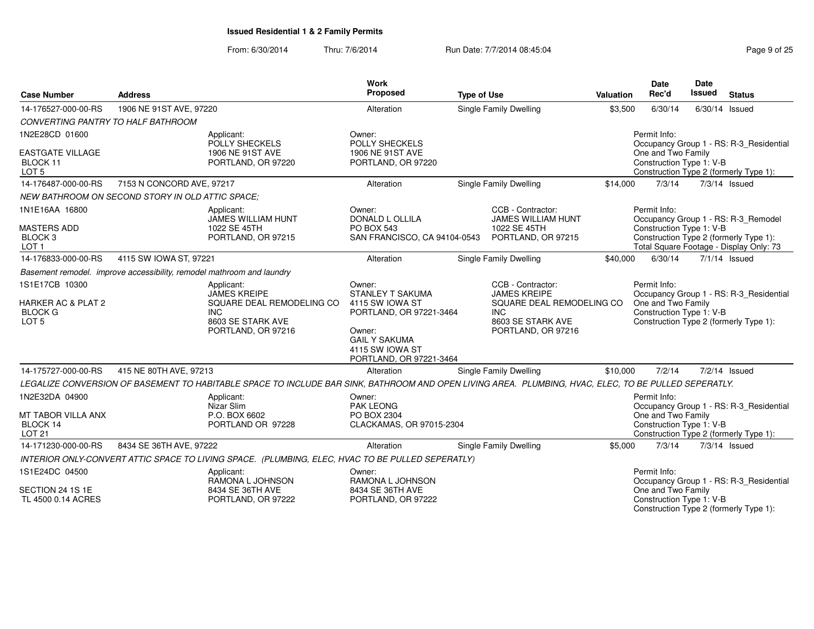| <b>Case Number</b><br><b>Address</b>                                           |                                                                       |                                                                                                                                                      | Work<br>Proposed                                                                                                                                                | <b>Type of Use</b> |                                                                                                                                | Valuation | <b>Date</b><br>Rec'd                                           | Date<br>Issued | <b>Status</b>                                                                                                            |
|--------------------------------------------------------------------------------|-----------------------------------------------------------------------|------------------------------------------------------------------------------------------------------------------------------------------------------|-----------------------------------------------------------------------------------------------------------------------------------------------------------------|--------------------|--------------------------------------------------------------------------------------------------------------------------------|-----------|----------------------------------------------------------------|----------------|--------------------------------------------------------------------------------------------------------------------------|
| 14-176527-000-00-RS                                                            | 1906 NE 91ST AVE, 97220                                               |                                                                                                                                                      | Alteration                                                                                                                                                      |                    | <b>Single Family Dwelling</b>                                                                                                  | \$3,500   | 6/30/14                                                        |                | 6/30/14 Issued                                                                                                           |
| CONVERTING PANTRY TO HALF BATHROOM                                             |                                                                       |                                                                                                                                                      |                                                                                                                                                                 |                    |                                                                                                                                |           |                                                                |                |                                                                                                                          |
| 1N2E28CD 01600                                                                 |                                                                       | Applicant:<br>POLLY SHECKELS                                                                                                                         | Owner:<br><b>POLLY SHECKELS</b>                                                                                                                                 |                    |                                                                                                                                |           | Permit Info:                                                   |                | Occupancy Group 1 - RS: R-3_Residential                                                                                  |
| <b>EASTGATE VILLAGE</b><br>BLOCK 11<br>LOT <sub>5</sub>                        |                                                                       | 1906 NE 91ST AVE<br>PORTLAND, OR 97220                                                                                                               | 1906 NE 91ST AVE<br>PORTLAND, OR 97220                                                                                                                          |                    |                                                                                                                                |           | One and Two Family<br>Construction Type 1: V-B                 |                | Construction Type 2 (formerly Type 1):                                                                                   |
| 14-176487-000-00-RS                                                            | 7153 N CONCORD AVE, 97217                                             |                                                                                                                                                      | Alteration                                                                                                                                                      |                    | Single Family Dwelling                                                                                                         | \$14,000  | 7/3/14                                                         |                | 7/3/14 Issued                                                                                                            |
|                                                                                | <b>NEW BATHROOM ON SECOND STORY IN OLD ATTIC SPACE:</b>               |                                                                                                                                                      |                                                                                                                                                                 |                    |                                                                                                                                |           |                                                                |                |                                                                                                                          |
| 1N1E16AA 16800<br><b>MASTERS ADD</b><br>BLOCK <sub>3</sub><br>LOT <sub>1</sub> |                                                                       | Applicant:<br><b>JAMES WILLIAM HUNT</b><br>1022 SE 45TH<br>PORTLAND, OR 97215                                                                        | Owner:<br>DONALD L OLLILA<br><b>PO BOX 543</b><br>SAN FRANCISCO, CA 94104-0543                                                                                  |                    | CCB - Contractor:<br><b>JAMES WILLIAM HUNT</b><br>1022 SE 45TH<br>PORTLAND, OR 97215                                           |           | Permit Info:<br>Construction Type 1: V-B                       |                | Occupancy Group 1 - RS: R-3_Remodel<br>Construction Type 2 (formerly Type 1):<br>Total Square Footage - Display Only: 73 |
| 14-176833-000-00-RS                                                            | 4115 SW IOWA ST, 97221                                                |                                                                                                                                                      | Alteration                                                                                                                                                      |                    | <b>Single Family Dwelling</b>                                                                                                  | \$40,000  | 6/30/14                                                        |                | $7/1/14$ Issued                                                                                                          |
|                                                                                | Basement remodel. improve accessibility, remodel mathroom and laundry |                                                                                                                                                      |                                                                                                                                                                 |                    |                                                                                                                                |           |                                                                |                |                                                                                                                          |
| 1S1E17CB 10300<br>HARKER AC & PLAT 2<br><b>BLOCK G</b><br>LOT <sub>5</sub>     |                                                                       | Applicant:<br><b>JAMES KREIPE</b><br>SQUARE DEAL REMODELING CO<br><b>INC</b><br>8603 SE STARK AVE<br>PORTLAND, OR 97216                              | Owner:<br><b>STANLEY T SAKUMA</b><br>4115 SW IOWA ST<br>PORTLAND, OR 97221-3464<br>Owner:<br><b>GAIL Y SAKUMA</b><br>4115 SW IOWA ST<br>PORTLAND, OR 97221-3464 |                    | CCB - Contractor:<br><b>JAMES KREIPE</b><br>SQUARE DEAL REMODELING CO<br><b>INC</b><br>8603 SE STARK AVE<br>PORTLAND, OR 97216 |           | Permit Info:<br>One and Two Family<br>Construction Type 1: V-B |                | Occupancy Group 1 - RS: R-3 Residential<br>Construction Type 2 (formerly Type 1):                                        |
| 14-175727-000-00-RS                                                            | 415 NE 80TH AVE, 97213                                                |                                                                                                                                                      | Alteration                                                                                                                                                      |                    | Single Family Dwelling                                                                                                         | \$10,000  | 7/2/14                                                         |                | 7/2/14 Issued                                                                                                            |
|                                                                                |                                                                       | LEGALIZE CONVERSION OF BASEMENT TO HABITABLE SPACE TO INCLUDE BAR SINK, BATHROOM AND OPEN LIVING AREA. PLUMBING, HVAC, ELEC, TO BE PULLED SEPERATLY. |                                                                                                                                                                 |                    |                                                                                                                                |           |                                                                |                |                                                                                                                          |
| 1N2E32DA 04900<br>MT TABOR VILLA ANX<br>BLOCK 14<br><b>LOT 21</b>              |                                                                       | Applicant:<br>Nizar Slim<br>P.O. BOX 6602<br>PORTLAND OR 97228                                                                                       | Owner:<br><b>PAK LEONG</b><br>PO BOX 2304<br>CLACKAMAS, OR 97015-2304                                                                                           |                    |                                                                                                                                |           | Permit Info:<br>One and Two Family<br>Construction Type 1: V-B |                | Occupancy Group 1 - RS: R-3_Residential<br>Construction Type 2 (formerly Type 1):                                        |
| 14-171230-000-00-RS                                                            | 8434 SE 36TH AVE, 97222                                               |                                                                                                                                                      | Alteration                                                                                                                                                      |                    | <b>Single Family Dwelling</b>                                                                                                  | \$5,000   | 7/3/14                                                         |                | $7/3/14$ Issued                                                                                                          |
|                                                                                |                                                                       | INTERIOR ONLY-CONVERT ATTIC SPACE TO LIVING SPACE. (PLUMBING, ELEC, HVAC TO BE PULLED SEPERATLY)                                                     |                                                                                                                                                                 |                    |                                                                                                                                |           |                                                                |                |                                                                                                                          |
| 1S1E24DC 04500                                                                 |                                                                       | Applicant:<br>RAMONA L JOHNSON                                                                                                                       | Owner:<br>RAMONA L JOHNSON                                                                                                                                      |                    |                                                                                                                                |           | Permit Info:                                                   |                | Occupancy Group 1 - RS: R-3_Residential                                                                                  |
| SECTION 24 1S 1E<br>TL 4500 0.14 ACRES                                         |                                                                       | 8434 SE 36TH AVE<br>PORTLAND, OR 97222                                                                                                               | 8434 SE 36TH AVE<br>PORTLAND, OR 97222                                                                                                                          |                    |                                                                                                                                |           | One and Two Family<br>Construction Type 1: V-B                 |                | Construction Type 2 (formerly Type 1):                                                                                   |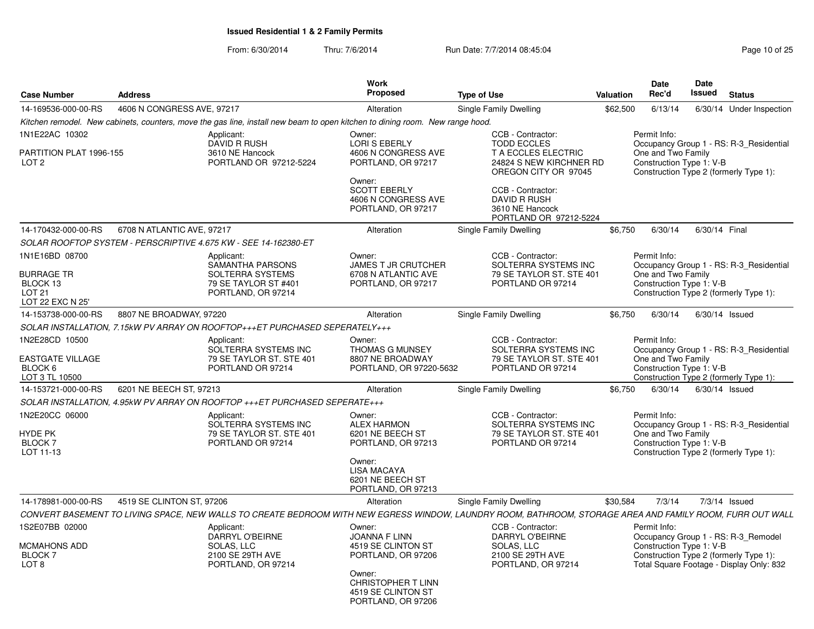| <b>Case Number</b>                                                                   | <b>Address</b>             |                                                                                                                              | Work<br><b>Proposed</b>                                                                                                                                | <b>Type of Use</b>                                                                                                                                                                                         | Valuation | <b>Date</b><br>Rec'd                                           | Date<br><b>Issued</b> | <b>Status</b>                                                                                                             |
|--------------------------------------------------------------------------------------|----------------------------|------------------------------------------------------------------------------------------------------------------------------|--------------------------------------------------------------------------------------------------------------------------------------------------------|------------------------------------------------------------------------------------------------------------------------------------------------------------------------------------------------------------|-----------|----------------------------------------------------------------|-----------------------|---------------------------------------------------------------------------------------------------------------------------|
| 14-169536-000-00-RS                                                                  | 4606 N CONGRESS AVE, 97217 |                                                                                                                              | Alteration                                                                                                                                             | Single Family Dwelling                                                                                                                                                                                     | \$62,500  | 6/13/14                                                        |                       | 6/30/14 Under Inspection                                                                                                  |
|                                                                                      |                            | Kitchen remodel. New cabinets, counters, move the gas line, install new beam to open kitchen to dining room. New range hood. |                                                                                                                                                        |                                                                                                                                                                                                            |           |                                                                |                       |                                                                                                                           |
| 1N1E22AC 10302<br>PARTITION PLAT 1996-155<br>LOT <sub>2</sub>                        |                            | Applicant:<br><b>DAVID R RUSH</b><br>3610 NE Hancock<br>PORTLAND OR 97212-5224                                               | Owner:<br>LORI S EBERLY<br>4606 N CONGRESS AVE<br>PORTLAND, OR 97217<br>Owner:<br><b>SCOTT EBERLY</b><br>4606 N CONGRESS AVE<br>PORTLAND, OR 97217     | CCB - Contractor:<br><b>TODD ECCLES</b><br><b>T A ECCLES ELECTRIC</b><br>24824 S NEW KIRCHNER RD<br>OREGON CITY OR 97045<br>CCB - Contractor:<br>DAVID R RUSH<br>3610 NE Hancock<br>PORTLAND OR 97212-5224 |           | Permit Info:<br>One and Two Family<br>Construction Type 1: V-B |                       | Occupancy Group 1 - RS: R-3 Residential<br>Construction Type 2 (formerly Type 1):                                         |
| 14-170432-000-00-RS                                                                  | 6708 N ATLANTIC AVE, 97217 |                                                                                                                              | Alteration                                                                                                                                             | Single Family Dwelling                                                                                                                                                                                     | \$6,750   | 6/30/14                                                        | 6/30/14 Final         |                                                                                                                           |
|                                                                                      |                            | SOLAR ROOFTOP SYSTEM - PERSCRIPTIVE 4.675 KW - SEE 14-162380-ET                                                              |                                                                                                                                                        |                                                                                                                                                                                                            |           |                                                                |                       |                                                                                                                           |
| 1N1E16BD 08700<br><b>BURRAGE TR</b><br>BLOCK 13<br><b>LOT 21</b><br>LOT 22 EXC N 25' |                            | Applicant:<br>SAMANTHA PARSONS<br>SOLTERRA SYSTEMS<br>79 SE TAYLOR ST #401<br>PORTLAND, OR 97214                             | Owner:<br><b>JAMES T JR CRUTCHER</b><br>6708 N ATLANTIC AVE<br>PORTLAND, OR 97217                                                                      | CCB - Contractor:<br>SOLTERRA SYSTEMS INC<br>79 SE TAYLOR ST. STE 401<br>PORTLAND OR 97214                                                                                                                 |           | Permit Info:<br>One and Two Family<br>Construction Type 1: V-B |                       | Occupancy Group 1 - RS: R-3 Residential<br>Construction Type 2 (formerly Type 1):                                         |
| 14-153738-000-00-RS                                                                  | 8807 NE BROADWAY, 97220    |                                                                                                                              | Alteration                                                                                                                                             | Single Family Dwelling                                                                                                                                                                                     | \$6,750   | 6/30/14                                                        | $6/30/14$ Issued      |                                                                                                                           |
|                                                                                      |                            | SOLAR INSTALLATION, 7.15kW PV ARRAY ON ROOFTOP+++ET PURCHASED SEPERATELY+++                                                  |                                                                                                                                                        |                                                                                                                                                                                                            |           |                                                                |                       |                                                                                                                           |
| 1N2E28CD 10500<br><b>EASTGATE VILLAGE</b><br>BLOCK 6<br>LOT 3 TL 10500               |                            | Applicant:<br>SOLTERRA SYSTEMS INC<br>79 SE TAYLOR ST. STE 401<br>PORTLAND OR 97214                                          | Owner:<br><b>THOMAS G MUNSEY</b><br>8807 NE BROADWAY<br>PORTLAND, OR 97220-5632                                                                        | CCB - Contractor:<br>SOLTERRA SYSTEMS INC<br>79 SE TAYLOR ST. STE 401<br>PORTLAND OR 97214                                                                                                                 |           | Permit Info:<br>One and Two Family<br>Construction Type 1: V-B |                       | Occupancy Group 1 - RS: R-3 Residential<br>Construction Type 2 (formerly Type 1):                                         |
| 14-153721-000-00-RS                                                                  | 6201 NE BEECH ST, 97213    |                                                                                                                              | Alteration                                                                                                                                             | Single Family Dwelling                                                                                                                                                                                     | \$6,750   | 6/30/14                                                        | $6/30/14$ Issued      |                                                                                                                           |
|                                                                                      |                            | SOLAR INSTALLATION, 4.95kW PV ARRAY ON ROOFTOP +++ET PURCHASED SEPERATE+++                                                   |                                                                                                                                                        |                                                                                                                                                                                                            |           |                                                                |                       |                                                                                                                           |
| 1N2E20CC 06000<br>HYDE PK<br>BLOCK <sub>7</sub><br>LOT 11-13                         |                            | Applicant:<br>SOLTERRA SYSTEMS INC<br>79 SE TAYLOR ST. STE 401<br>PORTLAND OR 97214                                          | Owner:<br><b>ALEX HARMON</b><br>6201 NE BEECH ST<br>PORTLAND, OR 97213<br>Owner:<br><b>LISA MACAYA</b><br>6201 NE BEECH ST<br>PORTLAND, OR 97213       | CCB - Contractor:<br>SOLTERRA SYSTEMS INC<br>79 SE TAYLOR ST. STE 401<br>PORTLAND OR 97214                                                                                                                 |           | Permit Info:<br>One and Two Family<br>Construction Type 1: V-B |                       | Occupancy Group 1 - RS: R-3 Residential<br>Construction Type 2 (formerly Type 1):                                         |
| 14-178981-000-00-RS                                                                  | 4519 SE CLINTON ST, 97206  |                                                                                                                              | Alteration                                                                                                                                             | Single Family Dwelling                                                                                                                                                                                     | \$30,584  | 7/3/14                                                         |                       | 7/3/14 Issued                                                                                                             |
|                                                                                      |                            |                                                                                                                              |                                                                                                                                                        | CONVERT BASEMENT TO LIVING SPACE, NEW WALLS TO CREATE BEDROOM WITH NEW EGRESS WINDOW, LAUNDRY ROOM, BATHROOM, STORAGE AREA AND FAMILY ROOM, FURR OUT WALL                                                  |           |                                                                |                       |                                                                                                                           |
| 1S2E07BB 02000<br><b>MCMAHONS ADD</b><br><b>BLOCK7</b><br>LOT <sub>8</sub>           |                            | Applicant:<br>DARRYL O'BEIRNE<br>SOLAS, LLC<br>2100 SE 29TH AVE<br>PORTLAND, OR 97214                                        | Owner:<br>JOANNA F LINN<br>4519 SE CLINTON ST<br>PORTLAND, OR 97206<br>Owner:<br><b>CHRISTOPHER T LINN</b><br>4519 SE CLINTON ST<br>PORTLAND, OR 97206 | CCB - Contractor:<br>DARRYL O'BEIRNE<br>SOLAS, LLC<br>2100 SE 29TH AVE<br>PORTLAND, OR 97214                                                                                                               |           | Permit Info:<br>Construction Type 1: V-B                       |                       | Occupancy Group 1 - RS: R-3_Remodel<br>Construction Type 2 (formerly Type 1):<br>Total Square Footage - Display Only: 832 |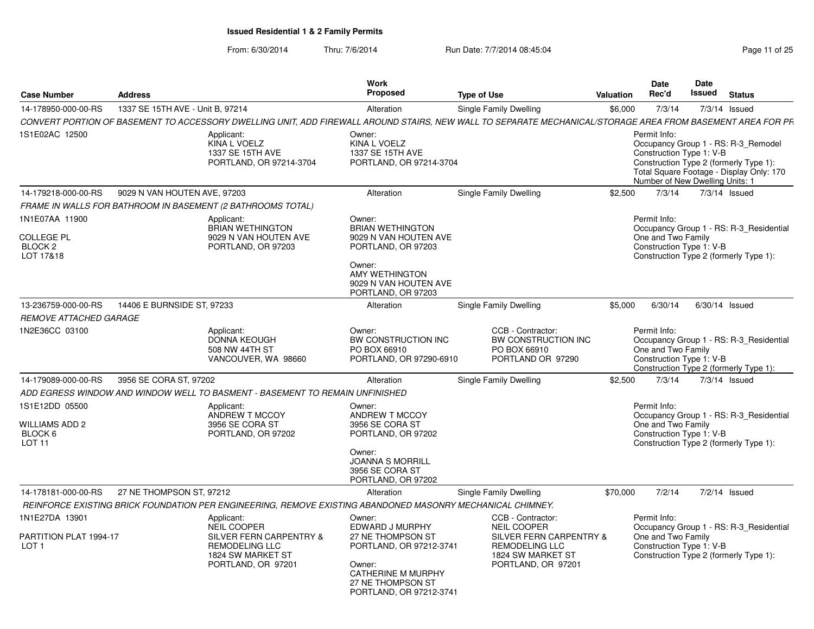From: 6/30/2014

| <b>Case Number</b>                                                     | <b>Address</b>                   |                                                                                                                                                            | Work<br>Proposed                                                                                                                                                   | <b>Type of Use</b>                                                                          | Valuation | <b>Date</b><br>Rec'd                                                        | Date<br>Issued | <b>Status</b>                                                                                                             |
|------------------------------------------------------------------------|----------------------------------|------------------------------------------------------------------------------------------------------------------------------------------------------------|--------------------------------------------------------------------------------------------------------------------------------------------------------------------|---------------------------------------------------------------------------------------------|-----------|-----------------------------------------------------------------------------|----------------|---------------------------------------------------------------------------------------------------------------------------|
| 14-178950-000-00-RS                                                    | 1337 SE 15TH AVE - Unit B. 97214 |                                                                                                                                                            | Alteration                                                                                                                                                         | Single Family Dwelling                                                                      | \$6.000   | 7/3/14                                                                      |                | 7/3/14 Issued                                                                                                             |
|                                                                        |                                  | CONVERT PORTION OF BASEMENT TO ACCESSORY DWELLING UNIT, ADD FIREWALL AROUND STAIRS, NEW WALL TO SEPARATE MECHANICAL/STORAGE AREA FROM BASEMENT AREA FOR PF |                                                                                                                                                                    |                                                                                             |           |                                                                             |                |                                                                                                                           |
| 1S1E02AC 12500                                                         |                                  | Applicant:<br>KINA L VOELZ<br>1337 SE 15TH AVE<br>PORTLAND, OR 97214-3704                                                                                  | Owner:<br>KINA L VOELZ<br>1337 SE 15TH AVE<br>PORTLAND, OR 97214-3704                                                                                              |                                                                                             |           | Permit Info:<br>Construction Type 1: V-B<br>Number of New Dwelling Units: 1 |                | Occupancy Group 1 - RS: R-3 Remodel<br>Construction Type 2 (formerly Type 1):<br>Total Square Footage - Display Only: 170 |
| 14-179218-000-00-RS                                                    | 9029 N VAN HOUTEN AVE, 97203     |                                                                                                                                                            | Alteration                                                                                                                                                         | Single Family Dwelling                                                                      | \$2,500   | 7/3/14                                                                      |                | 7/3/14 Issued                                                                                                             |
|                                                                        |                                  | FRAME IN WALLS FOR BATHROOM IN BASEMENT (2 BATHROOMS TOTAL)                                                                                                |                                                                                                                                                                    |                                                                                             |           |                                                                             |                |                                                                                                                           |
| 1N1E07AA 11900<br><b>COLLEGE PL</b><br>BLOCK <sub>2</sub><br>LOT 17&18 |                                  | Applicant:<br><b>BRIAN WETHINGTON</b><br>9029 N VAN HOUTEN AVE<br>PORTLAND, OR 97203                                                                       | Owner:<br><b>BRIAN WETHINGTON</b><br>9029 N VAN HOUTEN AVE<br>PORTLAND, OR 97203<br>Owner:<br><b>AMY WETHINGTON</b><br>9029 N VAN HOUTEN AVE<br>PORTLAND, OR 97203 |                                                                                             |           | Permit Info:<br>One and Two Family<br>Construction Type 1: V-B              |                | Occupancy Group 1 - RS: R-3 Residential<br>Construction Type 2 (formerly Type 1):                                         |
| 13-236759-000-00-RS                                                    | 14406 E BURNSIDE ST, 97233       |                                                                                                                                                            | Alteration                                                                                                                                                         | Single Family Dwelling                                                                      | \$5.000   | 6/30/14                                                                     |                | 6/30/14 Issued                                                                                                            |
| <b>REMOVE ATTACHED GARAGE</b>                                          |                                  |                                                                                                                                                            |                                                                                                                                                                    |                                                                                             |           |                                                                             |                |                                                                                                                           |
| 1N2E36CC 03100                                                         |                                  | Applicant:<br><b>DONNA KEOUGH</b><br>508 NW 44TH ST<br>VANCOUVER, WA 98660                                                                                 | Owner:<br>BW CONSTRUCTION INC<br>PO BOX 66910<br>PORTLAND, OR 97290-6910                                                                                           | CCB - Contractor:<br>BW CONSTRUCTION INC<br>PO BOX 66910<br>PORTLAND OR 97290               |           | Permit Info:<br>One and Two Family<br>Construction Type 1: V-B              |                | Occupancy Group 1 - RS: R-3 Residential<br>Construction Type 2 (formerly Type 1):                                         |
| 14-179089-000-00-RS                                                    | 3956 SE CORA ST, 97202           |                                                                                                                                                            | Alteration                                                                                                                                                         | Single Family Dwelling                                                                      | \$2,500   | 7/3/14                                                                      |                | $7/3/14$ Issued                                                                                                           |
|                                                                        |                                  | ADD EGRESS WINDOW AND WINDOW WELL TO BASMENT - BASEMENT TO REMAIN UNFINISHED                                                                               |                                                                                                                                                                    |                                                                                             |           |                                                                             |                |                                                                                                                           |
| 1S1E12DD 05500<br>WILLIAMS ADD 2<br>BLOCK 6<br>LOT <sub>11</sub>       |                                  | Applicant:<br>ANDREW T MCCOY<br>3956 SE CORA ST<br>PORTLAND, OR 97202                                                                                      | Owner:<br>ANDREW T MCCOY<br>3956 SE CORA ST<br>PORTLAND, OR 97202<br>Owner:<br><b>JOANNA S MORRILL</b><br>3956 SE CORA ST<br>PORTLAND, OR 97202                    |                                                                                             |           | Permit Info:<br>One and Two Family<br>Construction Type 1: V-B              |                | Occupancy Group 1 - RS: R-3 Residential<br>Construction Type 2 (formerly Type 1):                                         |
| 14-178181-000-00-RS                                                    | 27 NE THOMPSON ST, 97212         |                                                                                                                                                            | Alteration                                                                                                                                                         | Single Family Dwelling                                                                      | \$70,000  | 7/2/14                                                                      |                | 7/2/14 Issued                                                                                                             |
|                                                                        |                                  | REINFORCE EXISTING BRICK FOUNDATION PER ENGINEERING, REMOVE EXISTING ABANDONED MASONRY MECHANICAL CHIMNEY.                                                 |                                                                                                                                                                    |                                                                                             |           |                                                                             |                |                                                                                                                           |
| 1N1E27DA 13901                                                         |                                  | Applicant:<br><b>NEIL COOPER</b>                                                                                                                           | Owner:<br>EDWARD J MURPHY                                                                                                                                          | CCB - Contractor:<br><b>NEIL COOPER</b>                                                     |           | Permit Info:                                                                |                | Occupancy Group 1 - RS: R-3 Residential                                                                                   |
| PARTITION PLAT 1994-17<br>LOT <sub>1</sub>                             |                                  | SILVER FERN CARPENTRY &<br><b>REMODELING LLC</b><br>1824 SW MARKET ST<br>PORTLAND, OR 97201                                                                | 27 NE THOMPSON ST<br>PORTLAND, OR 97212-3741<br>Owner:<br><b>CATHERINE M MURPHY</b><br>27 NE THOMPSON ST<br>PORTLAND, OR 97212-3741                                | SILVER FERN CARPENTRY &<br><b>REMODELING LLC</b><br>1824 SW MARKET ST<br>PORTLAND, OR 97201 |           | One and Two Family<br>Construction Type 1: V-B                              |                | Construction Type 2 (formerly Type 1):                                                                                    |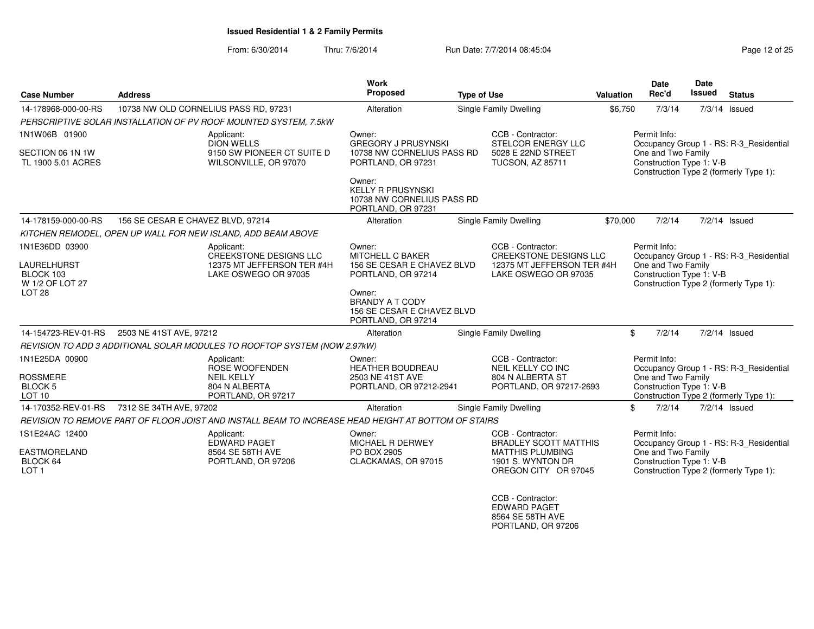From: 6/30/2014Thru: 7/6/2014 Run Date: 7/7/2014 08:45:04 Run Date: 7/7/2014 08:45:04

| <b>Case Number</b>                                                                        | <b>Address</b>                                                                                      | Work<br><b>Proposed</b>                                                                                                                                                            | <b>Type of Use</b>                                                                                                        | Valuation | Date<br>Rec'd                                                  | <b>Date</b><br><b>Issued</b> | <b>Status</b>                                                                     |
|-------------------------------------------------------------------------------------------|-----------------------------------------------------------------------------------------------------|------------------------------------------------------------------------------------------------------------------------------------------------------------------------------------|---------------------------------------------------------------------------------------------------------------------------|-----------|----------------------------------------------------------------|------------------------------|-----------------------------------------------------------------------------------|
| 14-178968-000-00-RS                                                                       | 10738 NW OLD CORNELIUS PASS RD, 97231                                                               | Alteration                                                                                                                                                                         | Single Family Dwelling                                                                                                    | \$6,750   | 7/3/14                                                         |                              | 7/3/14 Issued                                                                     |
|                                                                                           | PERSCRIPTIVE SOLAR INSTALLATION OF PV ROOF MOUNTED SYSTEM, 7.5kW                                    |                                                                                                                                                                                    |                                                                                                                           |           |                                                                |                              |                                                                                   |
| 1N1W06B 01900<br>SECTION 06 1N 1W<br>TL 1900 5.01 ACRES                                   | Applicant:<br><b>DION WELLS</b><br>9150 SW PIONEER CT SUITE D<br>WILSONVILLE, OR 97070              | Owner:<br><b>GREGORY J PRUSYNSKI</b><br>10738 NW CORNELIUS PASS RD<br>PORTLAND, OR 97231<br>Owner:<br><b>KELLY R PRUSYNSKI</b><br>10738 NW CORNELIUS PASS RD<br>PORTLAND, OR 97231 | CCB - Contractor:<br>STELCOR ENERGY LLC<br>5028 E 22ND STREET<br>TUCSON, AZ 85711                                         |           | Permit Info:<br>One and Two Family<br>Construction Type 1: V-B |                              | Occupancy Group 1 - RS: R-3 Residential<br>Construction Type 2 (formerly Type 1): |
| 14-178159-000-00-RS                                                                       | 156 SE CESAR E CHAVEZ BLVD, 97214                                                                   | Alteration                                                                                                                                                                         | <b>Single Family Dwelling</b>                                                                                             | \$70,000  | 7/2/14                                                         |                              | $7/2/14$ Issued                                                                   |
|                                                                                           | KITCHEN REMODEL, OPEN UP WALL FOR NEW ISLAND, ADD BEAM ABOVE                                        |                                                                                                                                                                                    |                                                                                                                           |           |                                                                |                              |                                                                                   |
| 1N1E36DD 03900<br><b>LAURELHURST</b><br>BLOCK 103<br>W 1/2 OF LOT 27<br>LOT <sub>28</sub> | Applicant:<br><b>CREEKSTONE DESIGNS LLC</b><br>12375 MT JEFFERSON TER #4H<br>LAKE OSWEGO OR 97035   | Owner:<br>MITCHELL C BAKER<br>156 SE CESAR E CHAVEZ BLVD<br>PORTLAND, OR 97214<br>Owner:<br><b>BRANDY A T CODY</b><br>156 SE CESAR E CHAVEZ BLVD<br>PORTLAND, OR 97214             | CCB - Contractor:<br><b>CREEKSTONE DESIGNS LLC</b><br>12375 MT JEFFERSON TER #4H<br>LAKE OSWEGO OR 97035                  |           | Permit Info:<br>One and Two Family<br>Construction Type 1: V-B |                              | Occupancy Group 1 - RS: R-3_Residential<br>Construction Type 2 (formerly Type 1): |
| 14-154723-REV-01-RS                                                                       | 2503 NE 41ST AVE, 97212                                                                             | Alteration                                                                                                                                                                         | Single Family Dwelling                                                                                                    |           | \$<br>7/2/14                                                   |                              | $7/2/14$ Issued                                                                   |
|                                                                                           | REVISION TO ADD 3 ADDITIONAL SOLAR MODULES TO ROOFTOP SYSTEM (NOW 2.97kW)                           |                                                                                                                                                                                    |                                                                                                                           |           |                                                                |                              |                                                                                   |
| 1N1E25DA 00900<br><b>ROSSMERE</b><br><b>BLOCK 5</b><br>LOT <sub>10</sub>                  | Applicant:<br><b>ROSE WOOFENDEN</b><br><b>NEIL KELLY</b><br>804 N ALBERTA<br>PORTLAND, OR 97217     | Owner:<br><b>HEATHER BOUDREAU</b><br>2503 NE 41ST AVE<br>PORTLAND, OR 97212-2941                                                                                                   | CCB - Contractor:<br>NEIL KELLY CO INC<br>804 N ALBERTA ST<br>PORTLAND, OR 97217-2693                                     |           | Permit Info:<br>One and Two Family<br>Construction Type 1: V-B |                              | Occupancy Group 1 - RS: R-3_Residential<br>Construction Type 2 (formerly Type 1): |
| 14-170352-REV-01-RS                                                                       | 7312 SE 34TH AVE, 97202                                                                             | Alteration                                                                                                                                                                         | Single Family Dwelling                                                                                                    |           | \$<br>7/2/14                                                   |                              | 7/2/14 Issued                                                                     |
|                                                                                           | REVISION TO REMOVE PART OF FLOOR JOIST AND INSTALL BEAM TO INCREASE HEAD HEIGHT AT BOTTOM OF STAIRS |                                                                                                                                                                                    |                                                                                                                           |           |                                                                |                              |                                                                                   |
| 1S1E24AC 12400<br><b>EASTMORELAND</b><br>BLOCK 64<br>LOT <sub>1</sub>                     | Applicant:<br><b>EDWARD PAGET</b><br>8564 SE 58TH AVE<br>PORTLAND, OR 97206                         | Owner:<br><b>MICHAEL R DERWEY</b><br>PO BOX 2905<br>CLACKAMAS, OR 97015                                                                                                            | CCB - Contractor:<br><b>BRADLEY SCOTT MATTHIS</b><br><b>MATTHIS PLUMBING</b><br>1901 S. WYNTON DR<br>OREGON CITY OR 97045 |           | Permit Info:<br>One and Two Family<br>Construction Type 1: V-B |                              | Occupancy Group 1 - RS: R-3_Residential<br>Construction Type 2 (formerly Type 1): |
|                                                                                           |                                                                                                     |                                                                                                                                                                                    | CCB - Contractor:                                                                                                         |           |                                                                |                              |                                                                                   |

 EDWARD PAGET8564 SE 58TH AVE PORTLAND, OR 97206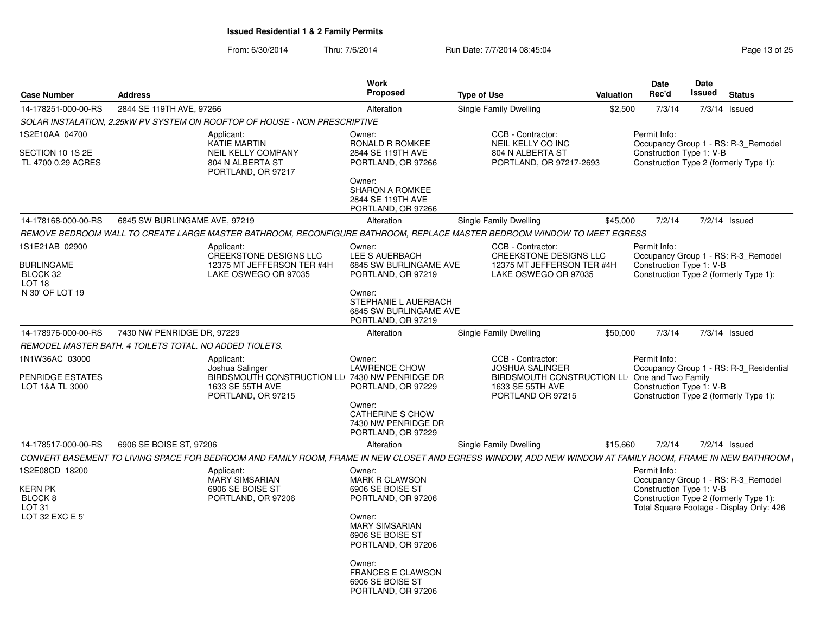From: 6/30/2014

| <b>Case Number</b>                             | <b>Address</b>                                          |                                                                                                                                                             | <b>Work</b><br><b>Proposed</b>                                                 | <b>Type of Use</b>                                                                                                | Valuation | <b>Date</b><br>Rec'd                     | <b>Date</b><br><b>Issued</b> | <b>Status</b>                                                                      |
|------------------------------------------------|---------------------------------------------------------|-------------------------------------------------------------------------------------------------------------------------------------------------------------|--------------------------------------------------------------------------------|-------------------------------------------------------------------------------------------------------------------|-----------|------------------------------------------|------------------------------|------------------------------------------------------------------------------------|
| 14-178251-000-00-RS                            | 2844 SE 119TH AVE, 97266                                |                                                                                                                                                             | Alteration                                                                     | Single Family Dwelling                                                                                            | \$2,500   | 7/3/14                                   | 7/3/14 Issued                |                                                                                    |
|                                                |                                                         | SOLAR INSTALATION, 2.25kW PV SYSTEM ON ROOFTOP OF HOUSE - NON PRESCRIPTIVE                                                                                  |                                                                                |                                                                                                                   |           |                                          |                              |                                                                                    |
| 1S2E10AA 04700<br>SECTION 10 1S 2E             |                                                         | Applicant:<br><b>KATIE MARTIN</b><br><b>NEIL KELLY COMPANY</b>                                                                                              | Owner:<br>RONALD R ROMKEE<br>2844 SE 119TH AVE                                 | CCB - Contractor:<br>NEIL KELLY CO INC<br>804 N ALBERTA ST                                                        |           | Permit Info:<br>Construction Type 1: V-B |                              | Occupancy Group 1 - RS: R-3_Remodel                                                |
| TL 4700 0.29 ACRES                             |                                                         | 804 N ALBERTA ST<br>PORTLAND, OR 97217                                                                                                                      | PORTLAND, OR 97266<br>Owner:                                                   | PORTLAND, OR 97217-2693                                                                                           |           |                                          |                              | Construction Type 2 (formerly Type 1):                                             |
|                                                |                                                         |                                                                                                                                                             | <b>SHARON A ROMKEE</b><br>2844 SE 119TH AVE<br>PORTLAND, OR 97266              |                                                                                                                   |           |                                          |                              |                                                                                    |
| 14-178168-000-00-RS                            | 6845 SW BURLINGAME AVE, 97219                           |                                                                                                                                                             | Alteration                                                                     | Single Family Dwelling                                                                                            | \$45,000  | 7/2/14                                   | 7/2/14 Issued                |                                                                                    |
|                                                |                                                         | REMOVE BEDROOM WALL TO CREATE LARGE MASTER BATHROOM, RECONFIGURE BATHROOM, REPLACE MASTER BEDROOM WINDOW TO MEET EGRESS                                     |                                                                                |                                                                                                                   |           |                                          |                              |                                                                                    |
| 1S1E21AB 02900                                 |                                                         | Applicant:                                                                                                                                                  | Owner:                                                                         | CCB - Contractor:                                                                                                 |           | Permit Info:                             |                              |                                                                                    |
| <b>BURLINGAME</b><br>BLOCK 32<br><b>LOT 18</b> |                                                         | <b>CREEKSTONE DESIGNS LLC</b><br>12375 MT JEFFERSON TER #4H<br>LAKE OSWEGO OR 97035                                                                         | <b>LEE S AUERBACH</b><br>6845 SW BURLINGAME AVE<br>PORTLAND, OR 97219          | <b>CREEKSTONE DESIGNS LLC</b><br>12375 MT JEFFERSON TER #4H<br>LAKE OSWEGO OR 97035                               |           | Construction Type 1: V-B                 |                              | Occupancy Group 1 - RS: R-3 Remodel<br>Construction Type 2 (formerly Type 1):      |
| N 30' OF LOT 19                                |                                                         |                                                                                                                                                             | Owner:<br>STEPHANIE L AUERBACH<br>6845 SW BURLINGAME AVE<br>PORTLAND, OR 97219 |                                                                                                                   |           |                                          |                              |                                                                                    |
| 14-178976-000-00-RS                            | 7430 NW PENRIDGE DR, 97229                              |                                                                                                                                                             | Alteration                                                                     | Single Family Dwelling                                                                                            | \$50,000  | 7/3/14                                   | $7/3/14$ Issued              |                                                                                    |
|                                                | REMODEL MASTER BATH. 4 TOILETS TOTAL. NO ADDED TIOLETS. |                                                                                                                                                             |                                                                                |                                                                                                                   |           |                                          |                              |                                                                                    |
| 1N1W36AC 03000                                 |                                                         | Applicant:                                                                                                                                                  | Owner:                                                                         | CCB - Contractor:                                                                                                 |           | Permit Info:                             |                              |                                                                                    |
| PENRIDGE ESTATES<br>LOT 1&A TL 3000            |                                                         | Joshua Salinger<br>BIRDSMOUTH CONSTRUCTION LL 7430 NW PENRIDGE DR<br>1633 SE 55TH AVE<br>PORTLAND, OR 97215                                                 | <b>LAWRENCE CHOW</b><br>PORTLAND, OR 97229                                     | <b>JOSHUA SALINGER</b><br>BIRDSMOUTH CONSTRUCTION LLI One and Two Family<br>1633 SE 55TH AVE<br>PORTLAND OR 97215 |           | Construction Type 1: V-B                 |                              | Occupancy Group 1 - RS: R-3_Residential<br>Construction Type 2 (formerly Type 1):  |
|                                                |                                                         |                                                                                                                                                             | Owner:<br>CATHERINE S CHOW<br>7430 NW PENRIDGE DR<br>PORTLAND, OR 97229        |                                                                                                                   |           |                                          |                              |                                                                                    |
| 14-178517-000-00-RS                            | 6906 SE BOISE ST, 97206                                 |                                                                                                                                                             | Alteration                                                                     | Single Family Dwelling                                                                                            | \$15,660  | 7/2/14                                   | 7/2/14 Issued                |                                                                                    |
|                                                |                                                         | CONVERT BASEMENT TO LIVING SPACE FOR BEDROOM AND FAMILY ROOM, FRAME IN NEW CLOSET AND EGRESS WINDOW, ADD NEW WINDOW AT FAMILY ROOM, FRAME IN NEW BATHROOM ( |                                                                                |                                                                                                                   |           |                                          |                              |                                                                                    |
| 1S2E08CD 18200                                 |                                                         | Applicant:                                                                                                                                                  | Owner:                                                                         |                                                                                                                   |           | Permit Info:                             |                              |                                                                                    |
| <b>KERN PK</b>                                 |                                                         | <b>MARY SIMSARIAN</b><br>6906 SE BOISE ST                                                                                                                   | <b>MARK R CLAWSON</b><br>6906 SE BOISE ST                                      |                                                                                                                   |           | Construction Type 1: V-B                 |                              | Occupancy Group 1 - RS: R-3_Remodel                                                |
| BLOCK 8<br>LOT <sub>31</sub>                   |                                                         | PORTLAND, OR 97206                                                                                                                                          | PORTLAND, OR 97206                                                             |                                                                                                                   |           |                                          |                              | Construction Type 2 (formerly Type 1):<br>Total Square Footage - Display Only: 426 |
| LOT 32 EXC E 5'                                |                                                         |                                                                                                                                                             | Owner:<br><b>MARY SIMSARIAN</b><br>6906 SE BOISE ST<br>PORTLAND, OR 97206      |                                                                                                                   |           |                                          |                              |                                                                                    |
|                                                |                                                         |                                                                                                                                                             | Owner:<br><b>FRANCES E CLAWSON</b><br>6906 SE BOISE ST<br>PORTLAND, OR 97206   |                                                                                                                   |           |                                          |                              |                                                                                    |
|                                                |                                                         |                                                                                                                                                             |                                                                                |                                                                                                                   |           |                                          |                              |                                                                                    |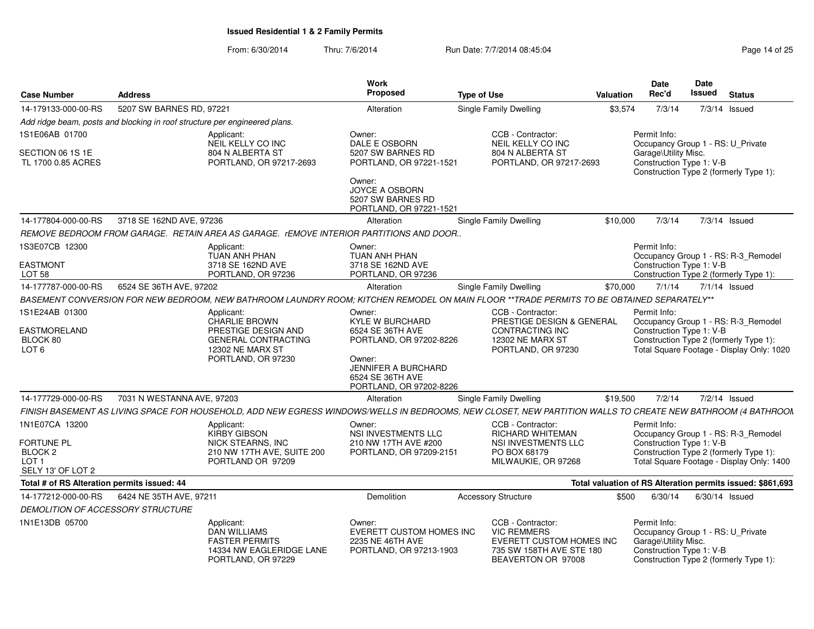| <b>Case Number</b>                                                                                 | <b>Address</b>                                                             |                                                                                                                                   | <b>Work</b><br>Proposed                                                                                                                                         | <b>Type of Use</b>                                                                                                                                          | Valuation | Date<br>Rec'd                                                                                         | <b>Date</b><br>Issued | <b>Status</b>                                                                                                              |
|----------------------------------------------------------------------------------------------------|----------------------------------------------------------------------------|-----------------------------------------------------------------------------------------------------------------------------------|-----------------------------------------------------------------------------------------------------------------------------------------------------------------|-------------------------------------------------------------------------------------------------------------------------------------------------------------|-----------|-------------------------------------------------------------------------------------------------------|-----------------------|----------------------------------------------------------------------------------------------------------------------------|
| 14-179133-000-00-RS                                                                                | 5207 SW BARNES RD, 97221                                                   |                                                                                                                                   | Alteration                                                                                                                                                      | Single Family Dwelling                                                                                                                                      | \$3,574   | 7/3/14                                                                                                |                       | $7/3/14$ Issued                                                                                                            |
|                                                                                                    | Add ridge beam, posts and blocking in roof structure per engineered plans. |                                                                                                                                   |                                                                                                                                                                 |                                                                                                                                                             |           |                                                                                                       |                       |                                                                                                                            |
| 1S1E06AB 01700                                                                                     |                                                                            | Applicant:<br>NEIL KELLY CO INC                                                                                                   | Owner:<br>DALE E OSBORN                                                                                                                                         | CCB - Contractor:<br>NEIL KELLY CO INC                                                                                                                      |           | Permit Info:<br>Occupancy Group 1 - RS: U_Private                                                     |                       |                                                                                                                            |
| SECTION 06 1S 1E<br>TL 1700 0.85 ACRES                                                             |                                                                            | 804 N ALBERTA ST<br>PORTLAND, OR 97217-2693                                                                                       | 5207 SW BARNES RD<br>PORTLAND, OR 97221-1521<br>Owner:<br><b>JOYCE A OSBORN</b>                                                                                 | 804 N ALBERTA ST<br>PORTLAND, OR 97217-2693                                                                                                                 |           | Garage\Utility Misc.<br>Construction Type 1: V-B                                                      |                       | Construction Type 2 (formerly Type 1):                                                                                     |
|                                                                                                    |                                                                            |                                                                                                                                   | 5207 SW BARNES RD<br>PORTLAND, OR 97221-1521                                                                                                                    |                                                                                                                                                             |           |                                                                                                       |                       |                                                                                                                            |
| 14-177804-000-00-RS                                                                                | 3718 SE 162ND AVE, 97236                                                   |                                                                                                                                   | Alteration                                                                                                                                                      | Single Family Dwelling                                                                                                                                      | \$10,000  | 7/3/14                                                                                                |                       | 7/3/14 Issued                                                                                                              |
|                                                                                                    |                                                                            | REMOVE BEDROOM FROM GARAGE. RETAIN AREA AS GARAGE. rEMOVE INTERIOR PARTITIONS AND DOOR.                                           |                                                                                                                                                                 |                                                                                                                                                             |           |                                                                                                       |                       |                                                                                                                            |
| 1S3E07CB 12300                                                                                     |                                                                            | Applicant:<br>TUAN ANH PHAN                                                                                                       | Owner:<br>TUAN ANH PHAN                                                                                                                                         |                                                                                                                                                             |           | Permit Info:                                                                                          |                       | Occupancy Group 1 - RS: R-3 Remodel                                                                                        |
| <b>EASTMONT</b><br>LOT <sub>58</sub>                                                               |                                                                            | 3718 SE 162ND AVE<br>PORTLAND, OR 97236                                                                                           | 3718 SE 162ND AVE<br>PORTLAND, OR 97236                                                                                                                         |                                                                                                                                                             |           | Construction Type 1: V-B                                                                              |                       | Construction Type 2 (formerly Type 1):                                                                                     |
| 14-177787-000-00-RS                                                                                | 6524 SE 36TH AVE, 97202                                                    |                                                                                                                                   | Alteration                                                                                                                                                      | <b>Single Family Dwelling</b>                                                                                                                               | \$70,000  | 7/1/14                                                                                                |                       | $7/1/14$ Issued                                                                                                            |
|                                                                                                    |                                                                            |                                                                                                                                   |                                                                                                                                                                 | BASEMENT CONVERSION FOR NEW BEDROOM, NEW BATHROOM LAUNDRY ROOM; KITCHEN REMODEL ON MAIN FLOOR **TRADE PERMITS TO BE OBTAINED SEPARATELY**                   |           |                                                                                                       |                       |                                                                                                                            |
| 1S1E24AB 01300<br>EASTMORELAND<br>BLOCK 80<br>LOT <sub>6</sub>                                     |                                                                            | Applicant:<br><b>CHARLIE BROWN</b><br>PRESTIGE DESIGN AND<br><b>GENERAL CONTRACTING</b><br>12302 NE MARX ST<br>PORTLAND, OR 97230 | Owner:<br><b>KYLE W BURCHARD</b><br>6524 SE 36TH AVE<br>PORTLAND, OR 97202-8226<br>Owner:<br>JENNIFER A BURCHARD<br>6524 SE 36TH AVE<br>PORTLAND, OR 97202-8226 | CCB - Contractor:<br>PRESTIGE DESIGN & GENERAL<br>CONTRACTING INC<br>12302 NE MARX ST<br>PORTLAND, OR 97230                                                 |           | Permit Info:<br>Construction Type 1: V-B                                                              |                       | Occupancy Group 1 - RS: R-3 Remodel<br>Construction Type 2 (formerly Type 1):<br>Total Square Footage - Display Only: 1020 |
| 14-177729-000-00-RS                                                                                | 7031 N WESTANNA AVE, 97203                                                 |                                                                                                                                   | Alteration                                                                                                                                                      | Single Family Dwelling                                                                                                                                      | \$19,500  | 7/2/14                                                                                                |                       | 7/2/14 Issued                                                                                                              |
|                                                                                                    |                                                                            |                                                                                                                                   |                                                                                                                                                                 | FINISH BASEMENT AS LIVING SPACE FOR HOUSEHOLD, ADD NEW EGRESS WINDOWS/WELLS IN BEDROOMS, NEW CLOSET, NEW PARTITION WALLS TO CREATE NEW BATHROOM (4 BATHROON |           |                                                                                                       |                       |                                                                                                                            |
| 1N1E07CA 13200<br><b>FORTUNE PL</b><br>BLOCK <sub>2</sub><br>LOT <sub>1</sub><br>SELY 13' OF LOT 2 |                                                                            | Applicant:<br><b>KIRBY GIBSON</b><br>NICK STEARNS, INC<br>210 NW 17TH AVE, SUITE 200<br>PORTLAND OR 97209                         | Owner:<br><b>NSI INVESTMENTS LLC</b><br>210 NW 17TH AVE #200<br>PORTLAND, OR 97209-2151                                                                         | CCB - Contractor:<br><b>RICHARD WHITEMAN</b><br>NSI INVESTMENTS LLC<br>PO BOX 68179<br>MILWAUKIE, OR 97268                                                  |           | Permit Info:<br>Construction Type 1: V-B                                                              |                       | Occupancy Group 1 - RS: R-3_Remodel<br>Construction Type 2 (formerly Type 1):<br>Total Square Footage - Display Only: 1400 |
| Total # of RS Alteration permits issued: 44                                                        |                                                                            |                                                                                                                                   |                                                                                                                                                                 |                                                                                                                                                             |           |                                                                                                       |                       | Total valuation of RS Alteration permits issued: \$861,693                                                                 |
| 14-177212-000-00-RS                                                                                | 6424 NE 35TH AVE, 97211                                                    |                                                                                                                                   | Demolition                                                                                                                                                      | <b>Accessory Structure</b>                                                                                                                                  | \$500     | 6/30/14                                                                                               |                       | 6/30/14 Issued                                                                                                             |
| DEMOLITION OF ACCESSORY STRUCTURE                                                                  |                                                                            |                                                                                                                                   |                                                                                                                                                                 |                                                                                                                                                             |           |                                                                                                       |                       |                                                                                                                            |
| 1N1E13DB 05700                                                                                     |                                                                            | Applicant:<br>DAN WILLIAMS<br><b>FASTER PERMITS</b><br>14334 NW EAGLERIDGE LANE<br>PORTLAND, OR 97229                             | Owner:<br>EVERETT CUSTOM HOMES INC<br>2235 NE 46TH AVE<br>PORTLAND, OR 97213-1903                                                                               | CCB - Contractor:<br><b>VIC REMMERS</b><br>EVERETT CUSTOM HOMES INC<br>735 SW 158TH AVE STE 180<br>BEAVERTON OR 97008                                       |           | Permit Info:<br>Occupancy Group 1 - RS: U Private<br>Garage\Utility Misc.<br>Construction Type 1: V-B |                       | Construction Type 2 (formerly Type 1):                                                                                     |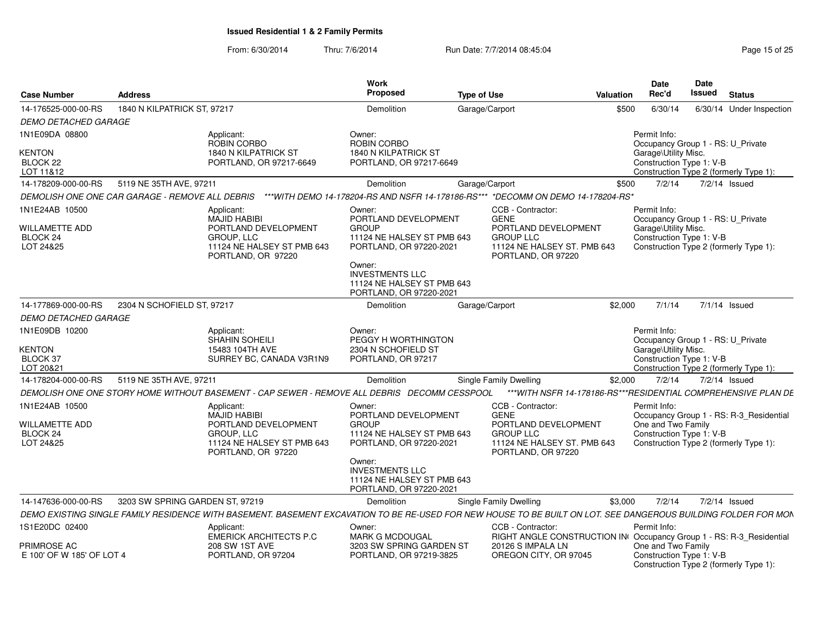From: 6/30/2014

| <b>Case Number</b>                                                          | <b>Address</b>                  |                                                                                                                                                                | <b>Work</b><br>Proposed                                                                                                                                                                              | <b>Type of Use</b>                                                                                                                | Valuation | <b>Date</b><br>Rec'd                 | Date<br>Issued                                                                                          | <b>Status</b>                           |
|-----------------------------------------------------------------------------|---------------------------------|----------------------------------------------------------------------------------------------------------------------------------------------------------------|------------------------------------------------------------------------------------------------------------------------------------------------------------------------------------------------------|-----------------------------------------------------------------------------------------------------------------------------------|-----------|--------------------------------------|---------------------------------------------------------------------------------------------------------|-----------------------------------------|
| 14-176525-000-00-RS                                                         | 1840 N KILPATRICK ST, 97217     |                                                                                                                                                                | Demolition                                                                                                                                                                                           | Garage/Carport                                                                                                                    | \$500     | 6/30/14                              |                                                                                                         | 6/30/14 Under Inspection                |
| DEMO DETACHED GARAGE                                                        |                                 |                                                                                                                                                                |                                                                                                                                                                                                      |                                                                                                                                   |           |                                      |                                                                                                         |                                         |
| 1N1E09DA 08800<br><b>KENTON</b><br>BLOCK 22                                 |                                 | Applicant:<br>ROBIN CORBO<br>1840 N KILPATRICK ST<br>PORTLAND, OR 97217-6649                                                                                   | Owner:<br>ROBIN CORBO<br>1840 N KILPATRICK ST<br>PORTLAND, OR 97217-6649                                                                                                                             |                                                                                                                                   |           | Permit Info:<br>Garage\Utility Misc. | Occupancy Group 1 - RS: U_Private<br>Construction Type 1: V-B                                           |                                         |
| LOT 11&12                                                                   |                                 |                                                                                                                                                                |                                                                                                                                                                                                      |                                                                                                                                   |           |                                      | Construction Type 2 (formerly Type 1):                                                                  |                                         |
| 14-178209-000-00-RS                                                         | 5119 NE 35TH AVE, 97211         |                                                                                                                                                                | Demolition                                                                                                                                                                                           | Garage/Carport                                                                                                                    | \$500     | 7/2/14                               | 7/2/14 Issued                                                                                           |                                         |
| DEMOLISH ONE ONE CAR GARAGE - REMOVE ALL DEBRIS                             |                                 |                                                                                                                                                                |                                                                                                                                                                                                      | ***WITH DEMO 14-178204-RS AND NSFR 14-178186-RS*** *DECOMM ON DEMO 14-178204-RS*                                                  |           |                                      |                                                                                                         |                                         |
| 1N1E24AB 10500<br><b>WILLAMETTE ADD</b><br>BLOCK <sub>24</sub><br>LOT 24&25 |                                 | Applicant:<br>MAJID HABIBI<br>PORTLAND DEVELOPMENT<br><b>GROUP, LLC</b><br>11124 NE HALSEY ST PMB 643<br>PORTLAND, OR 97220                                    | Owner:<br>PORTLAND DEVELOPMENT<br><b>GROUP</b><br>11124 NE HALSEY ST PMB 643<br>PORTLAND, OR 97220-2021<br>Owner:<br><b>INVESTMENTS LLC</b><br>11124 NE HALSEY ST PMB 643<br>PORTLAND, OR 97220-2021 | CCB - Contractor:<br><b>GENE</b><br>PORTLAND DEVELOPMENT<br><b>GROUP LLC</b><br>11124 NE HALSEY ST. PMB 643<br>PORTLAND, OR 97220 |           | Permit Info:<br>Garage\Utility Misc. | Occupancy Group 1 - RS: U Private<br>Construction Type 1: V-B<br>Construction Type 2 (formerly Type 1): |                                         |
| 14-177869-000-00-RS                                                         | 2304 N SCHOFIELD ST, 97217      |                                                                                                                                                                | Demolition                                                                                                                                                                                           | Garage/Carport                                                                                                                    | \$2,000   | 7/1/14                               | 7/1/14 Issued                                                                                           |                                         |
| <b>DEMO DETACHED GARAGE</b>                                                 |                                 |                                                                                                                                                                |                                                                                                                                                                                                      |                                                                                                                                   |           |                                      |                                                                                                         |                                         |
| 1N1E09DB 10200<br><b>KENTON</b><br>BLOCK 37<br>LOT 20&21                    |                                 | Applicant:<br><b>SHAHIN SOHEILI</b><br>15483 104TH AVE<br>SURREY BC, CANADA V3R1N9                                                                             | Owner:<br>PEGGY H WORTHINGTON<br>2304 N SCHOFIELD ST<br>PORTLAND, OR 97217                                                                                                                           |                                                                                                                                   |           | Permit Info:<br>Garage\Utility Misc. | Occupancy Group 1 - RS: U_Private<br>Construction Type 1: V-B<br>Construction Type 2 (formerly Type 1): |                                         |
| 14-178204-000-00-RS                                                         | 5119 NE 35TH AVE, 97211         |                                                                                                                                                                | Demolition                                                                                                                                                                                           |                                                                                                                                   | \$2,000   | 7/2/14                               | 7/2/14 Issued                                                                                           |                                         |
|                                                                             |                                 |                                                                                                                                                                |                                                                                                                                                                                                      | <b>Single Family Dwelling</b><br>*** WITH NSFR 14-178186-RS*** RESIDENTIAL COMPREHENSIVE PLAN DE                                  |           |                                      |                                                                                                         |                                         |
|                                                                             |                                 | DEMOLISH ONE ONE STORY HOME WITHOUT BASEMENT - CAP SEWER - REMOVE ALL DEBRIS DECOMM CESSPOOL                                                                   |                                                                                                                                                                                                      |                                                                                                                                   |           |                                      |                                                                                                         |                                         |
| 1N1E24AB 10500<br><b>WILLAMETTE ADD</b><br>BLOCK <sub>24</sub><br>LOT 24&25 |                                 | Applicant:<br>MAJID HABIBI<br>PORTLAND DEVELOPMENT<br>GROUP, LLC<br>11124 NE HALSEY ST PMB 643<br>PORTLAND, OR 97220                                           | Owner:<br>PORTLAND DEVELOPMENT<br><b>GROUP</b><br>11124 NE HALSEY ST PMB 643<br>PORTLAND, OR 97220-2021<br>Owner:<br><b>INVESTMENTS LLC</b><br>11124 NE HALSEY ST PMB 643<br>PORTLAND, OR 97220-2021 | CCB - Contractor:<br><b>GENE</b><br>PORTLAND DEVELOPMENT<br><b>GROUP LLC</b><br>11124 NE HALSEY ST. PMB 643<br>PORTLAND, OR 97220 |           | Permit Info:<br>One and Two Family   | Construction Type 1: V-B<br>Construction Type 2 (formerly Type 1):                                      | Occupancy Group 1 - RS: R-3_Residential |
| 14-147636-000-00-RS                                                         | 3203 SW SPRING GARDEN ST, 97219 |                                                                                                                                                                | Demolition                                                                                                                                                                                           | <b>Single Family Dwelling</b>                                                                                                     | \$3,000   | 7/2/14                               | 7/2/14 Issued                                                                                           |                                         |
|                                                                             |                                 | DEMO EXISTING SINGLE FAMILY RESIDENCE WITH BASEMENT. BASEMENT EXCAVATION TO BE RE-USED FOR NEW HOUSE TO BE BUILT ON LOT. SEE DANGEROUS BUILDING FOLDER FOR MON |                                                                                                                                                                                                      |                                                                                                                                   |           |                                      |                                                                                                         |                                         |
| 1S1E20DC 02400                                                              |                                 | Applicant:<br>EMERICK ARCHITECTS P.C                                                                                                                           | Owner:<br><b>MARK G MCDOUGAL</b>                                                                                                                                                                     | CCB - Contractor:<br>RIGHT ANGLE CONSTRUCTION IN Occupancy Group 1 - RS: R-3_Residential                                          |           | Permit Info:                         |                                                                                                         |                                         |
| <b>PRIMROSE AC</b><br>E 100' OF W 185' OF LOT 4                             |                                 | <b>208 SW 1ST AVE</b><br>PORTLAND, OR 97204                                                                                                                    | 3203 SW SPRING GARDEN ST<br>PORTLAND, OR 97219-3825                                                                                                                                                  | 20126 S IMPALA LN<br>OREGON CITY, OR 97045                                                                                        |           | One and Two Family                   | Construction Type 1: V-B<br>Construction Type 2 (formerly Type 1):                                      |                                         |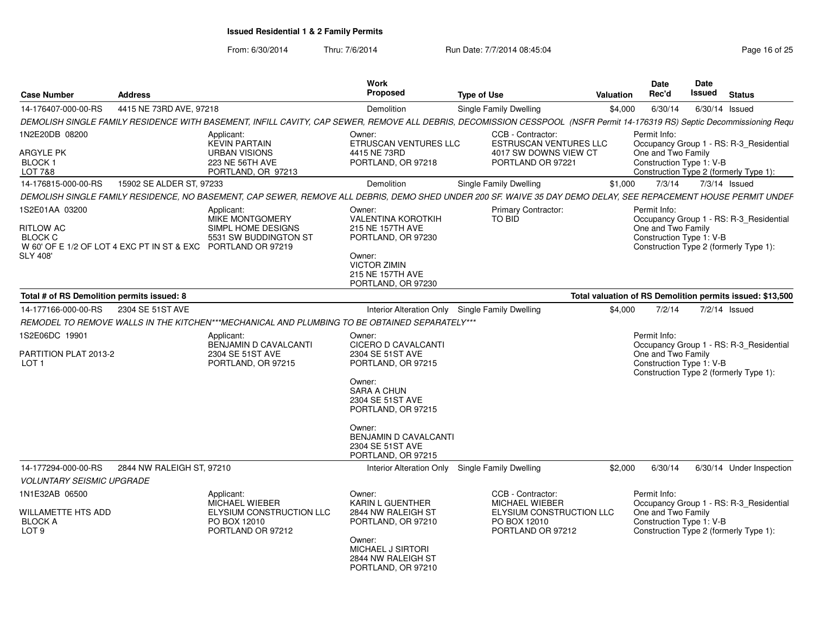From: 6/30/2014

| <b>Case Number</b>                                                         | <b>Address</b>                                               |                                                                                                                                                                          | Work<br><b>Proposed</b>                                                                                        | <b>Type of Use</b>            |                                                                                                                    | Valuation | <b>Date</b><br>Rec'd                                           | Date<br>Issued | <b>Status</b>                                                                     |
|----------------------------------------------------------------------------|--------------------------------------------------------------|--------------------------------------------------------------------------------------------------------------------------------------------------------------------------|----------------------------------------------------------------------------------------------------------------|-------------------------------|--------------------------------------------------------------------------------------------------------------------|-----------|----------------------------------------------------------------|----------------|-----------------------------------------------------------------------------------|
| 14-176407-000-00-RS                                                        | 4415 NE 73RD AVE, 97218                                      |                                                                                                                                                                          | Demolition                                                                                                     | <b>Single Family Dwelling</b> |                                                                                                                    | \$4,000   | 6/30/14                                                        | 6/30/14 Issued |                                                                                   |
|                                                                            |                                                              | DEMOLISH SINGLE FAMILY RESIDENCE WITH BASEMENT, INFILL CAVITY, CAP SEWER, REMOVE ALL DEBRIS, DECOMISSION CESSPOOL (NSFR Permit 14-176319 RS) Septic Decommissioning Requ |                                                                                                                |                               |                                                                                                                    |           |                                                                |                |                                                                                   |
| 1N2E20DB 08200                                                             |                                                              | Applicant:<br><b>KEVIN PARTAIN</b>                                                                                                                                       | Owner:<br>ETRUSCAN VENTURES LLC                                                                                |                               | CCB - Contractor:<br><b>ESTRUSCAN VENTURES LLC</b>                                                                 |           | Permit Info:                                                   |                | Occupancy Group 1 - RS: R-3_Residential                                           |
| ARGYLE PK<br>BLOCK <sub>1</sub><br><b>LOT 7&amp;8</b>                      |                                                              | <b>URBAN VISIONS</b><br>223 NE 56TH AVE<br>PORTLAND, OR 97213                                                                                                            | 4415 NE 73RD<br>PORTLAND, OR 97218                                                                             |                               | 4017 SW DOWNS VIEW CT<br>PORTLAND OR 97221                                                                         |           | One and Two Family<br>Construction Type 1: V-B                 |                | Construction Type 2 (formerly Type 1):                                            |
| 14-176815-000-00-RS                                                        | 15902 SE ALDER ST, 97233                                     |                                                                                                                                                                          | Demolition                                                                                                     | <b>Single Family Dwelling</b> |                                                                                                                    | \$1,000   | 7/3/14                                                         |                | 7/3/14 Issued                                                                     |
|                                                                            |                                                              | DEMOLISH SINGLE FAMILY RESIDENCE, NO BASEMENT, CAP SEWER, REMOVE ALL DEBRIS, DEMO SHED UNDER 200 SF. WAIVE 35 DAY DEMO DELAY, SEE REPACEMENT HOUSE PERMIT UNDEF          |                                                                                                                |                               |                                                                                                                    |           |                                                                |                |                                                                                   |
| 1S2E01AA 03200<br><b>RITLOW AC</b><br><b>BLOCK C</b><br><b>SLY 408'</b>    | W 60' OF E 1/2 OF LOT 4 EXC PT IN ST & EXC PORTLAND OR 97219 | Applicant:<br>MIKE MONTGOMERY<br>SIMPL HOME DESIGNS<br>5531 SW BUDDINGTON ST                                                                                             | Owner:<br><b>VALENTINA KOROTKIH</b><br>215 NE 157TH AVE<br>PORTLAND, OR 97230<br>Owner:<br><b>VICTOR ZIMIN</b> | TO BID                        | Primary Contractor:                                                                                                |           | Permit Info:<br>One and Two Family<br>Construction Type 1: V-B |                | Occupancy Group 1 - RS: R-3_Residential<br>Construction Type 2 (formerly Type 1): |
|                                                                            |                                                              |                                                                                                                                                                          | 215 NE 157TH AVE<br>PORTLAND, OR 97230                                                                         |                               |                                                                                                                    |           |                                                                |                |                                                                                   |
| Total # of RS Demolition permits issued: 8                                 |                                                              |                                                                                                                                                                          |                                                                                                                |                               |                                                                                                                    |           |                                                                |                | Total valuation of RS Demolition permits issued: \$13,500                         |
| 14-177166-000-00-RS                                                        | 2304 SE 51ST AVE                                             |                                                                                                                                                                          | Interior Alteration Only Single Family Dwelling                                                                |                               |                                                                                                                    | \$4,000   | 7/2/14                                                         |                | $7/2/14$ Issued                                                                   |
|                                                                            |                                                              | REMODEL TO REMOVE WALLS IN THE KITCHEN***MECHANICAL AND PLUMBING TO BE OBTAINED SEPARATELY***                                                                            |                                                                                                                |                               |                                                                                                                    |           |                                                                |                |                                                                                   |
| 1S2E06DC 19901<br>PARTITION PLAT 2013-2<br>LOT <sub>1</sub>                |                                                              | Applicant:<br>BENJAMIN D CAVALCANTI<br>2304 SE 51ST AVE<br>PORTLAND, OR 97215                                                                                            | Owner:<br>CICERO D CAVALCANTI<br>2304 SE 51ST AVE<br>PORTLAND, OR 97215                                        |                               |                                                                                                                    |           | Permit Info:<br>One and Two Family<br>Construction Type 1: V-B |                | Occupancy Group 1 - RS: R-3 Residential<br>Construction Type 2 (formerly Type 1): |
|                                                                            |                                                              |                                                                                                                                                                          | Owner:<br><b>SARA A CHUN</b><br>2304 SE 51ST AVE<br>PORTLAND, OR 97215                                         |                               |                                                                                                                    |           |                                                                |                |                                                                                   |
|                                                                            |                                                              |                                                                                                                                                                          | Owner:<br><b>BENJAMIN D CAVALCANTI</b><br>2304 SE 51ST AVE<br>PORTLAND, OR 97215                               |                               |                                                                                                                    |           |                                                                |                |                                                                                   |
| 14-177294-000-00-RS                                                        | 2844 NW RALEIGH ST, 97210                                    |                                                                                                                                                                          | Interior Alteration Only Single Family Dwelling                                                                |                               |                                                                                                                    | \$2,000   | 6/30/14                                                        |                | 6/30/14 Under Inspection                                                          |
| <b>VOLUNTARY SEISMIC UPGRADE</b>                                           |                                                              |                                                                                                                                                                          |                                                                                                                |                               |                                                                                                                    |           |                                                                |                |                                                                                   |
| 1N1E32AB 06500<br>WILLAMETTE HTS ADD<br><b>BLOCK A</b><br>LOT <sub>9</sub> |                                                              | Applicant:<br><b>MICHAEL WIEBER</b><br><b>ELYSIUM CONSTRUCTION LLC</b><br>PO BOX 12010<br>PORTLAND OR 97212                                                              | Owner:<br><b>KARIN L GUENTHER</b><br>2844 NW RALEIGH ST<br>PORTLAND, OR 97210                                  |                               | CCB - Contractor:<br><b>MICHAEL WIEBER</b><br><b>ELYSIUM CONSTRUCTION LLC</b><br>PO BOX 12010<br>PORTLAND OR 97212 |           | Permit Info:<br>One and Two Family<br>Construction Type 1: V-B |                | Occupancy Group 1 - RS: R-3 Residential<br>Construction Type 2 (formerly Type 1): |
|                                                                            |                                                              |                                                                                                                                                                          | Owner:<br>MICHAEL J SIRTORI<br>2844 NW RALEIGH ST<br>PORTLAND, OR 97210                                        |                               |                                                                                                                    |           |                                                                |                |                                                                                   |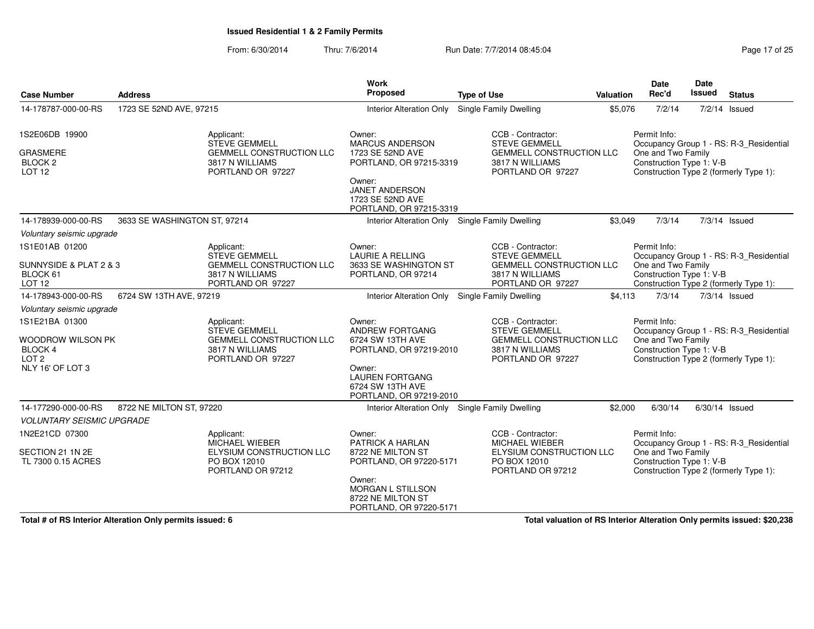From: 6/30/2014Thru: 7/6/2014 **Run Date: 7/7/2014 08:45:04** Page 17 of 25

| <b>Case Number</b>                                                                                                                                     | <b>Address</b>                        |                                                                                                 | Work<br>Proposed                                                                                                                                                   | <b>Type of Use</b>                                                                                                                                                      | Valuation | <b>Date</b><br>Rec'd                                                     | Date<br>Issued | <b>Status</b>                                                                                        |
|--------------------------------------------------------------------------------------------------------------------------------------------------------|---------------------------------------|-------------------------------------------------------------------------------------------------|--------------------------------------------------------------------------------------------------------------------------------------------------------------------|-------------------------------------------------------------------------------------------------------------------------------------------------------------------------|-----------|--------------------------------------------------------------------------|----------------|------------------------------------------------------------------------------------------------------|
| 14-178787-000-00-RS                                                                                                                                    | 1723 SE 52ND AVE, 97215               |                                                                                                 | <b>Interior Alteration Only</b>                                                                                                                                    | Single Family Dwelling                                                                                                                                                  | \$5,076   | 7/2/14                                                                   |                | $7/2/14$ Issued                                                                                      |
| 1S2E06DB 19900<br><b>GRASMERE</b><br><b>BLOCK 2</b><br><b>LOT 12</b>                                                                                   | Applicant:                            | <b>STEVE GEMMELL</b><br><b>GEMMELL CONSTRUCTION LLC</b><br>3817 N WILLIAMS<br>PORTLAND OR 97227 | Owner:<br><b>MARCUS ANDERSON</b><br>1723 SE 52ND AVE<br>PORTLAND, OR 97215-3319<br>Owner:<br><b>JANET ANDERSON</b><br>1723 SE 52ND AVE<br>PORTLAND, OR 97215-3319  | CCB - Contractor:<br><b>STEVE GEMMELL</b><br><b>GEMMELL CONSTRUCTION LLC</b><br>3817 N WILLIAMS<br>PORTLAND OR 97227                                                    |           | Permit Info:<br>One and Two Family<br>Construction Type 1: V-B           |                | Occupancy Group 1 - RS: R-3 Residential<br>Construction Type 2 (formerly Type 1):                    |
| 14-178939-000-00-RS                                                                                                                                    | 3633 SE WASHINGTON ST, 97214          |                                                                                                 | Interior Alteration Only Single Family Dwelling                                                                                                                    |                                                                                                                                                                         | \$3,049   | 7/3/14                                                                   |                | 7/3/14 Issued                                                                                        |
| Voluntary seismic upgrade<br>1S1E01AB 01200<br>SUNNYSIDE & PLAT 2 & 3<br>BLOCK 61<br><b>LOT 12</b><br>14-178943-000-00-RS<br>Voluntary seismic upgrade | Applicant:<br>6724 SW 13TH AVE, 97219 | <b>STEVE GEMMELL</b><br><b>GEMMELL CONSTRUCTION LLC</b><br>3817 N WILLIAMS<br>PORTLAND OR 97227 | Owner:<br><b>LAURIE A RELLING</b><br>3633 SE WASHINGTON ST<br>PORTLAND, OR 97214                                                                                   | CCB - Contractor:<br><b>STEVE GEMMELL</b><br><b>GEMMELL CONSTRUCTION LLC</b><br>3817 N WILLIAMS<br>PORTLAND OR 97227<br>Interior Alteration Only Single Family Dwelling | \$4,113   | Permit Info:<br>One and Two Family<br>Construction Type 1: V-B<br>7/3/14 |                | Occupancy Group 1 - RS: R-3_Residential<br>Construction Type 2 (formerly Type 1):<br>$7/3/14$ Issued |
| 1S1E21BA 01300<br>WOODROW WILSON PK<br>BLOCK 4<br>LOT <sub>2</sub><br>NLY 16' OF LOT 3                                                                 | Applicant:                            | <b>STEVE GEMMELL</b><br><b>GEMMELL CONSTRUCTION LLC</b><br>3817 N WILLIAMS<br>PORTLAND OR 97227 | Owner:<br><b>ANDREW FORTGANG</b><br>6724 SW 13TH AVE<br>PORTLAND, OR 97219-2010<br>Owner:<br><b>LAUREN FORTGANG</b><br>6724 SW 13TH AVE<br>PORTLAND, OR 97219-2010 | CCB - Contractor:<br><b>STEVE GEMMELL</b><br><b>GEMMELL CONSTRUCTION LLC</b><br>3817 N WILLIAMS<br>PORTLAND OR 97227                                                    |           | Permit Info:<br>One and Two Family<br>Construction Type 1: V-B           |                | Occupancy Group 1 - RS: R-3_Residential<br>Construction Type 2 (formerly Type 1):                    |
| 14-177290-000-00-RS                                                                                                                                    | 8722 NE MILTON ST, 97220              |                                                                                                 | Interior Alteration Only Single Family Dwelling                                                                                                                    |                                                                                                                                                                         | \$2,000   | 6/30/14                                                                  | 6/30/14 Issued |                                                                                                      |
| <b>VOLUNTARY SEISMIC UPGRADE</b>                                                                                                                       |                                       |                                                                                                 |                                                                                                                                                                    |                                                                                                                                                                         |           |                                                                          |                |                                                                                                      |
| 1N2E21CD 07300<br>SECTION 21 1N 2E<br>TL 7300 0.15 ACRES                                                                                               | Applicant:<br>PO BOX 12010            | <b>MICHAEL WIEBER</b><br>ELYSIUM CONSTRUCTION LLC<br>PORTLAND OR 97212                          | Owner:<br>PATRICK A HARLAN<br>8722 NE MILTON ST<br>PORTLAND, OR 97220-5171<br>Owner:<br>MORGAN L STILLSON<br>8722 NE MILTON ST<br>PORTLAND, OR 97220-5171          | CCB - Contractor:<br>MICHAEL WIEBER<br>ELYSIUM CONSTRUCTION LLC<br>PO BOX 12010<br>PORTLAND OR 97212                                                                    |           | Permit Info:<br>One and Two Family<br>Construction Type 1: V-B           |                | Occupancy Group 1 - RS: R-3_Residential<br>Construction Type 2 (formerly Type 1):                    |

**Total # of RS Interior Alteration Only permits issued: 6**

**Total valuation of RS Interior Alteration Only permits issued: \$20,238**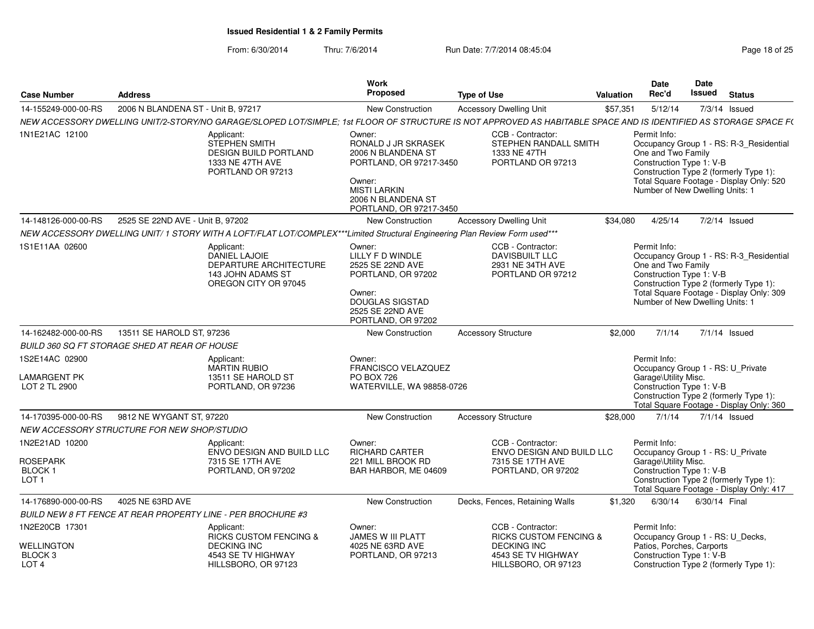| <b>Case Number</b>                              | <b>Address</b>                                |                                                                                                                                                                  | Work<br><b>Proposed</b>                                                                                                                                          | <b>Type of Use</b>                                                              | <b>Valuation</b> | Date<br>Rec'd                                                                                         | Date<br>Issued | <b>Status</b>                                                                                                                 |
|-------------------------------------------------|-----------------------------------------------|------------------------------------------------------------------------------------------------------------------------------------------------------------------|------------------------------------------------------------------------------------------------------------------------------------------------------------------|---------------------------------------------------------------------------------|------------------|-------------------------------------------------------------------------------------------------------|----------------|-------------------------------------------------------------------------------------------------------------------------------|
| 14-155249-000-00-RS                             | 2006 N BLANDENA ST - Unit B, 97217            |                                                                                                                                                                  | <b>New Construction</b>                                                                                                                                          | <b>Accessory Dwelling Unit</b>                                                  | \$57,351         | 5/12/14                                                                                               |                | 7/3/14 Issued                                                                                                                 |
|                                                 |                                               | NEW ACCESSORY DWELLING UNIT/2-STORY/NO GARAGE/SLOPED LOT/SIMPLE: 1st FLOOR OF STRUCTURE IS NOT APPROVED AS HABITABLE SPACE AND IS IDENTIFIED AS STORAGE SPACE F( |                                                                                                                                                                  |                                                                                 |                  |                                                                                                       |                |                                                                                                                               |
| 1N1E21AC 12100                                  |                                               | Applicant:<br><b>STEPHEN SMITH</b><br><b>DESIGN BUILD PORTLAND</b><br>1333 NE 47TH AVE<br>PORTLAND OR 97213                                                      | Owner:<br>RONALD J JR SKRASEK<br>2006 N BLANDENA ST<br>PORTLAND, OR 97217-3450<br>Owner:<br><b>MISTI LARKIN</b><br>2006 N BLANDENA ST<br>PORTLAND, OR 97217-3450 | CCB - Contractor:<br>STEPHEN RANDALL SMITH<br>1333 NE 47TH<br>PORTLAND OR 97213 |                  | Permit Info:<br>One and Two Family<br>Construction Type 1: V-B<br>Number of New Dwelling Units: 1     |                | Occupancy Group 1 - RS: R-3_Residential<br>Construction Type 2 (formerly Type 1):<br>Total Square Footage - Display Only: 520 |
| 14-148126-000-00-RS                             | 2525 SE 22ND AVE - Unit B, 97202              |                                                                                                                                                                  | <b>New Construction</b>                                                                                                                                          | <b>Accessory Dwelling Unit</b>                                                  | \$34,080         | 4/25/14                                                                                               |                | 7/2/14 Issued                                                                                                                 |
|                                                 |                                               | NEW ACCESSORY DWELLING UNIT/1 STORY WITH A LOFT/FLAT LOT/COMPLEX***Limited Structural Engineering Plan Review Form used***                                       |                                                                                                                                                                  |                                                                                 |                  |                                                                                                       |                |                                                                                                                               |
| 1S1E11AA 02600                                  |                                               | Applicant:<br>DANIEL LAJOIE<br><b>DEPARTURE ARCHITECTURE</b><br>143 JOHN ADAMS ST<br>OREGON CITY OR 97045                                                        | Owner:<br>LILLY F D WINDLE<br>2525 SE 22ND AVE<br>PORTLAND, OR 97202<br>Owner:<br><b>DOUGLAS SIGSTAD</b><br>2525 SE 22ND AVE<br>PORTLAND, OR 97202               | CCB - Contractor:<br>DAVISBUILT LLC<br>2931 NE 34TH AVE<br>PORTLAND OR 97212    |                  | Permit Info:<br>One and Two Family<br>Construction Type 1: V-B<br>Number of New Dwelling Units: 1     |                | Occupancy Group 1 - RS: R-3_Residential<br>Construction Type 2 (formerly Type 1):<br>Total Square Footage - Display Only: 309 |
| 14-162482-000-00-RS                             | 13511 SE HAROLD ST, 97236                     |                                                                                                                                                                  | New Construction                                                                                                                                                 | <b>Accessory Structure</b>                                                      | \$2,000          | 7/1/14                                                                                                |                | 7/1/14 Issued                                                                                                                 |
|                                                 | BUILD 360 SQ FT STORAGE SHED AT REAR OF HOUSE |                                                                                                                                                                  |                                                                                                                                                                  |                                                                                 |                  |                                                                                                       |                |                                                                                                                               |
| 1S2E14AC 02900<br>LAMARGENT PK<br>LOT 2 TL 2900 |                                               | Applicant:<br><b>MARTIN RUBIO</b><br>13511 SE HAROLD ST<br>PORTLAND, OR 97236                                                                                    | Owner:<br>FRANCISCO VELAZQUEZ<br><b>PO BOX 726</b><br>WATERVILLE, WA 98858-0726                                                                                  |                                                                                 |                  | Permit Info:<br>Occupancy Group 1 - RS: U Private<br>Garage\Utility Misc.<br>Construction Type 1: V-B |                | Construction Type 2 (formerly Type 1):<br>Total Square Footage - Display Only: 360                                            |
| 14-170395-000-00-RS                             | 9812 NE WYGANT ST, 97220                      |                                                                                                                                                                  | New Construction                                                                                                                                                 | <b>Accessory Structure</b>                                                      | \$28,000         | 7/1/14                                                                                                |                | $7/1/14$ Issued                                                                                                               |
|                                                 | NEW ACCESSORY STRUCTURE FOR NEW SHOP/STUDIO   |                                                                                                                                                                  |                                                                                                                                                                  |                                                                                 |                  |                                                                                                       |                |                                                                                                                               |
| 1N2E21AD 10200<br><b>ROSEPARK</b>               |                                               | Applicant:<br>ENVO DESIGN AND BUILD LLC<br>7315 SE 17TH AVE                                                                                                      | Owner:<br><b>RICHARD CARTER</b><br>221 MILL BROOK RD                                                                                                             | CCB - Contractor:<br>ENVO DESIGN AND BUILD LLC<br>7315 SE 17TH AVE              |                  | Permit Info:<br>Occupancy Group 1 - RS: U Private<br>Garage\Utility Misc.                             |                |                                                                                                                               |
| BLOCK 1<br>LOT <sub>1</sub>                     |                                               | PORTLAND, OR 97202                                                                                                                                               | BAR HARBOR, ME 04609                                                                                                                                             | PORTLAND, OR 97202                                                              |                  | Construction Type 1: V-B                                                                              |                | Construction Type 2 (formerly Type 1):<br>Total Square Footage - Display Only: 417                                            |
| 14-176890-000-00-RS                             | 4025 NE 63RD AVE                              |                                                                                                                                                                  | <b>New Construction</b>                                                                                                                                          | Decks, Fences, Retaining Walls                                                  | \$1,320          | 6/30/14                                                                                               | 6/30/14 Final  |                                                                                                                               |
|                                                 |                                               | BUILD NEW 8 FT FENCE AT REAR PROPERTY LINE - PER BROCHURE #3                                                                                                     |                                                                                                                                                                  |                                                                                 |                  |                                                                                                       |                |                                                                                                                               |
| 1N2E20CB 17301                                  |                                               | Applicant:<br><b>RICKS CUSTOM FENCING &amp;</b>                                                                                                                  | Owner:<br>JAMES W III PLATT                                                                                                                                      | CCB - Contractor:<br><b>RICKS CUSTOM FENCING &amp;</b>                          |                  | Permit Info:<br>Occupancy Group 1 - RS: U_Decks,<br>Patios, Porches, Carports                         |                |                                                                                                                               |
| WELLINGTON<br>BLOCK 3<br>LOT <sub>4</sub>       |                                               | <b>DECKING INC</b><br>4543 SE TV HIGHWAY<br>HILLSBORO, OR 97123                                                                                                  | 4025 NE 63RD AVE<br>PORTLAND, OR 97213                                                                                                                           | <b>DECKING INC</b><br>4543 SE TV HIGHWAY<br>HILLSBORO, OR 97123                 |                  | Construction Type 1: V-B                                                                              |                | Construction Type 2 (formerly Type 1):                                                                                        |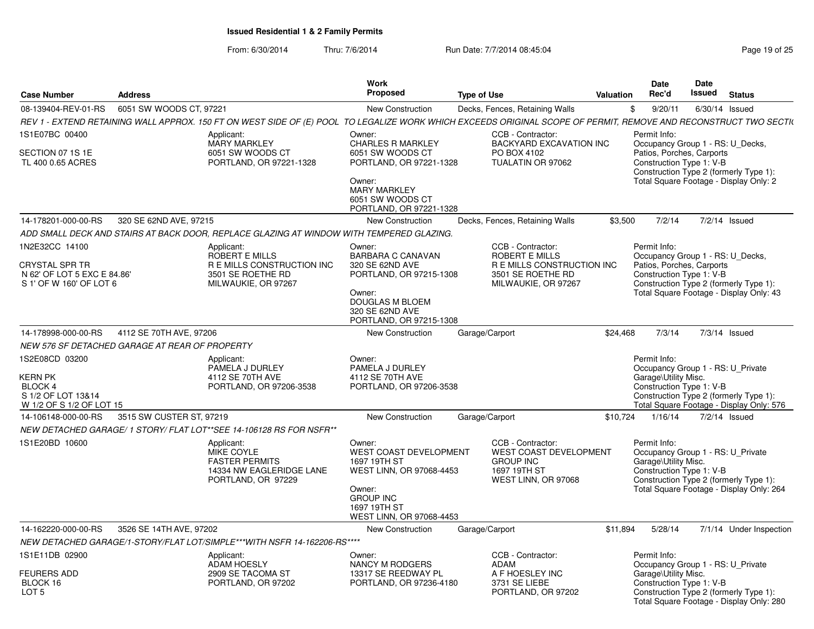|                                                                                                   |                          |                                                                                                                                                                  | <b>Work</b>                                                                                                                                                   |                                                                                                               |                  | <b>Date</b>                                                                                               | <b>Date</b> |                                                                                    |
|---------------------------------------------------------------------------------------------------|--------------------------|------------------------------------------------------------------------------------------------------------------------------------------------------------------|---------------------------------------------------------------------------------------------------------------------------------------------------------------|---------------------------------------------------------------------------------------------------------------|------------------|-----------------------------------------------------------------------------------------------------------|-------------|------------------------------------------------------------------------------------|
| <b>Case Number</b>                                                                                | <b>Address</b>           |                                                                                                                                                                  | Proposed                                                                                                                                                      | <b>Type of Use</b>                                                                                            | <b>Valuation</b> | Rec'd                                                                                                     | Issued      | <b>Status</b>                                                                      |
| 08-139404-REV-01-RS                                                                               | 6051 SW WOODS CT, 97221  |                                                                                                                                                                  | <b>New Construction</b>                                                                                                                                       | Decks, Fences, Retaining Walls                                                                                |                  | 9/20/11<br>\$                                                                                             |             | $6/30/14$ Issued                                                                   |
|                                                                                                   |                          | REV 1 - EXTEND RETAINING WALL APPROX. 150 FT ON WEST SIDE OF (E) POOL TO LEGALIZE WORK WHICH EXCEEDS ORIGINAL SCOPE OF PERMIT, REMOVE AND RECONSTRUCT TWO SECTI( |                                                                                                                                                               |                                                                                                               |                  |                                                                                                           |             |                                                                                    |
| 1S1E07BC 00400<br>SECTION 07 1S 1E<br>TL 400 0.65 ACRES                                           |                          | Applicant:<br>MARY MARKLEY<br>6051 SW WOODS CT<br>PORTLAND, OR 97221-1328                                                                                        | Owner:<br><b>CHARLES R MARKLEY</b><br>6051 SW WOODS CT<br>PORTLAND, OR 97221-1328<br>Owner:<br><b>MARY MARKLEY</b><br>6051 SW WOODS CT                        | CCB - Contractor:<br><b>BACKYARD EXCAVATION INC</b><br>PO BOX 4102<br>TUALATIN OR 97062                       |                  | Permit Info:<br>Occupancy Group 1 - RS: U Decks,<br>Patios, Porches, Carports<br>Construction Type 1: V-B |             | Construction Type 2 (formerly Type 1):<br>Total Square Footage - Display Only: 2   |
|                                                                                                   |                          |                                                                                                                                                                  | PORTLAND, OR 97221-1328                                                                                                                                       |                                                                                                               |                  |                                                                                                           |             |                                                                                    |
| 14-178201-000-00-RS                                                                               | 320 SE 62ND AVE, 97215   |                                                                                                                                                                  | New Construction                                                                                                                                              | Decks, Fences, Retaining Walls                                                                                | \$3,500          | 7/2/14                                                                                                    |             | 7/2/14 Issued                                                                      |
|                                                                                                   |                          | ADD SMALL DECK AND STAIRS AT BACK DOOR, REPLACE GLAZING AT WINDOW WITH TEMPERED GLAZING.                                                                         |                                                                                                                                                               |                                                                                                               |                  |                                                                                                           |             |                                                                                    |
| 1N2E32CC 14100<br><b>CRYSTAL SPR TR</b><br>N 62' OF LOT 5 EXC E 84.86'<br>S 1' OF W 160' OF LOT 6 |                          | Applicant:<br>ROBERT E MILLS<br><b>R E MILLS CONSTRUCTION INC</b><br>3501 SE ROETHE RD<br>MILWAUKIE, OR 97267                                                    | Owner:<br><b>BARBARA C CANAVAN</b><br>320 SE 62ND AVE<br>PORTLAND, OR 97215-1308<br>Owner:<br>DOUGLAS M BLOEM<br>320 SE 62ND AVE<br>PORTLAND, OR 97215-1308   | CCB - Contractor:<br>ROBERT E MILLS<br>R E MILLS CONSTRUCTION INC<br>3501 SE ROETHE RD<br>MILWAUKIE, OR 97267 |                  | Permit Info:<br>Occupancy Group 1 - RS: U_Decks,<br>Patios, Porches, Carports<br>Construction Type 1: V-B |             | Construction Type 2 (formerly Type 1):<br>Total Square Footage - Display Only: 43  |
| 14-178998-000-00-RS                                                                               | 4112 SE 70TH AVE, 97206  |                                                                                                                                                                  | <b>New Construction</b>                                                                                                                                       | Garage/Carport                                                                                                | \$24,468         | 7/3/14                                                                                                    |             | $7/3/14$ Issued                                                                    |
| NEW 576 SF DETACHED GARAGE AT REAR OF PROPERTY                                                    |                          |                                                                                                                                                                  |                                                                                                                                                               |                                                                                                               |                  |                                                                                                           |             |                                                                                    |
| 1S2E08CD 03200<br><b>KERN PK</b><br>BLOCK 4<br>S 1/2 OF LOT 13&14<br>W 1/2 OF S 1/2 OF LOT 15     |                          | Applicant:<br>PAMELA J DURLEY<br>4112 SE 70TH AVE<br>PORTLAND, OR 97206-3538                                                                                     | Owner:<br>PAMELA J DURLEY<br>4112 SE 70TH AVE<br>PORTLAND, OR 97206-3538                                                                                      |                                                                                                               |                  | Permit Info:<br>Occupancy Group 1 - RS: U Private<br>Garage\Utility Misc.<br>Construction Type 1: V-B     |             | Construction Type 2 (formerly Type 1):<br>Total Square Footage - Display Only: 576 |
| 14-106148-000-00-RS                                                                               | 3515 SW CUSTER ST, 97219 |                                                                                                                                                                  | New Construction                                                                                                                                              | Garage/Carport                                                                                                | \$10,724         | 1/16/14                                                                                                   |             | 7/2/14 Issued                                                                      |
|                                                                                                   |                          | NEW DETACHED GARAGE/ 1 STORY/ FLAT LOT**SEE 14-106128 RS FOR NSFR**                                                                                              |                                                                                                                                                               |                                                                                                               |                  |                                                                                                           |             |                                                                                    |
| 1S1E20BD 10600                                                                                    |                          | Applicant:<br>MIKE COYLE<br><b>FASTER PERMITS</b><br>14334 NW EAGLERIDGE LANE<br>PORTLAND, OR 97229                                                              | Owner:<br><b>WEST COAST DEVELOPMENT</b><br>1697 19TH ST<br>WEST LINN, OR 97068-4453<br>Owner:<br><b>GROUP INC</b><br>1697 19TH ST<br>WEST LINN, OR 97068-4453 | CCB - Contractor:<br><b>WEST COAST DEVELOPMENT</b><br><b>GROUP INC</b><br>1697 19TH ST<br>WEST LINN, OR 97068 |                  | Permit Info:<br>Occupancy Group 1 - RS: U_Private<br>Garage\Utility Misc.<br>Construction Type 1: V-B     |             | Construction Type 2 (formerly Type 1):<br>Total Square Footage - Display Only: 264 |
| 14-162220-000-00-RS                                                                               | 3526 SE 14TH AVE, 97202  |                                                                                                                                                                  | New Construction                                                                                                                                              | Garage/Carport                                                                                                | \$11.894         | 5/28/14                                                                                                   |             | 7/1/14 Under Inspection                                                            |
|                                                                                                   |                          | NEW DETACHED GARAGE/1-STORY/FLAT LOT/SIMPLE***WITH NSFR 14-162206-RS****                                                                                         |                                                                                                                                                               |                                                                                                               |                  |                                                                                                           |             |                                                                                    |
| 1S1E11DB 02900<br><b>FEURERS ADD</b><br>BLOCK 16<br>LOT <sub>5</sub>                              |                          | Applicant:<br><b>ADAM HOESLY</b><br>2909 SE TACOMA ST<br>PORTLAND, OR 97202                                                                                      | Owner:<br><b>NANCY M RODGERS</b><br>13317 SE REEDWAY PL<br>PORTLAND, OR 97236-4180                                                                            | CCB - Contractor:<br>ADAM<br>A F HOESLEY INC<br>3731 SE LIEBE<br>PORTLAND, OR 97202                           |                  | Permit Info:<br>Occupancy Group 1 - RS: U_Private<br>Garage\Utility Misc.<br>Construction Type 1: V-B     |             | Construction Type 2 (formerly Type 1):<br>Total Square Footage - Display Only: 280 |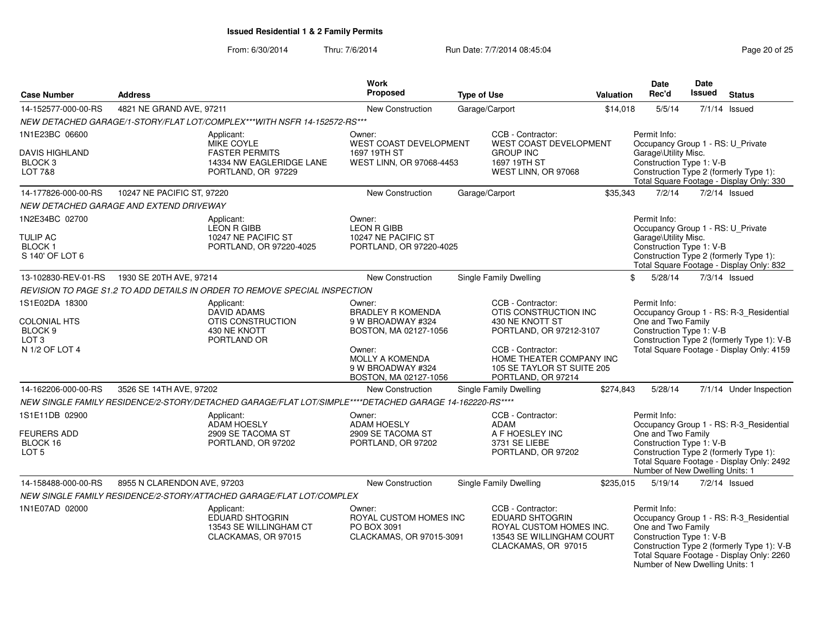From: 6/30/2014

| <b>Case Number</b>                                                              | Work<br><b>Proposed</b><br><b>Address</b><br><b>Type of Use</b>                      |                                                                                                         |                                                                                  | <b>Valuation</b>                                                                                  |                                                                                                                            | <b>Date</b><br>Rec'd                                           | <b>Date</b><br>Issued                                                                             | <b>Status</b> |                                                                                       |                                                                                                                                    |
|---------------------------------------------------------------------------------|--------------------------------------------------------------------------------------|---------------------------------------------------------------------------------------------------------|----------------------------------------------------------------------------------|---------------------------------------------------------------------------------------------------|----------------------------------------------------------------------------------------------------------------------------|----------------------------------------------------------------|---------------------------------------------------------------------------------------------------|---------------|---------------------------------------------------------------------------------------|------------------------------------------------------------------------------------------------------------------------------------|
| 14-152577-000-00-RS                                                             | 4821 NE GRAND AVE, 97211                                                             |                                                                                                         | <b>New Construction</b>                                                          | Garage/Carport                                                                                    |                                                                                                                            |                                                                | \$14,018                                                                                          | 5/5/14        |                                                                                       | $7/1/14$ Issued                                                                                                                    |
|                                                                                 |                                                                                      | NEW DETACHED GARAGE/1-STORY/FLAT LOT/COMPLEX***WITH NSFR 14-152572-RS***                                |                                                                                  |                                                                                                   |                                                                                                                            |                                                                |                                                                                                   |               |                                                                                       |                                                                                                                                    |
| 1N1E23BC 06600                                                                  |                                                                                      | Applicant:                                                                                              | Owner:                                                                           |                                                                                                   | CCB - Contractor:                                                                                                          |                                                                | Permit Info:                                                                                      |               |                                                                                       |                                                                                                                                    |
| <b>DAVIS HIGHLAND</b><br>BLOCK <sub>3</sub><br><b>LOT 7&amp;8</b>               |                                                                                      | MIKE COYLE<br><b>FASTER PERMITS</b><br>14334 NW EAGLERIDGE LANE<br>PORTLAND, OR 97229                   | WEST COAST DEVELOPMENT<br>1697 19TH ST<br>WEST LINN, OR 97068-4453               |                                                                                                   | WEST COAST DEVELOPMENT<br><b>GROUP INC</b><br>1697 19TH ST<br>WEST LINN, OR 97068                                          |                                                                | Garage\Utility Misc.<br>Construction Type 1: V-B                                                  |               |                                                                                       | Occupancy Group 1 - RS: U_Private<br>Construction Type 2 (formerly Type 1):<br>Total Square Footage - Display Only: 330            |
| 14-177826-000-00-RS                                                             | 10247 NE PACIFIC ST, 97220                                                           |                                                                                                         | <b>New Construction</b>                                                          |                                                                                                   | Garage/Carport                                                                                                             | \$35,343                                                       |                                                                                                   | 7/2/14        |                                                                                       | $7/2/14$ Issued                                                                                                                    |
|                                                                                 | NEW DETACHED GARAGE AND EXTEND DRIVEWAY                                              |                                                                                                         |                                                                                  |                                                                                                   |                                                                                                                            |                                                                |                                                                                                   |               |                                                                                       |                                                                                                                                    |
| 1N2E34BC 02700                                                                  |                                                                                      | Applicant:<br><b>LEON R GIBB</b>                                                                        | Owner:<br><b>LEON R GIBB</b>                                                     |                                                                                                   |                                                                                                                            |                                                                | Permit Info:                                                                                      |               |                                                                                       | Occupancy Group 1 - RS: U Private                                                                                                  |
| <b>TULIP AC</b><br><b>BLOCK1</b><br>S 140' OF LOT 6                             |                                                                                      | 10247 NE PACIFIC ST<br>PORTLAND, OR 97220-4025                                                          | 10247 NE PACIFIC ST<br>PORTLAND, OR 97220-4025                                   |                                                                                                   |                                                                                                                            |                                                                | Garage\Utility Misc.<br>Construction Type 1: V-B                                                  |               |                                                                                       | Construction Type 2 (formerly Type 1):<br>Total Square Footage - Display Only: 832                                                 |
| 13-102830-REV-01-RS                                                             | 1930 SE 20TH AVE, 97214                                                              |                                                                                                         | New Construction                                                                 |                                                                                                   | <b>Single Family Dwelling</b>                                                                                              |                                                                | \$<br>5/28/14                                                                                     |               |                                                                                       | $7/3/14$ Issued                                                                                                                    |
|                                                                                 |                                                                                      | REVISION TO PAGE S1.2 TO ADD DETAILS IN ORDER TO REMOVE SPECIAL INSPECTION                              |                                                                                  |                                                                                                   |                                                                                                                            |                                                                |                                                                                                   |               |                                                                                       |                                                                                                                                    |
| 1S1E02DA 18300<br><b>COLONIAL HTS</b><br>BLOCK <sub>9</sub><br>LOT <sub>3</sub> | Applicant:<br><b>DAVID ADAMS</b><br>OTIS CONSTRUCTION<br>430 NE KNOTT<br>PORTLAND OR |                                                                                                         | Owner:<br><b>BRADLEY R KOMENDA</b><br>9 W BROADWAY #324<br>BOSTON, MA 02127-1056 | CCB - Contractor:<br>OTIS CONSTRUCTION INC<br>430 NE KNOTT ST<br>PORTLAND, OR 97212-3107          |                                                                                                                            | Permit Info:<br>One and Two Family<br>Construction Type 1: V-B |                                                                                                   |               | Occupancy Group 1 - RS: R-3_Residential<br>Construction Type 2 (formerly Type 1): V-B |                                                                                                                                    |
| N 1/2 OF LOT 4                                                                  |                                                                                      |                                                                                                         | Owner:<br><b>MOLLY A KOMENDA</b><br>9 W BROADWAY #324<br>BOSTON, MA 02127-1056   | CCB - Contractor:<br>HOME THEATER COMPANY INC<br>105 SE TAYLOR ST SUITE 205<br>PORTLAND, OR 97214 |                                                                                                                            |                                                                |                                                                                                   |               |                                                                                       | Total Square Footage - Display Only: 4159                                                                                          |
| 14-162206-000-00-RS                                                             | 3526 SE 14TH AVE, 97202                                                              |                                                                                                         | New Construction                                                                 |                                                                                                   | <b>Single Family Dwelling</b>                                                                                              | \$274,843                                                      | 5/28/14                                                                                           |               |                                                                                       | 7/1/14 Under Inspection                                                                                                            |
|                                                                                 |                                                                                      | NEW SINGLE FAMILY RESIDENCE/2-STORY/DETACHED GARAGE/FLAT LOT/SIMPLE****DETACHED GARAGE 14-162220-RS**** |                                                                                  |                                                                                                   |                                                                                                                            |                                                                |                                                                                                   |               |                                                                                       |                                                                                                                                    |
| 1S1E11DB 02900<br><b>FEURERS ADD</b><br>BLOCK 16<br>LOT <sub>5</sub>            |                                                                                      | Applicant:<br><b>ADAM HOESLY</b><br>2909 SE TACOMA ST<br>PORTLAND, OR 97202                             | Owner:<br>ADAM HOESLY<br>2909 SE TACOMA ST<br>PORTLAND, OR 97202                 |                                                                                                   | CCB - Contractor:<br>ADAM<br>A F HOESLEY INC<br>3731 SE LIEBE<br>PORTLAND, OR 97202                                        |                                                                | Permit Info:<br>One and Two Family<br>Construction Type 1: V-B<br>Number of New Dwelling Units: 1 |               |                                                                                       | Occupancy Group 1 - RS: R-3_Residential<br>Construction Type 2 (formerly Type 1):<br>Total Square Footage - Display Only: 2492     |
| 14-158488-000-00-RS                                                             | 8955 N CLARENDON AVE, 97203                                                          |                                                                                                         | New Construction                                                                 |                                                                                                   | <b>Single Family Dwelling</b>                                                                                              | \$235,015                                                      | 5/19/14                                                                                           |               |                                                                                       | $7/2/14$ Issued                                                                                                                    |
|                                                                                 |                                                                                      | NEW SINGLE FAMILY RESIDENCE/2-STORY/ATTACHED GARAGE/FLAT LOT/COMPLEX                                    |                                                                                  |                                                                                                   |                                                                                                                            |                                                                |                                                                                                   |               |                                                                                       |                                                                                                                                    |
| 1N1E07AD 02000                                                                  |                                                                                      | Applicant:<br><b>EDUARD SHTOGRIN</b><br>13543 SE WILLINGHAM CT<br>CLACKAMAS, OR 97015                   | Owner:<br>ROYAL CUSTOM HOMES INC<br>PO BOX 3091<br>CLACKAMAS, OR 97015-3091      |                                                                                                   | CCB - Contractor:<br><b>EDUARD SHTOGRIN</b><br>ROYAL CUSTOM HOMES INC.<br>13543 SE WILLINGHAM COURT<br>CLACKAMAS, OR 97015 |                                                                | Permit Info:<br>One and Two Family<br>Construction Type 1: V-B<br>Number of New Dwelling Units: 1 |               |                                                                                       | Occupancy Group 1 - RS: R-3_Residential<br>Construction Type 2 (formerly Type 1): V-B<br>Total Square Footage - Display Only: 2260 |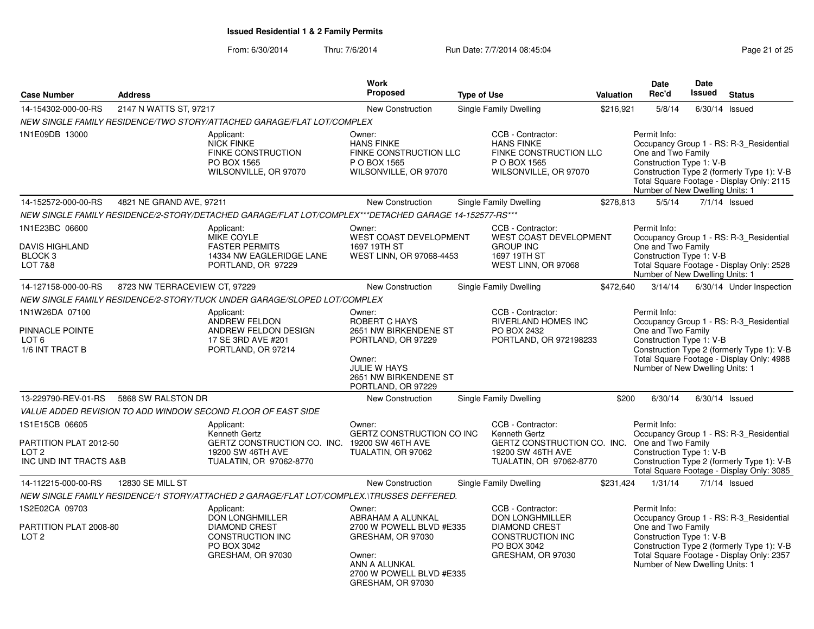From: 6/30/2014

| <b>Case Number</b>                                                                     | <b>Address</b>                | Work<br><b>Proposed</b>                                                                                                      |                                                                                                                                                               |  | <b>Type of Use</b>                                                                                                                   | Valuation | Date<br>Rec'd                                                                                     | <b>Date</b><br><b>Issued</b> | <b>Status</b>                                                                                                                      |
|----------------------------------------------------------------------------------------|-------------------------------|------------------------------------------------------------------------------------------------------------------------------|---------------------------------------------------------------------------------------------------------------------------------------------------------------|--|--------------------------------------------------------------------------------------------------------------------------------------|-----------|---------------------------------------------------------------------------------------------------|------------------------------|------------------------------------------------------------------------------------------------------------------------------------|
| 14-154302-000-00-RS                                                                    | 2147 N WATTS ST, 97217        |                                                                                                                              | New Construction                                                                                                                                              |  | <b>Single Family Dwelling</b>                                                                                                        | \$216,921 | 5/8/14                                                                                            |                              | $6/30/14$ Issued                                                                                                                   |
|                                                                                        |                               | NEW SINGLE FAMILY RESIDENCE/TWO STORY/ATTACHED GARAGE/FLAT LOT/COMPLEX                                                       |                                                                                                                                                               |  |                                                                                                                                      |           |                                                                                                   |                              |                                                                                                                                    |
| 1N1E09DB 13000                                                                         |                               | Applicant:<br><b>NICK FINKE</b><br>FINKE CONSTRUCTION<br>PO BOX 1565<br>WILSONVILLE, OR 97070                                | Owner:<br><b>HANS FINKE</b><br>FINKE CONSTRUCTION LLC<br>P O BOX 1565<br>WILSONVILLE, OR 97070                                                                |  | CCB - Contractor:<br><b>HANS FINKE</b><br>FINKE CONSTRUCTION LLC<br>P O BOX 1565<br>WILSONVILLE, OR 97070                            |           | Permit Info:<br>One and Two Family<br>Construction Type 1: V-B<br>Number of New Dwelling Units: 1 |                              | Occupancy Group 1 - RS: R-3 Residential<br>Construction Type 2 (formerly Type 1): V-B<br>Total Square Footage - Display Only: 2115 |
| 14-152572-000-00-RS                                                                    | 4821 NE GRAND AVE, 97211      |                                                                                                                              | New Construction                                                                                                                                              |  | Single Family Dwelling                                                                                                               | \$278,813 | 5/5/14                                                                                            |                              | $7/1/14$ Issued                                                                                                                    |
|                                                                                        |                               | NEW SINGLE FAMILY RESIDENCE/2-STORY/DETACHED GARAGE/FLAT LOT/COMPLEX***DETACHED GARAGE 14-152577-RS***                       |                                                                                                                                                               |  |                                                                                                                                      |           |                                                                                                   |                              |                                                                                                                                    |
| 1N1E23BC 06600<br><b>DAVIS HIGHLAND</b><br>BLOCK <sub>3</sub><br><b>LOT 7&amp;8</b>    |                               | Applicant:<br><b>MIKE COYLE</b><br><b>FASTER PERMITS</b><br>14334 NW EAGLERIDGE LANE<br>PORTLAND, OR 97229                   | Owner:<br><b>WEST COAST DEVELOPMENT</b><br>1697 19TH ST<br>WEST LINN, OR 97068-4453                                                                           |  | CCB - Contractor:<br><b>WEST COAST DEVELOPMENT</b><br><b>GROUP INC</b><br>1697 19TH ST<br>WEST LINN, OR 97068                        |           | Permit Info:<br>One and Two Family<br>Construction Type 1: V-B<br>Number of New Dwelling Units: 1 |                              | Occupancy Group 1 - RS: R-3 Residential<br>Total Square Footage - Display Only: 2528                                               |
| 14-127158-000-00-RS                                                                    | 8723 NW TERRACEVIEW CT, 97229 |                                                                                                                              | New Construction                                                                                                                                              |  | Single Family Dwelling                                                                                                               | \$472,640 | 3/14/14                                                                                           |                              | 6/30/14 Under Inspection                                                                                                           |
|                                                                                        |                               | NEW SINGLE FAMILY RESIDENCE/2-STORY/TUCK UNDER GARAGE/SLOPED LOT/COMPLEX                                                     |                                                                                                                                                               |  |                                                                                                                                      |           |                                                                                                   |                              |                                                                                                                                    |
| 1N1W26DA 07100<br>PINNACLE POINTE<br>LOT <sub>6</sub><br>1/6 INT TRACT B               |                               | Applicant:<br>ANDREW FELDON<br>ANDREW FELDON DESIGN<br>17 SE 3RD AVE #201<br>PORTLAND, OR 97214                              | Owner:<br><b>ROBERT C HAYS</b><br>2651 NW BIRKENDENE ST<br>PORTLAND, OR 97229<br>Owner:<br><b>JULIE W HAYS</b><br>2651 NW BIRKENDENE ST<br>PORTLAND, OR 97229 |  | CCB - Contractor:<br>RIVERLAND HOMES INC<br>PO BOX 2432<br>PORTLAND, OR 972198233                                                    |           | Permit Info:<br>One and Two Family<br>Construction Type 1: V-B<br>Number of New Dwelling Units: 1 |                              | Occupancy Group 1 - RS: R-3_Residential<br>Construction Type 2 (formerly Type 1): V-B<br>Total Square Footage - Display Only: 4988 |
| 13-229790-REV-01-RS                                                                    | 5868 SW RALSTON DR            |                                                                                                                              | New Construction                                                                                                                                              |  | <b>Single Family Dwelling</b>                                                                                                        | \$200     | 6/30/14                                                                                           |                              | $6/30/14$ Issued                                                                                                                   |
|                                                                                        |                               | VALUE ADDED REVISION TO ADD WINDOW SECOND FLOOR OF EAST SIDE                                                                 |                                                                                                                                                               |  |                                                                                                                                      |           |                                                                                                   |                              |                                                                                                                                    |
| 1S1E15CB 06605<br>PARTITION PLAT 2012-50<br>LOT <sub>2</sub><br>INC UND INT TRACTS A&B |                               | Applicant:<br>Kenneth Gertz<br>GERTZ CONSTRUCTION CO. INC. 19200 SW 46TH AVE<br>19200 SW 46TH AVE<br>TUALATIN, OR 97062-8770 | Owner:<br>GERTZ CONSTRUCTION CO INC<br>TUALATIN, OR 97062                                                                                                     |  | CCB - Contractor:<br>Kenneth Gertz<br>GERTZ CONSTRUCTION CO. INC. One and Two Family<br>19200 SW 46TH AVE<br>TUALATIN, OR 97062-8770 |           | Permit Info:<br>Construction Type 1: V-B                                                          |                              | Occupancy Group 1 - RS: R-3_Residential<br>Construction Type 2 (formerly Type 1): V-B<br>Total Square Footage - Display Only: 3085 |
| 14-112215-000-00-RS                                                                    | 12830 SE MILL ST              |                                                                                                                              | New Construction                                                                                                                                              |  | Single Family Dwelling                                                                                                               | \$231,424 | 1/31/14                                                                                           |                              | $7/1/14$ Issued                                                                                                                    |
|                                                                                        |                               | NEW SINGLE FAMILY RESIDENCE/1 STORY/ATTACHED 2 GARAGE/FLAT LOT/COMPLEX.\TRUSSES DEFFERED.                                    |                                                                                                                                                               |  |                                                                                                                                      |           |                                                                                                   |                              |                                                                                                                                    |
| 1S2E02CA 09703<br>PARTITION PLAT 2008-80<br>LOT <sub>2</sub>                           |                               | Applicant:<br>DON LONGHMILLER<br><b>DIAMOND CREST</b><br><b>CONSTRUCTION INC</b><br>PO BOX 3042<br>GRESHAM, OR 97030         | Owner:<br>ABRAHAM A ALUNKAL<br>2700 W POWELL BLVD #E335<br>GRESHAM, OR 97030<br>Owner:<br>ANN A ALUNKAL<br>2700 W POWELL BLVD #E335<br>GRESHAM, OR 97030      |  | CCB - Contractor:<br><b>DON LONGHMILLER</b><br><b>DIAMOND CREST</b><br><b>CONSTRUCTION INC</b><br>PO BOX 3042<br>GRESHAM, OR 97030   |           | Permit Info:<br>One and Two Family<br>Construction Type 1: V-B<br>Number of New Dwelling Units: 1 |                              | Occupancy Group 1 - RS: R-3 Residential<br>Construction Type 2 (formerly Type 1): V-B<br>Total Square Footage - Display Only: 2357 |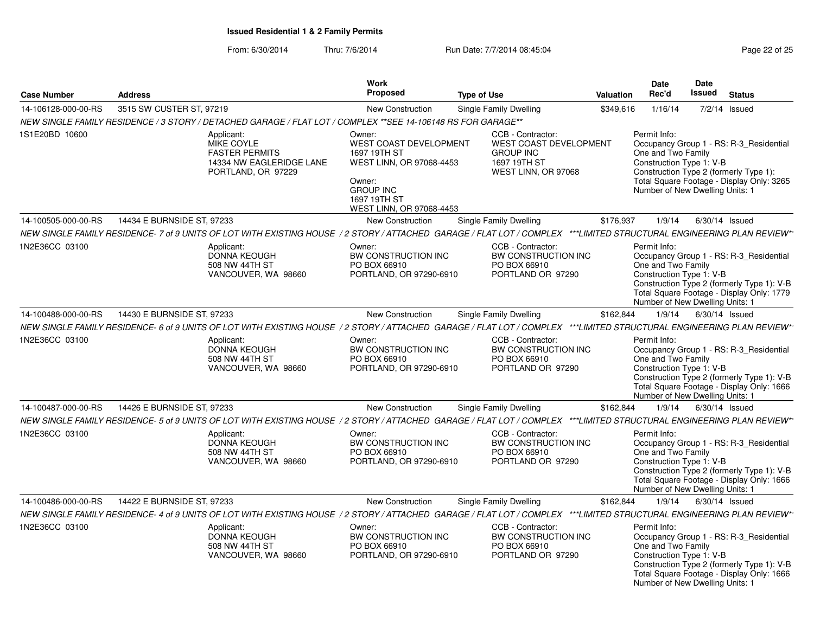|                     |                            |                                                                                                                                                                       | <b>Work</b>                                                                                                                                                   |                                                                                                               |           | <b>Date</b>                                                                                       | Date   |                                                                                                                                    |
|---------------------|----------------------------|-----------------------------------------------------------------------------------------------------------------------------------------------------------------------|---------------------------------------------------------------------------------------------------------------------------------------------------------------|---------------------------------------------------------------------------------------------------------------|-----------|---------------------------------------------------------------------------------------------------|--------|------------------------------------------------------------------------------------------------------------------------------------|
| <b>Case Number</b>  | <b>Address</b>             |                                                                                                                                                                       | <b>Proposed</b>                                                                                                                                               | <b>Type of Use</b>                                                                                            | Valuation | Rec'd                                                                                             | Issued | <b>Status</b>                                                                                                                      |
| 14-106128-000-00-RS | 3515 SW CUSTER ST, 97219   |                                                                                                                                                                       | New Construction                                                                                                                                              | <b>Single Family Dwelling</b>                                                                                 | \$349,616 | 1/16/14                                                                                           |        | $7/2/14$ Issued                                                                                                                    |
|                     |                            | NEW SINGLE FAMILY RESIDENCE / 3 STORY / DETACHED GARAGE / FLAT LOT / COMPLEX **SEE 14-106148 RS FOR GARAGE**                                                          |                                                                                                                                                               |                                                                                                               |           |                                                                                                   |        |                                                                                                                                    |
| 1S1E20BD 10600      |                            | Applicant:<br><b>MIKE COYLE</b><br><b>FASTER PERMITS</b><br>14334 NW EAGLERIDGE LANE<br>PORTLAND, OR 97229                                                            | Owner:<br><b>WEST COAST DEVELOPMENT</b><br>1697 19TH ST<br>WEST LINN, OR 97068-4453<br>Owner:<br><b>GROUP INC</b><br>1697 19TH ST<br>WEST LINN, OR 97068-4453 | CCB - Contractor:<br><b>WEST COAST DEVELOPMENT</b><br><b>GROUP INC</b><br>1697 19TH ST<br>WEST LINN, OR 97068 |           | Permit Info:<br>One and Two Family<br>Construction Type 1: V-B<br>Number of New Dwelling Units: 1 |        | Occupancy Group 1 - RS: R-3 Residential<br>Construction Type 2 (formerly Type 1):<br>Total Square Footage - Display Only: 3265     |
| 14-100505-000-00-RS | 14434 E BURNSIDE ST, 97233 |                                                                                                                                                                       | <b>New Construction</b>                                                                                                                                       | Single Family Dwelling                                                                                        | \$176,937 | 1/9/14                                                                                            |        | $6/30/14$ Issued                                                                                                                   |
|                     |                            | NEW SINGLE FAMILY RESIDENCE- 7 of 9 UNITS OF LOT WITH EXISTING HOUSE / 2 STORY / ATTACHED GARAGE / FLAT LOT / COMPLEX ***LIMITED STRUCTURAL ENGINEERING PLAN REVIEW*  |                                                                                                                                                               |                                                                                                               |           |                                                                                                   |        |                                                                                                                                    |
| 1N2E36CC 03100      |                            | Applicant:<br><b>DONNA KEOUGH</b><br>508 NW 44TH ST<br>VANCOUVER, WA 98660                                                                                            | Owner:<br>BW CONSTRUCTION INC<br>PO BOX 66910<br>PORTLAND, OR 97290-6910                                                                                      | CCB - Contractor:<br>BW CONSTRUCTION INC<br>PO BOX 66910<br>PORTLAND OR 97290                                 |           | Permit Info:<br>One and Two Family<br>Construction Type 1: V-B<br>Number of New Dwelling Units: 1 |        | Occupancy Group 1 - RS: R-3_Residential<br>Construction Type 2 (formerly Type 1): V-B<br>Total Square Footage - Display Only: 1779 |
| 14-100488-000-00-RS | 14430 E BURNSIDE ST, 97233 |                                                                                                                                                                       | New Construction                                                                                                                                              | Single Family Dwelling                                                                                        | \$162,844 | 1/9/14                                                                                            |        | $6/30/14$ Issued                                                                                                                   |
|                     |                            | NEW SINGLE FAMILY RESIDENCE- 6 of 9 UNITS OF LOT WITH EXISTING HOUSE / 2 STORY / ATTACHED GARAGE / FLAT LOT / COMPLEX ***LIMITED STRUCTURAL ENGINEERING PLAN REVIEW*  |                                                                                                                                                               |                                                                                                               |           |                                                                                                   |        |                                                                                                                                    |
| 1N2E36CC 03100      |                            | Applicant:<br><b>DONNA KEOUGH</b><br>508 NW 44TH ST<br>VANCOUVER, WA 98660                                                                                            | Owner:<br>BW CONSTRUCTION INC<br>PO BOX 66910<br>PORTLAND, OR 97290-6910                                                                                      | CCB - Contractor:<br>BW CONSTRUCTION INC<br>PO BOX 66910<br>PORTLAND OR 97290                                 |           | Permit Info:<br>One and Two Family<br>Construction Type 1: V-B<br>Number of New Dwelling Units: 1 |        | Occupancy Group 1 - RS: R-3_Residential<br>Construction Type 2 (formerly Type 1): V-B<br>Total Square Footage - Display Only: 1666 |
| 14-100487-000-00-RS | 14426 E BURNSIDE ST, 97233 |                                                                                                                                                                       | <b>New Construction</b>                                                                                                                                       | <b>Single Family Dwelling</b>                                                                                 | \$162,844 | 1/9/14                                                                                            |        | $6/30/14$ Issued                                                                                                                   |
|                     |                            | NEW SINGLE FAMILY RESIDENCE- 5 of 9 UNITS OF LOT WITH EXISTING HOUSE / 2 STORY / ATTACHED GARAGE / FLAT LOT / COMPLEX ***LIMITED STRUCTURAL ENGINEERING PLAN REVIEW*  |                                                                                                                                                               |                                                                                                               |           |                                                                                                   |        |                                                                                                                                    |
| 1N2E36CC 03100      |                            | Applicant:<br>DONNA KEOUGH<br>508 NW 44TH ST<br>VANCOUVER, WA 98660                                                                                                   | Owner:<br>BW CONSTRUCTION INC<br>PO BOX 66910<br>PORTLAND, OR 97290-6910                                                                                      | CCB - Contractor:<br>BW CONSTRUCTION INC<br>PO BOX 66910<br>PORTLAND OR 97290                                 |           | Permit Info:<br>One and Two Family<br>Construction Type 1: V-B<br>Number of New Dwelling Units: 1 |        | Occupancy Group 1 - RS: R-3_Residential<br>Construction Type 2 (formerly Type 1): V-B<br>Total Square Footage - Display Only: 1666 |
| 14-100486-000-00-RS | 14422 E BURNSIDE ST, 97233 |                                                                                                                                                                       | New Construction                                                                                                                                              | Single Family Dwelling                                                                                        | \$162,844 | 1/9/14                                                                                            |        | $6/30/14$ Issued                                                                                                                   |
|                     |                            | NEW SINGLE FAMILY RESIDENCE- 4 of 9 UNITS OF LOT WITH EXISTING HOUSE / 2 STORY / ATTACHED GARAGE / FLAT LOT / COMPLEX ***LIMITED STRUCTURAL ENGINEERING PLAN REVIEW** |                                                                                                                                                               |                                                                                                               |           |                                                                                                   |        |                                                                                                                                    |
| 1N2E36CC 03100      |                            | Applicant:<br><b>DONNA KEOUGH</b><br>508 NW 44TH ST<br>VANCOUVER, WA 98660                                                                                            | Owner:<br>BW CONSTRUCTION INC<br>PO BOX 66910<br>PORTLAND, OR 97290-6910                                                                                      | CCB - Contractor:<br>BW CONSTRUCTION INC<br>PO BOX 66910<br>PORTLAND OR 97290                                 |           | Permit Info:<br>One and Two Family<br>Construction Type 1: V-B<br>Number of New Dwelling Units: 1 |        | Occupancy Group 1 - RS: R-3_Residential<br>Construction Type 2 (formerly Type 1): V-B<br>Total Square Footage - Display Only: 1666 |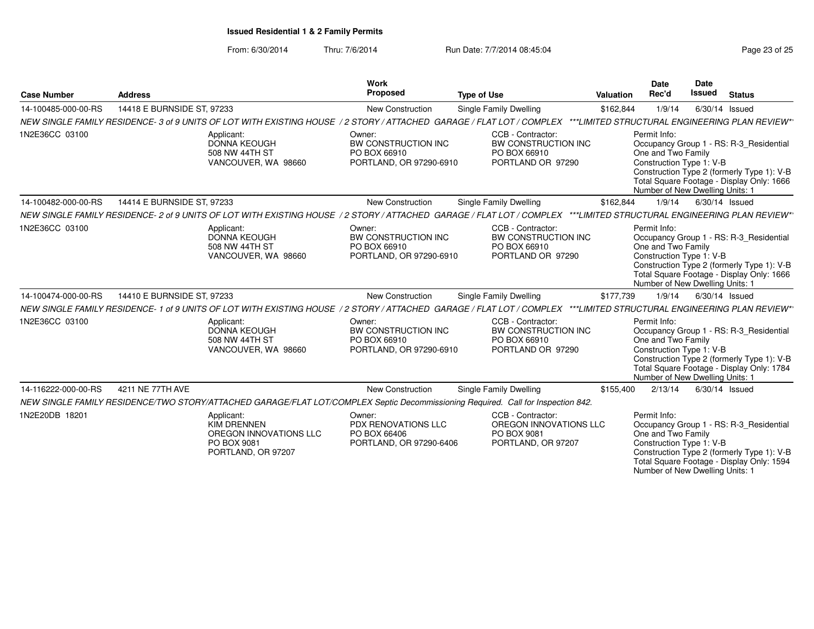| <b>Case Number</b>  | <b>Address</b>             |                                                                                                                      | Work<br>Proposed                                                                | <b>Type of Use</b>                                                                                                                                                    | <b>Valuation</b> | <b>Date</b><br>Rec'd                                                                              | <b>Date</b><br><b>Issued</b> | <b>Status</b>                                                                                                                      |
|---------------------|----------------------------|----------------------------------------------------------------------------------------------------------------------|---------------------------------------------------------------------------------|-----------------------------------------------------------------------------------------------------------------------------------------------------------------------|------------------|---------------------------------------------------------------------------------------------------|------------------------------|------------------------------------------------------------------------------------------------------------------------------------|
| 14-100485-000-00-RS | 14418 E BURNSIDE ST, 97233 |                                                                                                                      | New Construction                                                                | Single Family Dwelling                                                                                                                                                | \$162,844        | 1/9/14                                                                                            |                              | $6/30/14$ Issued                                                                                                                   |
|                     |                            |                                                                                                                      |                                                                                 | NEW SINGLE FAMILY RESIDENCE-3 of 9 UNITS OF LOT WITH EXISTING HOUSE / 2 STORY / ATTACHED GARAGE / FLAT LOT / COMPLEX ***LIMITED STRUCTURAL ENGINEERING PLAN REVIEW**  |                  |                                                                                                   |                              |                                                                                                                                    |
| 1N2E36CC 03100      |                            | Applicant:<br><b>DONNA KEOUGH</b><br>508 NW 44TH ST<br>VANCOUVER, WA 98660                                           | Owner:<br><b>BW CONSTRUCTION INC</b><br>PO BOX 66910<br>PORTLAND, OR 97290-6910 | CCB - Contractor:<br>BW CONSTRUCTION INC<br>PO BOX 66910<br>PORTLAND OR 97290                                                                                         |                  | Permit Info:<br>One and Two Family<br>Construction Type 1: V-B<br>Number of New Dwelling Units: 1 |                              | Occupancy Group 1 - RS: R-3_Residential<br>Construction Type 2 (formerly Type 1): V-B<br>Total Square Footage - Display Only: 1666 |
| 14-100482-000-00-RS | 14414 E BURNSIDE ST, 97233 |                                                                                                                      | New Construction                                                                | Single Family Dwelling                                                                                                                                                | \$162,844        | 1/9/14                                                                                            |                              | 6/30/14 Issued                                                                                                                     |
|                     |                            |                                                                                                                      |                                                                                 | NEW SINGLE FAMILY RESIDENCE- 2 of 9 UNITS OF LOT WITH EXISTING HOUSE / 2 STORY / ATTACHED GARAGE / FLAT LOT / COMPLEX ***LIMITED STRUCTURAL ENGINEERING PLAN REVIEW** |                  |                                                                                                   |                              |                                                                                                                                    |
| 1N2E36CC 03100      |                            | Applicant:<br><b>DONNA KEOUGH</b><br>508 NW 44TH ST<br>VANCOUVER, WA 98660                                           | Owner:<br>BW CONSTRUCTION INC<br>PO BOX 66910<br>PORTLAND, OR 97290-6910        | CCB - Contractor:<br>BW CONSTRUCTION INC<br>PO BOX 66910<br>PORTLAND OR 97290                                                                                         |                  | Permit Info:<br>One and Two Family<br>Construction Type 1: V-B<br>Number of New Dwelling Units: 1 |                              | Occupancy Group 1 - RS: R-3 Residential<br>Construction Type 2 (formerly Type 1): V-B<br>Total Square Footage - Display Only: 1666 |
| 14-100474-000-00-RS | 14410 E BURNSIDE ST, 97233 |                                                                                                                      | New Construction                                                                | Single Family Dwelling                                                                                                                                                | \$177,739        | 1/9/14                                                                                            |                              | $6/30/14$ Issued                                                                                                                   |
|                     |                            | NEW SINGLE FAMILY RESIDENCE-1 of 9 UNITS OF LOT WITH EXISTING HOUSE / 2 STORY / ATTACHED GARAGE / FLAT LOT / COMPLEX |                                                                                 |                                                                                                                                                                       |                  |                                                                                                   |                              | ***LIMITED STRUCTURAL ENGINEERING PLAN REVIEW*'                                                                                    |
| 1N2E36CC 03100      |                            | Applicant:<br><b>DONNA KEOUGH</b><br>508 NW 44TH ST<br>VANCOUVER, WA 98660                                           | Owner:<br><b>BW CONSTRUCTION INC</b><br>PO BOX 66910<br>PORTLAND, OR 97290-6910 | CCB - Contractor:<br>BW CONSTRUCTION INC<br>PO BOX 66910<br>PORTLAND OR 97290                                                                                         |                  | Permit Info:<br>One and Two Family<br>Construction Type 1: V-B<br>Number of New Dwelling Units: 1 |                              | Occupancy Group 1 - RS: R-3 Residential<br>Construction Type 2 (formerly Type 1): V-B<br>Total Square Footage - Display Only: 1784 |
| 14-116222-000-00-RS | 4211 NE 77TH AVE           |                                                                                                                      | New Construction                                                                | Single Family Dwelling                                                                                                                                                | \$155,400        | 2/13/14                                                                                           |                              | $6/30/14$ Issued                                                                                                                   |
|                     |                            |                                                                                                                      |                                                                                 | NEW SINGLE FAMILY RESIDENCE/TWO STORY/ATTACHED GARAGE/FLAT LOT/COMPLEX Septic Decommissioning Required. Call for Inspection 842.                                      |                  |                                                                                                   |                              |                                                                                                                                    |
| 1N2E20DB 18201      |                            | Applicant:<br><b>KIM DRENNEN</b><br>OREGON INNOVATIONS LLC<br>PO BOX 9081<br>PORTLAND, OR 97207                      | Owner:<br>PDX RENOVATIONS LLC<br>PO BOX 66406<br>PORTLAND, OR 97290-6406        | CCB - Contractor:<br>OREGON INNOVATIONS LLC<br>PO BOX 9081<br>PORTLAND, OR 97207                                                                                      |                  | Permit Info:<br>One and Two Family<br>Construction Type 1: V-B<br>Number of New Dwelling Units: 1 |                              | Occupancy Group 1 - RS: R-3_Residential<br>Construction Type 2 (formerly Type 1): V-B<br>Total Square Footage - Display Only: 1594 |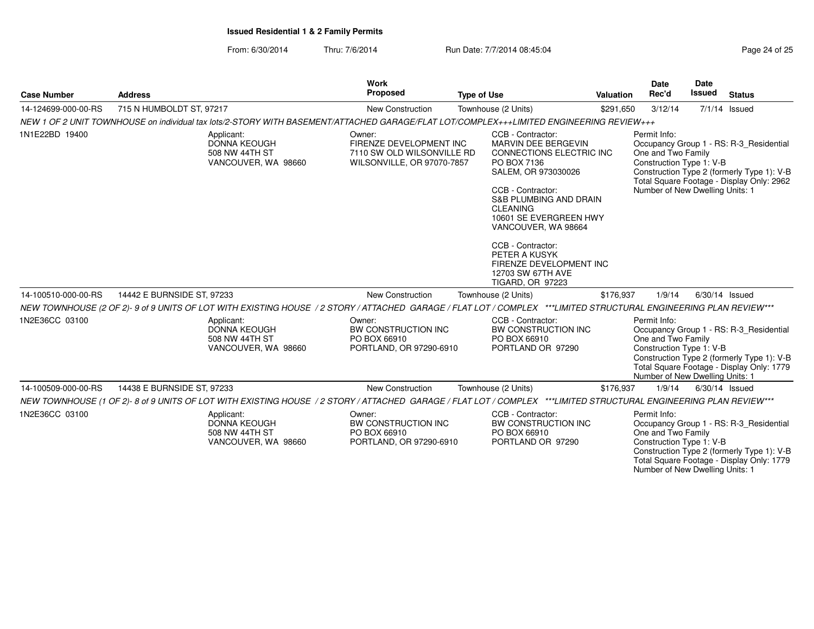| <b>Case Number</b>  | <b>Address</b>                                                                                                                                                   | Work<br>Proposed                                                                              | <b>Type of Use</b>                                                                                                                                                                                                                                                                                                                                        | Valuation | Date<br>Rec'd                                                                                     | Date<br><b>Issued</b> | <b>Status</b>                                                                                                                      |
|---------------------|------------------------------------------------------------------------------------------------------------------------------------------------------------------|-----------------------------------------------------------------------------------------------|-----------------------------------------------------------------------------------------------------------------------------------------------------------------------------------------------------------------------------------------------------------------------------------------------------------------------------------------------------------|-----------|---------------------------------------------------------------------------------------------------|-----------------------|------------------------------------------------------------------------------------------------------------------------------------|
| 14-124699-000-00-RS | 715 N HUMBOLDT ST, 97217                                                                                                                                         | New Construction                                                                              | Townhouse (2 Units)                                                                                                                                                                                                                                                                                                                                       | \$291,650 | 3/12/14                                                                                           |                       | $7/1/14$ Issued                                                                                                                    |
|                     | NEW 1 OF 2 UNIT TOWNHOUSE on individual tax lots/2-STORY WITH BASEMENT/ATTACHED GARAGE/FLAT LOT/COMPLEX+++LIMITED ENGINEERING REVIEW+++                          |                                                                                               |                                                                                                                                                                                                                                                                                                                                                           |           |                                                                                                   |                       |                                                                                                                                    |
| 1N1E22BD 19400      | Applicant:<br>DONNA KEOUGH<br>508 NW 44TH ST<br>VANCOUVER, WA 98660                                                                                              | Owner:<br>FIRENZE DEVELOPMENT INC<br>7110 SW OLD WILSONVILLE RD<br>WILSONVILLE, OR 97070-7857 | CCB - Contractor:<br>MARVIN DEE BERGEVIN<br>CONNECTIONS ELECTRIC INC<br>PO BOX 7136<br>SALEM, OR 973030026<br>CCB - Contractor:<br><b>S&amp;B PLUMBING AND DRAIN</b><br><b>CLEANING</b><br>10601 SE EVERGREEN HWY<br>VANCOUVER, WA 98664<br>CCB - Contractor:<br>PETER A KUSYK<br>FIRENZE DEVELOPMENT INC<br>12703 SW 67TH AVE<br><b>TIGARD, OR 97223</b> |           | Permit Info:<br>One and Two Family<br>Construction Type 1: V-B<br>Number of New Dwelling Units: 1 |                       | Occupancy Group 1 - RS: R-3 Residential<br>Construction Type 2 (formerly Type 1): V-B<br>Total Square Footage - Display Only: 2962 |
| 14-100510-000-00-RS | 14442 E BURNSIDE ST, 97233                                                                                                                                       | <b>New Construction</b>                                                                       | Townhouse (2 Units)                                                                                                                                                                                                                                                                                                                                       | \$176,937 | 1/9/14                                                                                            |                       | $6/30/14$ Issued                                                                                                                   |
|                     | NEW TOWNHOUSE (2 OF 2)-9 of 9 UNITS OF LOT WITH EXISTING HOUSE / 2 STORY / ATTACHED GARAGE / FLAT LOT / COMPLEX ***LIMITED STRUCTURAL ENGINEERING PLAN REVIEW*** |                                                                                               |                                                                                                                                                                                                                                                                                                                                                           |           |                                                                                                   |                       |                                                                                                                                    |
| 1N2E36CC 03100      | Applicant:<br><b>DONNA KEOUGH</b><br>508 NW 44TH ST<br>VANCOUVER, WA 98660                                                                                       | Owner:<br><b>BW CONSTRUCTION INC</b><br>PO BOX 66910<br>PORTLAND, OR 97290-6910               | CCB - Contractor:<br>BW CONSTRUCTION INC<br>PO BOX 66910<br>PORTLAND OR 97290                                                                                                                                                                                                                                                                             |           | Permit Info:<br>One and Two Family<br>Construction Type 1: V-B<br>Number of New Dwelling Units: 1 |                       | Occupancy Group 1 - RS: R-3_Residential<br>Construction Type 2 (formerly Type 1): V-B<br>Total Square Footage - Display Only: 1779 |
| 14-100509-000-00-RS | 14438 E BURNSIDE ST, 97233                                                                                                                                       | <b>New Construction</b>                                                                       | Townhouse (2 Units)                                                                                                                                                                                                                                                                                                                                       | \$176,937 | 1/9/14                                                                                            |                       | 6/30/14 Issued                                                                                                                     |
|                     | NEW TOWNHOUSE (1 OF 2)-8 of 9 UNITS OF LOT WITH EXISTING HOUSE / 2 STORY / ATTACHED GARAGE / FLAT LOT / COMPLEX ***LIMITED STRUCTURAL ENGINEERING PLAN REVIEW*** |                                                                                               |                                                                                                                                                                                                                                                                                                                                                           |           |                                                                                                   |                       |                                                                                                                                    |
| 1N2E36CC 03100      | Applicant:<br><b>DONNA KEOUGH</b><br>508 NW 44TH ST<br>VANCOUVER, WA 98660                                                                                       | Owner:<br>BW CONSTRUCTION INC<br>PO BOX 66910<br>PORTLAND, OR 97290-6910                      | CCB - Contractor:<br>BW CONSTRUCTION INC<br>PO BOX 66910<br>PORTLAND OR 97290                                                                                                                                                                                                                                                                             |           | Permit Info:<br>One and Two Family<br>Construction Type 1: V-B<br>Number of New Dwelling Units: 1 |                       | Occupancy Group 1 - RS: R-3_Residential<br>Construction Type 2 (formerly Type 1): V-B<br>Total Square Footage - Display Only: 1779 |